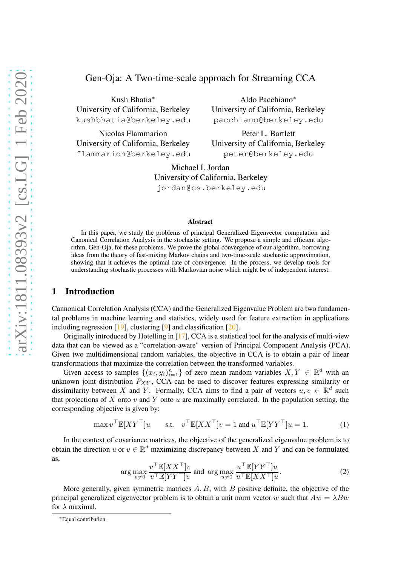Kush Bhatia<sup>∗</sup> University of California, Berkeley kushbhatia@berkeley.edu

Nicolas Flammarion University of California, Berkeley flammarion@berkeley.edu

Aldo Pacchiano<sup>∗</sup> University of California, Berkeley pacchiano@berkeley.edu

Peter L. Bartlett University of California, Berkeley peter@berkeley.edu

Michael I. Jordan University of California, Berkeley jordan@cs.berkeley.edu

#### Abstract

In this paper, we study the problems of principal Generalized Eigenvector computation and Canonical Correlation Analysis in the stochastic setting. We propose a simple and efficient algorithm, Gen-Oja, for these problems. We prove the global convergence of our algorithm, borrowing ideas from the theory of fast-mixing Markov chains and two-time-scale stochastic approximation, showing that it achieves the optimal rate of convergence. In the process, we develop tools for understanding stochastic processes with Markovian noise which might be of independent interest.

### <span id="page-0-0"></span>1 Introduction

Cannonical Correlation Analysis (CCA) and the Generalized Eigenvalue Problem are two fundamental problems in machine learning and statistics, widely used for feature extraction in applications including regression [\[19](#page-9-0)], clustering [\[9\]](#page-9-1) and classification [\[20](#page-10-0)].

Originally introduced by Hotelling in [\[17\]](#page-9-2), CCA is a statistical tool for the analysis of multi-view data that can be viewed as a "correlation-aware" version of Principal Component Analysis (PCA). Given two multidimensional random variables, the objective in CCA is to obtain a pair of linear transformations that maximize the correlation between the transformed variables.

Given access to samples  $\{(x_i, y_i)_{i=1}^n\}$  of zero mean random variables  $X, Y \in \mathbb{R}^d$  with an unknown joint distribution  $P_{XY}$ , CCA can be used to discover features expressing similarity or dissimilarity between X and Y. Formally, CCA aims to find a pair of vectors  $u, v \in \mathbb{R}^d$  such that projections of X onto  $v$  and Y onto  $u$  are maximally correlated. In the population setting, the corresponding objective is given by:

$$
\max v^\top \mathbb{E}[XY^\top]u \quad \text{s.t.} \quad v^\top \mathbb{E}[XX^\top]v = 1 \text{ and } u^\top \mathbb{E}[YY^\top]u = 1. \tag{1}
$$

In the context of covariance matrices, the objective of the generalized eigenvalue problem is to obtain the direction  $u$  or  $v \in \mathbb{R}^d$  maximizing discrepancy between X and Y and can be formulated as,

$$
\arg \max_{v \neq 0} \frac{v^{\top} \mathbb{E}[XX^{\top}]v}{v^{\top} \mathbb{E}[YY^{\top}]v} \text{ and } \arg \max_{u \neq 0} \frac{u^{\top} \mathbb{E}[YY^{\top}]u}{u^{\top} \mathbb{E}[XX^{\top}]u}.
$$
 (2)

More generally, given symmetric matrices  $A, B$ , with  $B$  positive definite, the objective of the principal generalized eigenvector problem is to obtain a unit norm vector w such that  $Aw = \lambda Bw$ for  $\lambda$  maximal.

<sup>∗</sup>Equal contribution.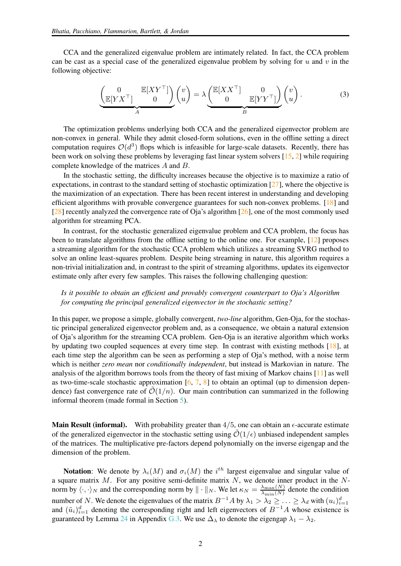CCA and the generalized eigenvalue problem are intimately related. In fact, the CCA problem can be cast as a special case of the generalized eigenvalue problem by solving for u and v in the following objective:

<span id="page-1-0"></span>
$$
\underbrace{\begin{pmatrix} 0 & \mathbb{E}[XY^{\top}] \\ \mathbb{E}[YX^{\top}] & 0 \end{pmatrix}}_{A} \begin{pmatrix} v \\ u \end{pmatrix} = \lambda \underbrace{\begin{pmatrix} \mathbb{E}[XX^{\top}] & 0 \\ 0 & \mathbb{E}[YY^{\top}] \end{pmatrix}}_{B} \begin{pmatrix} v \\ u \end{pmatrix}.
$$
 (3)

The optimization problems underlying both CCA and the generalized eigenvector problem are non-convex in general. While they admit closed-form solutions, even in the offline setting a direct computation requires  $\mathcal{O}(d^3)$  flops which is infeasible for large-scale datasets. Recently, there has been work on solving these problems by leveraging fast linear system solvers [\[15](#page-9-3), [2\]](#page-9-4) while requiring complete knowledge of the matrices A and B.

In the stochastic setting, the difficulty increases because the objective is to maximize a ratio of expectations, in contrast to the standard setting of stochastic optimization [\[27](#page-10-1)], where the objective is the maximization of an expectation. There has been recent interest in understanding and developing efficient algorithms with provable convergence guarantees for such non-convex problems. [\[18](#page-9-5)] and [\[28](#page-10-2)] recently analyzed the convergence rate of Oja's algorithm [\[26](#page-10-3)], one of the most commonly used algorithm for streaming PCA.

In contrast, for the stochastic generalized eigenvalue problem and CCA problem, the focus has been to translate algorithms from the offline setting to the online one. For example, [\[12\]](#page-9-6) proposes a streaming algorithm for the stochastic CCA problem which utilizes a streaming SVRG method to solve an online least-squares problem. Despite being streaming in nature, this algorithm requires a non-trivial initialization and, in contrast to the spirit of streaming algorithms, updates its eigenvector estimate only after every few samples. This raises the following challenging question:

#### *Is it possible to obtain an efficient and provably convergent counterpart to Oja's Algorithm for computing the principal generalized eigenvector in the stochastic setting?*

In this paper, we propose a simple, globally convergent, *two-line* algorithm, Gen-Oja, for the stochastic principal generalized eigenvector problem and, as a consequence, we obtain a natural extension of Oja's algorithm for the streaming CCA problem. Gen-Oja is an iterative algorithm which works by updating two coupled sequences at every time step. In contrast with existing methods [\[18\]](#page-9-5), at each time step the algorithm can be seen as performing a step of Oja's method, with a noise term which is neither *zero mean* nor *conditionally independent*, but instead is Markovian in nature. The analysis of the algorithm borrows tools from the theory of fast mixing of Markov chains  $[11]$  $[11]$  as well as two-time-scale stochastic approximation [\[6,](#page-9-8) [7](#page-9-9), [8](#page-9-10)] to obtain an optimal (up to dimension dependence) fast convergence rate of  $\mathcal{O}(1/n)$ . Our main contribution can summarized in the following informal theorem (made formal in Section [5\)](#page-5-0).

**Main Result (informal).** With probability greater than  $4/5$ , one can obtain an  $\epsilon$ -accurate estimate of the generalized eigenvector in the stochastic setting using  $\mathcal{O}(1/\epsilon)$  unbiased independent samples of the matrices. The multiplicative pre-factors depend polynomially on the inverse eigengap and the dimension of the problem.

**Notation:** We denote by  $\lambda_i(M)$  and  $\sigma_i(M)$  the  $i^{th}$  largest eigenvalue and singular value of a square matrix  $M$ . For any positive semi-definite matrix  $N$ , we denote inner product in the  $N$ norm by  $\langle \cdot, \cdot \rangle_N$  and the corresponding norm by  $\| \cdot \|_N$ . We let  $\kappa_N = \frac{\lambda_{\max}(N)}{\lambda_{\min}(N)}$  denote the condition number of N. We denote the eigenvalues of the matrix  $B^{-1}A$  by  $\lambda_1 > \lambda_2 \geq ... \geq \lambda_d$  with  $(u_i)_{i=1}^d$  and  $(\tilde{u}_i)_{i=1}^d$  denoting the corresponding right and left eigenvectors of  $B^{-1}A$  whose existence is guaranteed by Lemma [24](#page-50-0) in Appendix [G.3.](#page-50-1) We use  $\Delta_{\lambda}$  to denote the eigengap  $\lambda_1 - \lambda_2$ .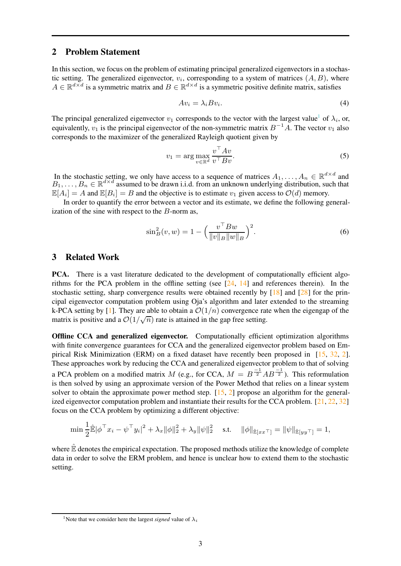### <span id="page-2-1"></span>2 Problem Statement

In this section, we focus on the problem of estimating principal generalized eigenvectors in a stochastic setting. The generalized eigenvector,  $v_i$ , corresponding to a system of matrices  $(A, B)$ , where  $A \in \mathbb{R}^{d \times d}$  is a symmetric matrix and  $B \in \mathbb{R}^{d \times d}$  is a symmetric positive definite matrix, satisfies

$$
Av_i = \lambda_i B v_i. \tag{4}
$$

The principal generalized eigenvector  $v_1$  $v_1$  corresponds to the vector with the largest value<sup>1</sup> of  $\lambda_i$ , or, equivalently,  $v_1$  is the principal eigenvector of the non-symmetric matrix  $B^{-1}A$ . The vector  $v_1$  also corresponds to the maximizer of the generalized Rayleigh quotient given by

$$
v_1 = \arg\max_{v \in \mathbb{R}^d} \frac{v^\top A v}{v^\top B v}.\tag{5}
$$

In the stochastic setting, we only have access to a sequence of matrices  $A_1, \ldots, A_n \in \mathbb{R}^{d \times d}$  and  $B_1, \ldots, B_n \in \mathbb{R}^{d \times d}$  assumed to be drawn i.i.d. from an unknown underlying distribution, such that  $\mathbb{E}[A_i] = A$  and  $\mathbb{E}[B_i] = B$  and the objective is to estimate  $v_1$  given access to  $\mathcal{O}(d)$  memory.

In order to quantify the error between a vector and its estimate, we define the following generalization of the sine with respect to the  $B$ -norm as,

$$
\sin^2_B(v, w) = 1 - \left(\frac{v^\top Bw}{\|v\|_B \|w\|_B}\right)^2.
$$
 (6)

#### 3 Related Work

PCA. There is a vast literature dedicated to the development of computationally efficient algorithms for the PCA problem in the offline setting (see  $[24, 14]$  $[24, 14]$  and references therein). In the stochastic setting, sharp convergence results were obtained recently by  $[18]$  and  $[28]$  for the principal eigenvector computation problem using Oja's algorithm and later extended to the streaming k-PCA setting by [\[1\]](#page-9-12). They are able to obtain a  $\mathcal{O}(1/n)$  convergence rate when the eigengap of the matrix is positive and a  $\mathcal{O}(1/\sqrt{n})$  rate is attained in the gap free setting.

Offline CCA and generalized eigenvector. Computationally efficient optimization algorithms with finite convergence guarantees for CCA and the generalized eigenvector problem based on Empirical Risk Minimization (ERM) on a fixed dataset have recently been proposed in [\[15](#page-9-3), [32,](#page-10-5) [2\]](#page-9-4). These approaches work by reducing the CCA and generalized eigenvector problem to that of solving a PCA problem on a modified matrix M (e.g., for CCA,  $M = B^{-1/2} AB^{-1/2}$ ). This reformulation is then solved by using an approximate version of the Power Method that relies on a linear system solver to obtain the approximate power method step.  $[15, 2]$  $[15, 2]$  $[15, 2]$  propose an algorithm for the generalized eigenvector computation problem and instantiate their results for the CCA problem. [\[21](#page-10-6), [22](#page-10-7), [32](#page-10-5)] focus on the CCA problem by optimizing a different objective:

$$
\min \frac{1}{2} \hat{\mathbb{E}} |\phi^{\top} x_i - \psi^{\top} y_i|^2 + \lambda_x \|\phi\|_2^2 + \lambda_y \|\psi\|_2^2 \quad \text{s.t.} \quad \|\phi\|_{\hat{\mathbb{E}}[xx^{\top}]} = \|\psi\|_{\hat{\mathbb{E}}[yy^{\top}]} = 1,
$$

where  $\mathbb{\dot{E}}$  denotes the empirical expectation. The proposed methods utilize the knowledge of complete data in order to solve the ERM problem, and hence is unclear how to extend them to the stochastic setting.

<span id="page-2-0"></span><sup>&</sup>lt;sup>1</sup>Note that we consider here the largest *signed* value of  $\lambda_i$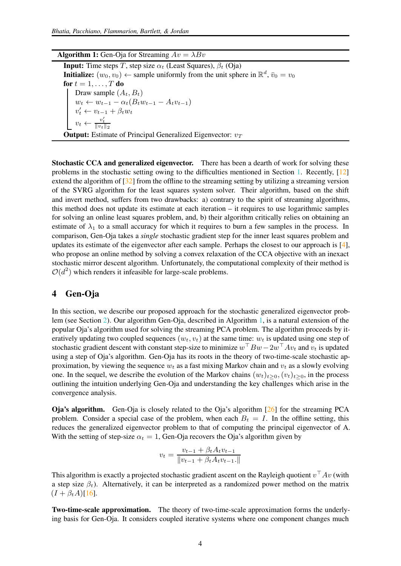#### **Algorithm 1:** Gen-Oja for Streaming  $Av = \lambda Bv$

**Input:** Time steps T, step size  $\alpha_t$  (Least Squares),  $\beta_t$  (Oja) **Initialize:**  $(w_0, v_0) \leftarrow$  sample uniformly from the unit sphere in  $\mathbb{R}^d$ ,  $\bar{v}_0 = v_0$ for  $t = 1, \ldots, T$  do Draw sample  $(A_t, B_t)$  $w_t \leftarrow w_{t-1} - \alpha_t (B_t w_{t-1} - A_t v_{t-1})$  $v'_t \leftarrow v_{t-1} + \beta_t w_t$  $v_t \leftarrow \frac{v'_t}{\|v_t\|_2}$ **Output:** Estimate of Principal Generalized Eigenvector:  $v_T$ 

Stochastic CCA and generalized eigenvector. There has been a dearth of work for solving these problems in the stochastic setting owing to the difficulties mentioned in Section [1.](#page-0-0) Recently, [\[12\]](#page-9-6) extend the algorithm of  $\left[32\right]$  from the offline to the streaming setting by utilizing a streaming version of the SVRG algorithm for the least squares system solver. Their algorithm, based on the shift and invert method, suffers from two drawbacks: a) contrary to the spirit of streaming algorithms, this method does not update its estimate at each iteration – it requires to use logarithmic samples for solving an online least squares problem, and, b) their algorithm critically relies on obtaining an estimate of  $\lambda_1$  to a small accuracy for which it requires to burn a few samples in the process. In comparison, Gen-Oja takes a *single* stochastic gradient step for the inner least squares problem and updates its estimate of the eigenvector after each sample. Perhaps the closest to our approach is  $[4]$ , who propose an online method by solving a convex relaxation of the CCA objective with an inexact stochastic mirror descent algorithm. Unfortunately, the computational complexity of their method is  $O(d^2)$  which renders it infeasible for large-scale problems.

## 4 Gen-Oja

<span id="page-3-0"></span>In this section, we describe our proposed approach for the stochastic generalized eigenvector problem (see Section [2\)](#page-2-1). Our algorithm Gen-Oja, described in Algorithm [1,](#page-3-0) is a natural extension of the popular Oja's algorithm used for solving the streaming PCA problem. The algorithm proceeds by iteratively updating two coupled sequences  $(w_t, v_t)$  at the same time:  $w_t$  is updated using one step of stochastic gradient descent with constant step-size to minimize  $w \,^\top B w - 2w \,^\top A v_t$  and  $v_t$  is updated using a step of Oja's algorithm. Gen-Oja has its roots in the theory of two-time-scale stochastic approximation, by viewing the sequence  $w_t$  as a fast mixing Markov chain and  $v_t$  as a slowly evolving one. In the sequel, we describe the evolution of the Markov chains  $(w_t)_{t>0},(v_t)_{t>0}$ , in the process outlining the intuition underlying Gen-Oja and understanding the key challenges which arise in the convergence analysis.

Oja's algorithm. Gen-Oja is closely related to the Oja's algorithm [\[26](#page-10-3)] for the streaming PCA problem. Consider a special case of the problem, when each  $B_t = I$ . In the offline setting, this reduces the generalized eigenvector problem to that of computing the principal eigenvector of A. With the setting of step-size  $\alpha_t = 1$ , Gen-Oja recovers the Oja's algorithm given by

$$
v_t = \frac{v_{t-1} + \beta_t A_t v_{t-1}}{\|v_{t-1} + \beta_t A_t v_{t-1}.\|}
$$

This algorithm is exactly a projected stochastic gradient ascent on the Rayleigh quotient  $v<sup>+</sup> Av$  (with a step size  $\beta_t$ ). Alternatively, it can be interpreted as a randomized power method on the matrix  $(I + \beta_t A)[16].$  $(I + \beta_t A)[16].$  $(I + \beta_t A)[16].$ 

Two-time-scale approximation. The theory of two-time-scale approximation forms the underlying basis for Gen-Oja. It considers coupled iterative systems where one component changes much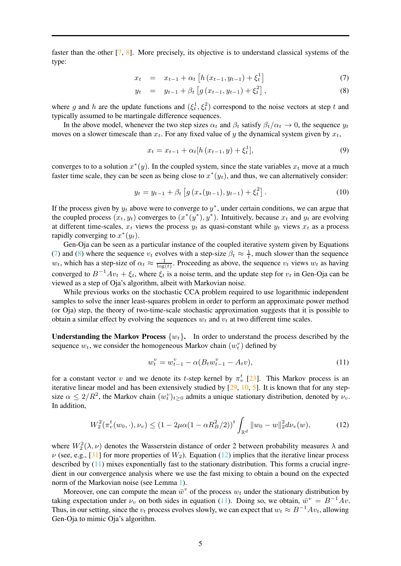faster than the other [\[7](#page-9-9), [8\]](#page-9-10). More precisely, its objective is to understand classical systems of the type:

<span id="page-4-0"></span>
$$
x_t = x_{t-1} + \alpha_t \left[ h \left( x_{t-1}, y_{t-1} \right) + \xi_t^1 \right] \tag{7}
$$

$$
y_t = y_{t-1} + \beta_t \left[ g(x_{t-1}, y_{t-1}) + \xi_t^2 \right],
$$
\n(8)

where g and h are the update functions and  $(\xi_t^1, \xi_t^2)$  correspond to the noise vectors at step t and typically assumed to be martingale difference sequences.

In the above model, whenever the two step sizes  $\alpha_t$  and  $\beta_t$  satisfy  $\beta_t/\alpha_t \to 0$ , the sequence  $y_t$ moves on a slower timescale than  $x_t$ . For any fixed value of y the dynamical system given by  $x_t$ ,

$$
x_t = x_{t-1} + \alpha_t [h(x_{t-1}, y) + \xi_t^1], \tag{9}
$$

converges to to a solution  $x^*(y)$ . In the coupled system, since the state variables  $x_t$  move at a much faster time scale, they can be seen as being close to  $x^*(y_t)$ , and thus, we can alternatively consider:

$$
y_t = y_{t-1} + \beta_t \left[ g\left(x_*(y_{t-1}), y_{t-1}\right) + \xi_t^2 \right]. \tag{10}
$$

If the process given by  $y_t$  above were to converge to  $y^*$ , under certain conditions, we can argue that the coupled process  $(x_t, y_t)$  converges to  $(x^*(y^*), y^*)$ . Intuitively, because  $x_t$  and  $y_t$  are evolving at different time-scales,  $x_t$  views the process  $y_t$  as quasi-constant while  $y_t$  views  $x_t$  as a process rapidly converging to  $x^*(y_t)$ .

Gen-Oja can be seen as a particular instance of the coupled iterative system given by Equations [\(7\)](#page-4-0) and [\(8\)](#page-4-0) where the sequence  $v_t$  evolves with a step-size  $\beta_t \approx \frac{1}{t}$ , much slower than the sequence  $w_t$ , which has a step-size of  $\alpha_t \approx \frac{1}{\log(t)}$ . Proceeding as above, the sequence  $v_t$  views  $w_t$  as having converged to  $B^{-1}Av_t + \xi_t$ , where  $\xi_t$  is a noise term, and the update step for  $v_t$  in Gen-Oja can be viewed as a step of Oja's algorithm, albeit with Markovian noise.

While previous works on the stochastic CCA problem required to use logarithmic independent samples to solve the inner least-squares problem in order to perform an approximate power method (or Oja) step, the theory of two-time-scale stochastic approximation suggests that it is possible to obtain a similar effect by evolving the sequences  $w_t$  and  $v_t$  at two different time scales.

**Understanding the Markov Process**  $\{w_t\}$ . In order to understand the process described by the sequence  $w_t$ , we consider the homogeneous Markov chain  $(w_t^v)$  defined by

<span id="page-4-2"></span>
$$
w_t^v = w_{t-1}^v - \alpha (B_t w_{t-1}^v - A_t v), \tag{11}
$$

for a constant vector v and we denote its t-step kernel by  $\pi_v^t$  [\[23](#page-10-8)]. This Markov process is an iterative linear model and has been extensively studied by  $[29, 10, 5]$  $[29, 10, 5]$  $[29, 10, 5]$  $[29, 10, 5]$  $[29, 10, 5]$ . It is known that for any stepsize  $\alpha \leq 2/R^2$ , the Markov chain  $(w_t^v)_{t\geq 0}$  admits a unique stationary distribution, denoted by  $\nu_v$ . In addition,

<span id="page-4-1"></span>
$$
W_2^2(\pi_v^t(w_0,\cdot),\nu_v) \le (1 - 2\mu\alpha(1 - \alpha R_B^2/2))^t \int_{\mathbb{R}^d} ||w_0 - w||_2^2 d\nu_v(w), \tag{12}
$$

where  $W_2^2(\lambda, \nu)$  denotes the Wasserstein distance of order 2 between probability measures  $\lambda$  and  $\nu$  (see, e.g., [\[31\]](#page-10-10) for more properties of  $W_2$ ). Equation [\(12\)](#page-4-1) implies that the iterative linear process described by [\(11\)](#page-4-2) mixes exponentially fast to the stationary distribution. This forms a crucial ingredient in our convergence analysis where we use the fast mixing to obtain a bound on the expected norm of the Markovian noise (see Lemma [1\)](#page-6-0).

Moreover, one can compute the mean  $\bar{w}^v$  of the process  $w_t$  under the stationary distribution by taking expectation under  $\nu_v$  on both sides in equation [\(11\)](#page-4-2). Doing so, we obtain,  $\bar{w}^v = B^{-1}Av$ . Thus, in our setting, since the  $v_t$  process evolves slowly, we can expect that  $w_t \approx B^{-1}Av_t$ , allowing Gen-Oja to mimic Oja's algorithm.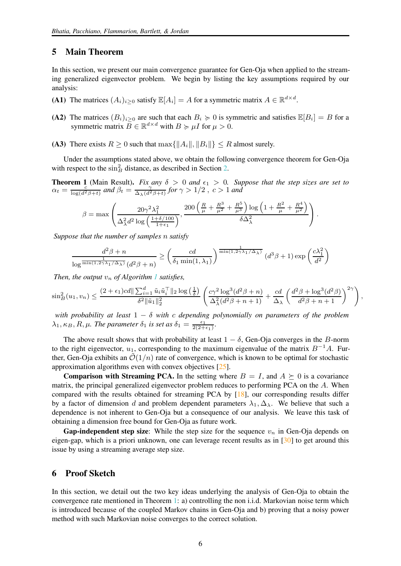#### <span id="page-5-0"></span>5 Main Theorem

In this section, we present our main convergence guarantee for Gen-Oja when applied to the streaming generalized eigenvector problem. We begin by listing the key assumptions required by our analysis:

- (A1) The matrices  $(A_i)_{i \geq 0}$  satisfy  $\mathbb{E}[A_i] = A$  for a symmetric matrix  $A \in \mathbb{R}^{d \times d}$ .
- (A2) The matrices  $(B_i)_{i>0}$  are such that each  $B_i \geq 0$  is symmetric and satisfies  $\mathbb{E}[B_i] = B$  for a symmetric matrix  $B \in \mathbb{R}^{d \times d}$  with  $B \succcurlyeq \mu I$  for  $\mu > 0$ .
- (A3) There exists  $R \ge 0$  such that  $\max\{||A_i||, ||B_i||\} \le R$  almost surely.

Under the assumptions stated above, we obtain the following convergence theorem for Gen-Oja with respect to the  $\sin^2 B$  distance, as described in Section [2.](#page-2-1)

<span id="page-5-1"></span>**Theorem 1** (Main Result). *Fix any*  $\delta > 0$  *and*  $\epsilon_1 > 0$ *. Suppose that the step sizes are set to*  $\alpha_t = \frac{c}{\log(d^2\beta + t)}$  *and*  $\beta_t = \frac{\gamma}{\Delta_{\lambda}(d^2\beta + t)}$  *for*  $\gamma > 1/2$ ,  $c > 1$  *and* 

$$
\beta = \max \left( \frac{20\gamma^2 \lambda_1^2}{\Delta_{\lambda}^2 d^2 \log \left( \frac{1+\delta/100}{1+\epsilon_1} \right)}, \frac{200 \left( \frac{R}{\mu} + \frac{R^3}{\mu^2} + \frac{R^5}{\mu^3} \right) \log \left( 1 + \frac{R^2}{\mu} + \frac{R^4}{\mu^2} \right)}{\delta \Delta_{\lambda}^2} \right).
$$

*Suppose that the number of samples* n *satisfy*

$$
\frac{d^2\beta + n}{\log^{\frac{1}{\min(1,2\gamma\lambda_1/\Delta_\lambda)}}(d^2\beta + n)} \ge \left(\frac{cd}{\delta_1 \min(1,\lambda_1)}\right)^{\frac{1}{\min(1,2\gamma\lambda_1/\Delta_\lambda)}}(d^3\beta + 1) \exp\left(\frac{c\lambda_1^2}{d^2}\right)
$$

*Then, the output*  $v_n$  *of Algorithm [1](#page-3-0) satisfies,* 

$$
\sin_B^2(u_1, v_n) \leq \frac{(2+\epsilon_1)cd \|\sum_{i=1}^d \tilde{u}_i \tilde{u}_i^{\top}\|_2 \log\left(\frac{1}{\delta}\right)}{\delta^2 \|\tilde{u}_1\|_2^2} \left(\frac{c\gamma^2 \log^3(d^2\beta+n)}{\Delta_{\lambda}^2(d^2\beta+n+1)} + \frac{cd}{\Delta_{\lambda}} \left(\frac{d^2\beta + \log^3(d^2\beta)}{d^2\beta+n+1}\right)^{2\gamma}\right),
$$

*with probability at least* 1 − δ *with* c *depending polynomially on parameters of the problem*  $\lambda_1, \kappa_B, R, \mu$ *. The parameter*  $\delta_1$  *is set as*  $\delta_1 = \frac{\epsilon_1}{2(2+\epsilon_1)}$ *.* 

The above result shows that with probability at least  $1 - \delta$ , Gen-Oja converges in the B-norm to the right eigenvector,  $u_1$ , corresponding to the maximum eigenvalue of the matrix  $B^{-1}A$ . Further, Gen-Oja exhibits an  $\mathcal{O}(1/n)$  rate of convergence, which is known to be optimal for stochastic approximation algorithms even with convex objectives [\[25](#page-10-11)].

**Comparison with Streaming PCA.** In the setting where  $B = I$ , and  $A \succeq 0$  is a covariance matrix, the principal generalized eigenvector problem reduces to performing PCA on the A. When compared with the results obtained for streaming PCA by [\[18](#page-9-5)], our corresponding results differ by a factor of dimension d and problem dependent parameters  $\lambda_1, \Delta_\lambda$ . We believe that such a dependence is not inherent to Gen-Oja but a consequence of our analysis. We leave this task of obtaining a dimension free bound for Gen-Oja as future work.

**Gap-independent step size:** While the step size for the sequence  $v_n$  in Gen-Oja depends on eigen-gap, which is a priori unknown, one can leverage recent results as in [\[30\]](#page-10-12) to get around this issue by using a streaming average step size.

## 6 Proof Sketch

In this section, we detail out the two key ideas underlying the analysis of Gen-Oja to obtain the convergence rate mentioned in Theorem [1:](#page-5-1) a) controlling the non i.i.d. Markovian noise term which is introduced because of the coupled Markov chains in Gen-Oja and b) proving that a noisy power method with such Markovian noise converges to the correct solution.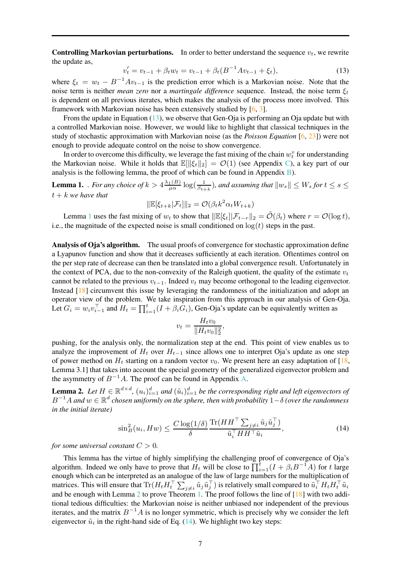**Controlling Markovian perturbations.** In order to better understand the sequence  $v_t$ , we rewrite the update as,

<span id="page-6-1"></span>
$$
v_t' = v_{t-1} + \beta_t w_t = v_{t-1} + \beta_t (B^{-1} A v_{t-1} + \xi_t),
$$
\n(13)

where  $\xi_t = w_t - B^{-1}Av_{t-1}$  is the prediction error which is a Markovian noise. Note that the noise term is neither *mean zero* nor a *martingale difference* sequence. Instead, the noise term  $\xi_t$ is dependent on all previous iterates, which makes the analysis of the process more involved. This framework with Markovian noise has been extensively studied by [\[6](#page-9-8), [3](#page-9-17)].

From the update in Equation [\(13\)](#page-6-1), we observe that Gen-Oja is performing an Oja update but with a controlled Markovian noise. However, we would like to highlight that classical techniques in the study of stochastic approximation with Markovian noise (as the *Poisson Equation* [\[6](#page-9-8), [23\]](#page-10-8)) were not enough to provide adequate control on the noise to show convergence.

In order to overcome this difficulty, we leverage the fast mixing of the chain  $w_t^v$  for understanding the Markovian noise. While it holds that  $\mathbb{E}[\|\xi_t\|_2] = \mathcal{O}(1)$  (see Appendix [C\)](#page-17-0), a key part of our analysis is the following lemma, the proof of which can be found in Appendix  $\overline{B}$ ).

<span id="page-6-0"></span>**Lemma 1.** *. For any choice of*  $k > 4 \frac{\lambda_1(B)}{\mu \alpha} \log(\frac{1}{\beta_{t+k}})$ , and assuming that  $||w_s|| \leq W_s$  for  $t \leq s \leq$  $t + k$ *we have that* 

$$
\|\mathbb{E}[\xi_{t+k}|\mathcal{F}_t]\|_2 = \mathcal{O}(\beta_t k^2 \alpha_t W_{t+k})
$$

Lemma [1](#page-6-0) uses the fast mixing of  $w_t$  to show that  $\|\mathbb{E}[\xi_t]|\mathcal{F}_{t-r}\|_2 = \tilde{\mathcal{O}}(\beta_t)$  where  $r = \mathcal{O}(\log t)$ , i.e., the magnitude of the expected noise is small conditioned on  $log(t)$  steps in the past.

Analysis of Oja's algorithm. The usual proofs of convergence for stochastic approximation define a Lyapunov function and show that it decreases sufficiently at each iteration. Oftentimes control on the per step rate of decrease can then be translated into a global convergence result. Unfortunately in the context of PCA, due to the non-convexity of the Raleigh quotient, the quality of the estimate  $v_t$ cannot be related to the previous  $v_{t-1}$ . Indeed  $v_t$  may become orthogonal to the leading eigenvector. Instead [\[18](#page-9-5)] circumvent this issue by leveraging the randomness of the initialization and adopt an operator view of the problem. We take inspiration from this approach in our analysis of Gen-Oja. Let  $G_i = w_i v_{i-1}^{\top}$  and  $H_t = \prod_{i=1}^t (I + \beta_i G_i)$ , Gen-Oja's update can be equivalently written as

$$
v_t = \frac{H_t v_0}{\|H_t v_0\|_2^2},
$$

pushing, for the analysis only, the normalization step at the end. This point of view enables us to analyze the improvement of  $H_t$  over  $H_{t-1}$  since allows one to interpret Oja's update as one step of power method on  $H_t$  starting on a random vector  $v_0$ . We present here an easy adaptation of [\[18](#page-9-5), Lemma 3.1] that takes into account the special geometry of the generalized eigenvector problem and the asymmetry of  $B^{-1}A$ . The proof can be found in Appendix [A.](#page-12-0)

<span id="page-6-2"></span>**Lemma 2.** Let  $H \in \mathbb{R}^{d \times d}$ ,  $(u_i)_{i=1}^d$  and  $(\tilde{u}_i)_{i=1}^d$  be the corresponding right and left eigenvectors of B <sup>−</sup><sup>1</sup><sup>A</sup> *and* <sup>w</sup> <sup>∈</sup> <sup>R</sup> d *chosen uniformly on the sphere, then with probability* 1−δ *(over the randomness in the initial iterate)*

<span id="page-6-3"></span>
$$
\sin^2_B(u_i, Hw) \le \frac{C \log(1/\delta)}{\delta} \frac{\text{Tr}(HH^\top \sum_{j \ne i} \tilde{u}_j \tilde{u}_j^\top)}{\tilde{u}_i^\top HH^\top \tilde{u}_i},\tag{14}
$$

*for some universal constant*  $C > 0$ *.* 

This lemma has the virtue of highly simplifying the challenging proof of convergence of Oja's algorithm. Indeed we only have to prove that  $H_t$  will be close to  $\prod_{i=1}^{t} (I + \beta_i B^{-1}A)$  for t large enough which can be interpreted as an analogue of the law of large numbers for the multiplication of matrices. This will ensure that  $\text{Tr}(H_t H_t^\top \sum_{j\neq i} \tilde{u}_j \tilde{u}_j^\top)$  is relatively small compared to  $\tilde{u}_i^\top H_t H_t^\top \tilde{u}_i$ and be enough with Lemma [2](#page-6-2) to prove Theorem [1.](#page-5-1) The proof follows the line of  $[18]$  with two additional tedious difficulties: the Markovian noise is neither unbiased nor independent of the previous iterates, and the matrix  $B^{-1}A$  is no longer symmetric, which is precisely why we consider the left eigenvector  $\tilde{u}_i$  in the right-hand side of Eq. [\(14\)](#page-6-3). We highlight two key steps: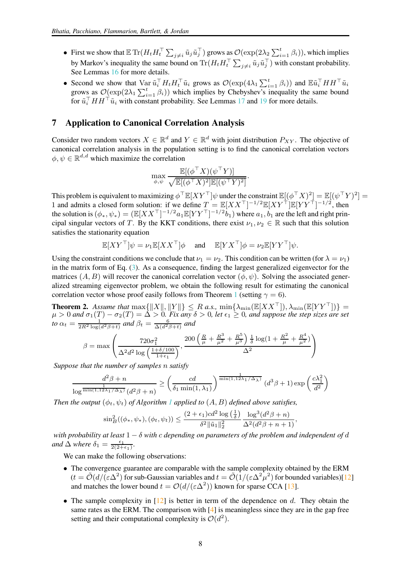- First we show that  $\mathbb{E} \text{Tr}(H_t H_t^\top \sum_{j \neq i} \tilde{u}_j \tilde{u}_j^\top)$  grows as  $\mathcal{O}(\exp(2\lambda_2 \sum_{i=1}^t \beta_i))$ , which implies by Markov's inequality the same bound on  $\text{Tr}(H_t H_t^{\top} \sum_{j \neq i} \tilde{u}_j \tilde{u}_j^{\top})$  with constant probability. See Lemmas [16](#page-28-0) for more details.
- Second we show that  $\text{Var } \tilde{u}_i^\top H_t H_t^\top \tilde{u}_i$  grows as  $\mathcal{O}(\exp(4\lambda_1 \sum_{i=1}^t \beta_i))$  and  $\mathbb{E} \tilde{u}_i^\top H H^\top \tilde{u}_i$ grows as  $\mathcal{O}(\exp(2\lambda_1 \sum_{i=1}^t \beta_i))$  which implies by Chebyshev's inequality the same bound for  $\tilde{u}_i^+HH^+\tilde{u}_i$  with constant probability. See Lemmas [17](#page-31-0) and [19](#page-37-0) for more details.

#### 7 Application to Canonical Correlation Analysis

Consider two random vectors  $X \in \mathbb{R}^d$  and  $Y \in \mathbb{R}^d$  with joint distribution  $P_{XY}$ . The objective of canonical correlation analysis in the population setting is to find the canonical correlation vectors  $\phi, \psi \in \mathbb{R}^{d,d}$  which maximize the correlation

$$
\max_{\phi, \psi} \frac{\mathbb{E}[(\phi^{\top}X)(\psi^{\top}Y)]}{\sqrt{\mathbb{E}[(\phi^{\top}X)^2]\mathbb{E}[(\psi^{\top}Y)^2]}}.
$$

This problem is equivalent to maximizing  $\phi^\top \mathbb{E}[XY^\top] \psi$  under the constraint  $\mathbb{E}[(\phi^\top X)^2] = \mathbb{E}[(\psi^\top Y)^2] =$ 1 and admits a closed form solution: if we define  $T = \mathbb{E}[XX^\top]^{-1/2} \mathbb{E}[XY^\top] \mathbb{E}[YY^\top]^{-1/2}$ , then the solution is  $(\phi_*, \psi_*) = (\mathbb{E}[XX^\top]^{-1/2} a_1 \mathbb{E}[YY^\top]^{-1/2} b_1)$  where  $a_1, b_1$  are the left and right principal singular vectors of T. By the KKT conditions, there exist  $\nu_1, \nu_2 \in \mathbb{R}$  such that this solution satisfies the stationarity equation

$$
\mathbb{E}[XY^{\top}]\psi = \nu_1 \mathbb{E}[XX^{\top}]\phi \quad \text{and} \quad \mathbb{E}[YX^{\top}]\phi = \nu_2 \mathbb{E}[YY^{\top}]\psi.
$$

Using the constraint conditions we conclude that  $\nu_1 = \nu_2$ . This condition can be written (for  $\lambda = \nu_1$ ) in the matrix form of Eq. [\(3\)](#page-1-0). As a consequence, finding the largest generalized eigenvector for the matrices  $(A, B)$  will recover the canonical correlation vector  $(\phi, \psi)$ . Solving the associated generalized streaming eigenvector problem, we obtain the following result for estimating the canonical correlation vector whose proof easily follows from Theorem [1](#page-5-1) (setting  $\gamma = 6$ ).

**Theorem 2.** Assume that  $\max\{||X||, ||Y||\} \leq R$  *a.s.*,  $\min\{\lambda_{\min}(\mathbb{E}[XX^\top]), \lambda_{\min}(\mathbb{E}[YY^\top])\} =$  $\mu > 0$  and  $\sigma_1(T) - \sigma_2(T) = \Delta > 0$ . Fix any  $\delta > 0$ , let  $\epsilon_1 \geq 0$ , and suppose the step sizes are set *to*  $\alpha_t = \frac{1}{2R^2 \log(d^2\beta + t)}$  *and*  $\beta_t = \frac{6}{\Delta(d^2\beta + t)}$  *and* 

$$
\beta = \max \left( \frac{720 \sigma_1^2}{\Delta^2 d^2 \log \left( \frac{1+\delta/100}{1+\epsilon_1} \right)}, \frac{200 \left( \frac{R}{\mu} + \frac{R^3}{\mu^2} + \frac{R^5}{\mu^3} \right) \frac{1}{\delta} \log (1 + \frac{R^2}{\mu} + \frac{R^4}{\mu^2})}{\Delta^2} \right)
$$

*Suppose that the number of samples* n *satisfy*

$$
\frac{d^2\beta + n}{\log^{\frac{1}{\min(1,12\lambda_1/\Delta_\lambda)}}(d^2\beta + n)} \ge \left(\frac{cd}{\delta_1 \min(1,\lambda_1)}\right)^{\frac{1}{\min(1,12\lambda_1/\Delta_\lambda)}}(d^3\beta + 1) \exp\left(\frac{c\lambda_1^2}{d^2}\right)
$$

*Then the output*  $(\phi_t, \psi_t)$  *of Algorithm [1](#page-3-0) applied to*  $(A, B)$  *defined above satisfies,* 

$$
\sin^2(B(\phi_*, \psi_*), (\phi_t, \psi_t)) \le \frac{(2 + \epsilon_1)cd^2 \log\left(\frac{1}{\delta}\right)}{\delta^2 \|\tilde{u}_1\|_2^2} \frac{\log^3(d^2\beta + n)}{\Delta^2(d^2\beta + n + 1)}
$$

,

*with probability at least* 1 − δ *with* c *depending on parameters of the problem and independent of* d *and*  $\Delta$  *where*  $\delta_1 = \frac{\epsilon_1}{2(2+\epsilon_1)}$ *.* 

We can make the following observations:

- The convergence guarantee are comparable with the sample complexity obtained by the ERM  $(t = \tilde{\mathcal{O}}(d/(\varepsilon \Delta^2))$  for sub-Gaussian variables and  $t = \tilde{\mathcal{O}}(1/(\varepsilon \Delta^2 \mu^2))$  for bounded variables)[\[12](#page-9-6)] and matches the lower bound  $t = \mathcal{O}(d/(\varepsilon \Delta^2))$  known for sparse CCA [\[13](#page-9-18)].
- The sample complexity in  $[12]$  is better in term of the dependence on d. They obtain the same rates as the ERM. The comparison with  $[4]$  is meaningless since they are in the gap free setting and their computational complexity is  $\mathcal{O}(d^2)$ .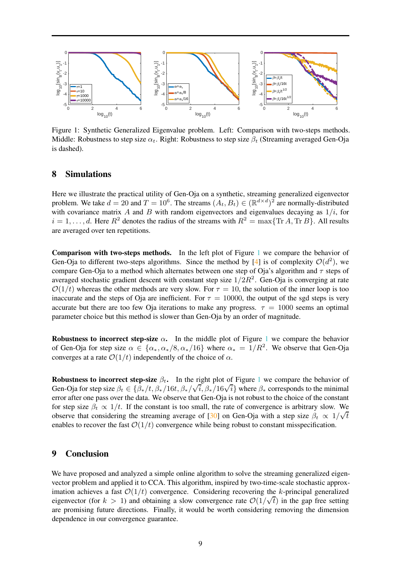

<span id="page-8-0"></span>Figure 1: Synthetic Generalized Eigenvalue problem. Left: Comparison with two-steps methods. Middle: Robustness to step size  $\alpha_t$ . Right: Robustness to step size  $\beta_t$  (Streaming averaged Gen-Oja is dashed).

## 8 Simulations

Here we illustrate the practical utility of Gen-Oja on a synthetic, streaming generalized eigenvector problem. We take  $d = 20$  and  $T = 10^6$ . The streams  $(A_t, B_t) \in (\mathbb{R}^{d \times d})^2$  are normally-distributed with covariance matrix A and B with random eigenvectors and eigenvalues decaying as  $1/i$ , for  $i = 1, \ldots, d$ . Here  $R^2$  denotes the radius of the streams with  $R^2 = \max\{\text{Tr }A, \text{Tr }B\}$ . All results are averaged over ten repetitions.

Comparison with two-steps methods. In the left plot of Figure [1](#page-8-0) we compare the behavior of Gen-Oja to different two-steps algorithms. Since the method by [\[4\]](#page-9-13) is of complexity  $\mathcal{O}(d^2)$ , we compare Gen-Oja to a method which alternates between one step of Oja's algorithm and  $\tau$  steps of averaged stochastic gradient descent with constant step size  $1/2R^2$ . Gen-Oja is converging at rate  $\mathcal{O}(1/t)$  whereas the other methods are very slow. For  $\tau = 10$ , the solution of the inner loop is too inaccurate and the steps of Oja are inefficient. For  $\tau = 10000$ , the output of the sgd steps is very accurate but there are too few Oja iterations to make any progress.  $\tau = 1000$  seems an optimal parameter choice but this method is slower than Gen-Oja by an order of magnitude.

Robustness to incorrect step-size  $\alpha$ . In the middle plot of Figure [1](#page-8-0) we compare the behavior of Gen-Oja for step size  $\alpha \in \{\alpha_*, \alpha_*/8, \alpha_*/16\}$  where  $\alpha_* = 1/R^2$ . We observe that Gen-Oja converges at a rate  $\mathcal{O}(1/t)$  independently of the choice of  $\alpha$ .

Robustness to incorrect step-size  $\beta_t$ . In the right plot of Figure [1](#page-8-0) we compare the behavior of Gen-Oja for step size  $\beta_t \in {\beta_*}/t$ ,  $\beta_*/16t$ ,  $\beta_*/\sqrt{i}$ ,  $\beta_*/16\sqrt{i}$ } where  $\beta_*$  corresponds to the minimal error after one pass over the data. We observe that Gen-Oja is not robust to the choice of the constant for step size  $\beta_t \propto 1/t$ . If the constant is too small, the rate of convergence is arbitrary slow. We observe that considering the streaming average of [\[30](#page-10-12)] on Gen-Oja with a step size  $\beta_t \propto 1/\sqrt{t}$ enables to recover the fast  $\mathcal{O}(1/t)$  convergence while being robust to constant misspecification.

## 9 Conclusion

We have proposed and analyzed a simple online algorithm to solve the streaming generalized eigenvector problem and applied it to CCA. This algorithm, inspired by two-time-scale stochastic approximation achieves a fast  $\mathcal{O}(1/t)$  convergence. Considering recovering the k-principal generalized eigenvector (for  $k > 1$ ) and obtaining a slow convergence rate  $\mathcal{O}(1/\sqrt{t})$  in the gap free setting are promising future directions. Finally, it would be worth considering removing the dimension dependence in our convergence guarantee.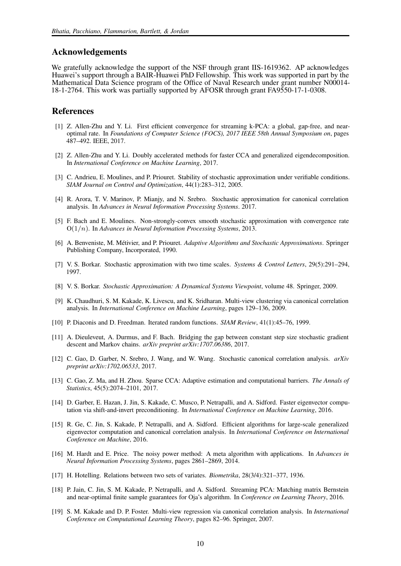#### Acknowledgements

We gratefully acknowledge the support of the NSF through grant IIS-1619362. AP acknowledges Huawei's support through a BAIR-Huawei PhD Fellowship. This work was supported in part by the Mathematical Data Science program of the Office of Naval Research under grant number N00014- 18-1-2764. This work was partially supported by AFOSR through grant FA9550-17-1-0308.

#### References

- <span id="page-9-12"></span>[1] Z. Allen-Zhu and Y. Li. First efficient convergence for streaming k-PCA: a global, gap-free, and nearoptimal rate. In *Foundations of Computer Science (FOCS), 2017 IEEE 58th Annual Symposium on*, pages 487–492. IEEE, 2017.
- <span id="page-9-4"></span>[2] Z. Allen-Zhu and Y. Li. Doubly accelerated methods for faster CCA and generalized eigendecomposition. In *International Conference on Machine Learning*, 2017.
- <span id="page-9-17"></span>[3] C. Andrieu, E. Moulines, and P. Priouret. Stability of stochastic approximation under verifiable conditions. *SIAM Journal on Control and Optimization*, 44(1):283–312, 2005.
- <span id="page-9-13"></span>[4] R. Arora, T. V. Marinov, P. Mianjy, and N. Srebro. Stochastic approximation for canonical correlation analysis. In *Advances in Neural Information Processing Systems*. 2017.
- <span id="page-9-16"></span>[5] F. Bach and E. Moulines. Non-strongly-convex smooth stochastic approximation with convergence rate O(1/n). In *Advances in Neural Information Processing Systems*, 2013.
- <span id="page-9-8"></span>[6] A. Benveniste, M. Métivier, and P. Priouret. *Adaptive Algorithms and Stochastic Approximations*. Springer Publishing Company, Incorporated, 1990.
- <span id="page-9-9"></span>[7] V. S. Borkar. Stochastic approximation with two time scales. *Systems & Control Letters*, 29(5):291–294, 1997.
- <span id="page-9-10"></span>[8] V. S. Borkar. *Stochastic Approximation: A Dynamical Systems Viewpoint*, volume 48. Springer, 2009.
- <span id="page-9-1"></span>[9] K. Chaudhuri, S. M. Kakade, K. Livescu, and K. Sridharan. Multi-view clustering via canonical correlation analysis. In *International Conference on Machine Learning*, pages 129–136, 2009.
- <span id="page-9-15"></span>[10] P. Diaconis and D. Freedman. Iterated random functions. *SIAM Review*, 41(1):45–76, 1999.
- <span id="page-9-7"></span>[11] A. Dieuleveut, A. Durmus, and F. Bach. Bridging the gap between constant step size stochastic gradient descent and Markov chains. *arXiv preprint arXiv:1707.06386*, 2017.
- <span id="page-9-6"></span>[12] C. Gao, D. Garber, N. Srebro, J. Wang, and W. Wang. Stochastic canonical correlation analysis. *arXiv preprint arXiv:1702.06533*, 2017.
- <span id="page-9-18"></span>[13] C. Gao, Z. Ma, and H. Zhou. Sparse CCA: Adaptive estimation and computational barriers. *The Annals of Statistics*, 45(5):2074–2101, 2017.
- <span id="page-9-11"></span>[14] D. Garber, E. Hazan, J. Jin, S. Kakade, C. Musco, P. Netrapalli, and A. Sidford. Faster eigenvector computation via shift-and-invert preconditioning. In *International Conference on Machine Learning*, 2016.
- <span id="page-9-3"></span>[15] R. Ge, C. Jin, S. Kakade, P. Netrapalli, and A. Sidford. Efficient algorithms for large-scale generalized eigenvector computation and canonical correlation analysis. In *International Conference on International Conference on Machine*, 2016.
- <span id="page-9-14"></span>[16] M. Hardt and E. Price. The noisy power method: A meta algorithm with applications. In *Advances in Neural Information Processing Systems*, pages 2861–2869, 2014.
- <span id="page-9-2"></span>[17] H. Hotelling. Relations between two sets of variates. *Biometrika*, 28(3/4):321–377, 1936.
- <span id="page-9-5"></span>[18] P. Jain, C. Jin, S. M. Kakade, P. Netrapalli, and A. Sidford. Streaming PCA: Matching matrix Bernstein and near-optimal finite sample guarantees for Oja's algorithm. In *Conference on Learning Theory*, 2016.
- <span id="page-9-0"></span>[19] S. M. Kakade and D. P. Foster. Multi-view regression via canonical correlation analysis. In *International Conference on Computational Learning Theory*, pages 82–96. Springer, 2007.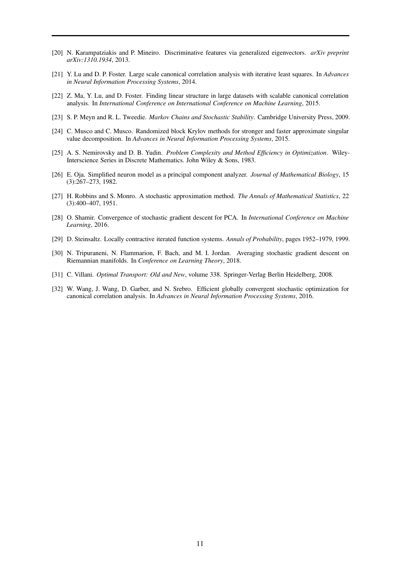- <span id="page-10-0"></span>[20] N. Karampatziakis and P. Mineiro. Discriminative features via generalized eigenvectors. *arXiv preprint arXiv:1310.1934*, 2013.
- <span id="page-10-6"></span>[21] Y. Lu and D. P. Foster. Large scale canonical correlation analysis with iterative least squares. In *Advances in Neural Information Processing Systems*, 2014.
- <span id="page-10-7"></span>[22] Z. Ma, Y. Lu, and D. Foster. Finding linear structure in large datasets with scalable canonical correlation analysis. In *International Conference on International Conference on Machine Learning*, 2015.
- <span id="page-10-8"></span>[23] S. P. Meyn and R. L. Tweedie. *Markov Chains and Stochastic Stability*. Cambridge University Press, 2009.
- <span id="page-10-4"></span>[24] C. Musco and C. Musco. Randomized block Krylov methods for stronger and faster approximate singular value decomposition. In *Advances in Neural Information Processing Systems*, 2015.
- <span id="page-10-11"></span>[25] A. S. Nemirovsky and D. B. Yudin. *Problem Complexity and Method Efficiency in Optimization*. Wiley-Interscience Series in Discrete Mathematics. John Wiley & Sons, 1983.
- <span id="page-10-3"></span>[26] E. Oja. Simplified neuron model as a principal component analyzer. *Journal of Mathematical Biology*, 15 (3):267–273, 1982.
- <span id="page-10-1"></span>[27] H. Robbins and S. Monro. A stochastic approximation method. *The Annals of Mathematical Statistics*, 22 (3):400–407, 1951.
- <span id="page-10-2"></span>[28] O. Shamir. Convergence of stochastic gradient descent for PCA. In *International Conference on Machine Learning*, 2016.
- <span id="page-10-9"></span>[29] D. Steinsaltz. Locally contractive iterated function systems. *Annals of Probability*, pages 1952–1979, 1999.
- <span id="page-10-12"></span>[30] N. Tripuraneni, N. Flammarion, F. Bach, and M. I. Jordan. Averaging stochastic gradient descent on Riemannian manifolds. In *Conference on Learning Theory*, 2018.
- <span id="page-10-10"></span>[31] C. Villani. *Optimal Transport: Old and New*, volume 338. Springer-Verlag Berlin Heidelberg, 2008.
- <span id="page-10-5"></span>[32] W. Wang, J. Wang, D. Garber, and N. Srebro. Efficient globally convergent stochastic optimization for canonical correlation analysis. In *Advances in Neural Information Processing Systems*, 2016.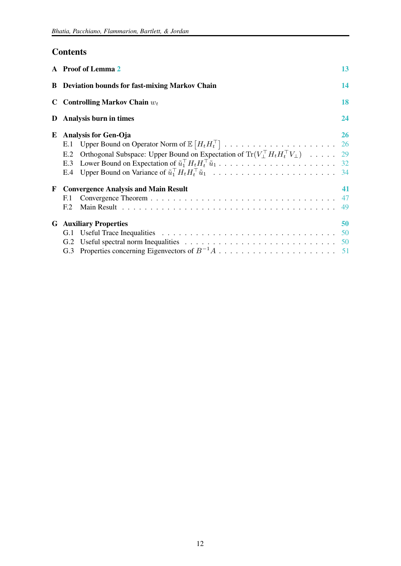## **Contents**

|   | A Proof of Lemma 2                                                                                                                                                                                                                                                                                                                                                                                                                                        | 13             |
|---|-----------------------------------------------------------------------------------------------------------------------------------------------------------------------------------------------------------------------------------------------------------------------------------------------------------------------------------------------------------------------------------------------------------------------------------------------------------|----------------|
|   | <b>B</b> Deviation bounds for fast-mixing Markov Chain                                                                                                                                                                                                                                                                                                                                                                                                    | 14             |
|   | C Controlling Markov Chain $w_t$                                                                                                                                                                                                                                                                                                                                                                                                                          | 18             |
|   | D Analysis burn in times                                                                                                                                                                                                                                                                                                                                                                                                                                  | 24             |
|   | <b>E</b> Analysis for Gen-Oja<br>E.1<br>Orthogonal Subspace: Upper Bound on Expectation of $\text{Tr}(V_{\perp}^\top H_t H_t^\top V_{\perp})$ 29<br>E.2<br>Lower Bound on Expectation of $\tilde{u}_1^{\top} H_t H_t^{\top} \tilde{u}_1 \dots \dots \dots \dots \dots \dots \dots \dots \dots \dots$ 32<br>E.3<br>Upper Bound on Variance of $\tilde{u}_1^{\top} H_t H_t^{\top} \tilde{u}_1 \dots \dots \dots \dots \dots \dots \dots \dots \dots$<br>E.4 | 26<br>34       |
| F | <b>Convergence Analysis and Main Result</b><br>F.1<br>E.2                                                                                                                                                                                                                                                                                                                                                                                                 | 41<br>47<br>49 |
|   | <b>G</b> Auxiliary Properties<br>G.1<br>G.2                                                                                                                                                                                                                                                                                                                                                                                                               | 50             |
|   |                                                                                                                                                                                                                                                                                                                                                                                                                                                           |                |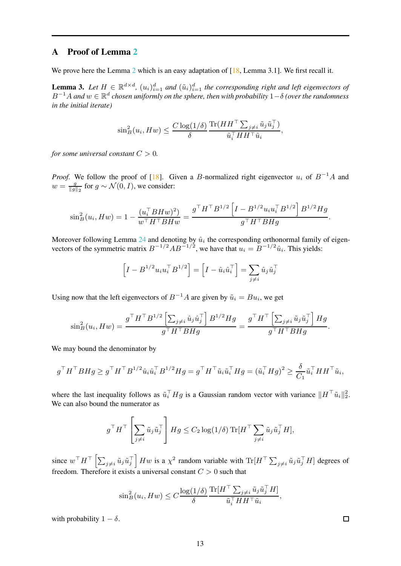## <span id="page-12-0"></span>A Proof of Lemma [2](#page-6-2)

We prove here the Lemma [2](#page-6-2) which is an easy adaptation of  $[18, \text{Lemma 3.1}]$ . We first recall it.

<span id="page-12-1"></span>**Lemma 3.** Let  $H \in \mathbb{R}^{d \times d}$ ,  $(u_i)_{i=1}^d$  and  $(\tilde{u}_i)_{i=1}^d$  the corresponding right and left eigenvectors of B <sup>−</sup><sup>1</sup><sup>A</sup> *and* <sup>w</sup> <sup>∈</sup> <sup>R</sup> d *chosen uniformly on the sphere, then with probability* 1−δ *(over the randomness in the initial iterate)*

$$
\sin^2_B(u_i, Hw) \leq \frac{C \log(1/\delta)}{\delta} \frac{\text{Tr}(HH^\top \sum_{j \neq i} \tilde{u}_j \tilde{u}_j^\top)}{\tilde{u}_i^\top HH^\top \tilde{u}_i},
$$

*for some universal constant*  $C > 0$ *.* 

*Proof.* We follow the proof of [\[18\]](#page-9-5). Given a B-normalized right eigenvector  $u_i$  of  $B^{-1}A$  and  $w = \frac{g}{\|g\|_2}$  for  $g \sim \mathcal{N}(0, I)$ , we consider:

$$
\sin^2_B(u_i, Hw) = 1 - \frac{(u_i^\top B Hw)^2}{w^\top H^\top B Hw} = \frac{g^\top H^\top B^{1/2} \left[I - B^{1/2} u_i u_i^\top B^{1/2}\right] B^{1/2} Hg}{g^\top H^\top B Hg}.
$$

Moreover following Lemma [24](#page-50-0) and denoting by  $\hat{u}_i$  the corresponding orthonormal family of eigenvectors of the symmetric matrix  $B^{-1/2}AB^{-1/2}$ , we have that  $u_i = B^{-1/2}\hat{u}_i$ . This yields:

$$
\left[I - B^{1/2} u_i u_i^\top B^{1/2}\right] = \left[I - \hat{u}_i \hat{u}_i^\top\right] = \sum_{j \neq i} \hat{u}_j \hat{u}_j^\top
$$

Using now that the left eigenvectors of  $B^{-1}A$  are given by  $\tilde{u}_i = Bu_i$ , we get

$$
\sin^2_B(u_i, Hw) = \frac{g^{\top} H^{\top} B^{1/2} \left[ \sum_{j \neq i} \hat{u}_j \hat{u}_j^{\top} \right] B^{1/2} Hg}{g^{\top} H^{\top} B Hg} = \frac{g^{\top} H^{\top} \left[ \sum_{j \neq i} \tilde{u}_j \tilde{u}_j^{\top} \right] Hg}{g^{\top} H^{\top} B Hg}.
$$

We may bound the denominator by

$$
g^\top H^\top B H g \geq g^\top H^\top B^{1/2} \hat{u}_i \hat{u}_i^\top B^{1/2} H g = g^\top H^\top \tilde{u}_i \tilde{u}_i^\top H g = (\tilde{u}_i^\top H g)^2 \geq \frac{\delta}{C_1} \tilde{u}_i^\top H H^\top \tilde{u}_i,
$$

where the last inequality follows as  $\tilde{u}_i^{\top} H g$  is a Gaussian random vector with variance  $||H^{\top} \tilde{u}_i||_2^2$ . We can also bound the numerator as

$$
g^{\top} H^{\top} \left[ \sum_{j \neq i} \tilde{u}_j \tilde{u}_j^{\top} \right] H g \leq C_2 \log(1/\delta) \operatorname{Tr} [H^{\top} \sum_{j \neq i} \tilde{u}_j \tilde{u}_j^{\top} H],
$$

since  $w^\top H^\top \left[ \sum_{j \neq i} \tilde{u}_j \tilde{u}_j^\top \right] H w$  is a  $\chi^2$  random variable with  $\text{Tr}[H^\top \sum_{j \neq i} \tilde{u}_j \tilde{u}_j^\top H]$  degrees of freedom. Therefore it exists a universal constant  $C > 0$  such that

$$
\sin^2_B(u_i, Hw) \le C \frac{\log(1/\delta)}{\delta} \frac{\text{Tr}[H^\top \sum_{j \neq i} \tilde{u}_j \tilde{u}_j^\top H]}{\tilde{u}_i^\top H H^\top \tilde{u}_i},
$$

with probability  $1 - \delta$ .

 $\Box$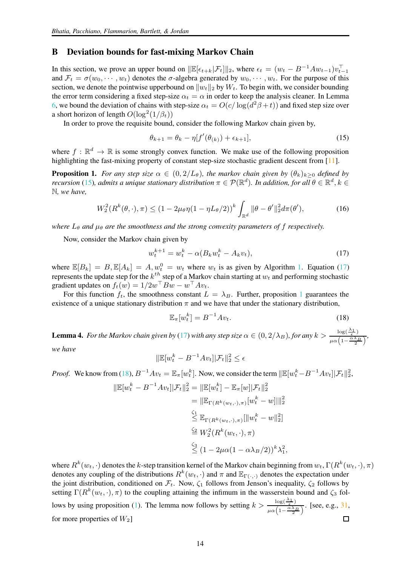#### <span id="page-13-0"></span>B Deviation bounds for fast-mixing Markov Chain

In this section, we prove an upper bound on  $\|\mathbb{E}[\epsilon_{t+k}|\mathcal{F}_t]\|_2$ , where  $\epsilon_t = (w_t - B^{-1}Aw_{t-1})v_{t-1}^{\top}$ and  $\mathcal{F}_t = \sigma(w_0, \dots, w_t)$  denotes the  $\sigma$ -algebra generated by  $w_0, \dots, w_t$ . For the purpose of this section, we denote the pointwise upperbound on  $||w_t||_2$  by  $W_t$ . To begin with, we consider bounding the error term considering a fixed step-size  $\alpha_t = \alpha$  in order to keep the analysis cleaner. In Lemma [6,](#page-16-0) we bound the deviation of chains with step-size  $\alpha_t = O(c/\log(d^2\beta + t))$  and fixed step size over a short horizon of length  $O(\log^2(1/\beta_t))$ 

In order to prove the requisite bound, consider the following Markov chain given by,

<span id="page-13-1"></span>
$$
\theta_{k+1} = \theta_k - \eta[f'(\theta_{(k)}) + \epsilon_{k+1}], \tag{15}
$$

where  $f : \mathbb{R}^d \to \mathbb{R}$  is some strongly convex function. We make use of the following proposition highlighting the fast-mixing property of constant step-size stochastic gradient descent from [\[11](#page-9-7)].

<span id="page-13-3"></span>**Proposition 1.** *For any step size*  $\alpha \in (0, 2/L_{\theta})$ *, the markov chain given by*  $(\theta_k)_{k>0}$  *defined by recursion* [\(15\)](#page-13-1), admits a unique stationary distribution  $\pi \in \mathcal{P}(\mathbb{R}^d)$ . In addition, for all  $\theta \in \mathbb{R}^d, k \in$ N*, we have,*

$$
W_2^2(R^k(\theta,\cdot),\pi) \le (1 - 2\mu_\theta \eta (1 - \eta L_\theta/2))^k \int_{\mathbb{R}^d} \|\theta - \theta'\|_2^2 d\pi(\theta'),\tag{16}
$$

*where*  $L_{\theta}$  *and*  $\mu_{\theta}$  *are the smoothness and the strong convexity parameters of f respectively.* 

Now, consider the Markov chain given by

<span id="page-13-2"></span>
$$
w_t^{k+1} = w_t^k - \alpha (B_k w_t^k - A_k v_t), \tag{17}
$$

where  $\mathbb{E}[B_k] = B, \mathbb{E}[A_k] = A, w_t^0 = w_t$  where  $w_t$  is as given by Algorithm [1.](#page-3-0) Equation [\(17\)](#page-13-2) represents the update step for the  $k^{th}$  step of a Markov chain starting at  $w_t$  and performing stochastic gradient updates on  $f_t(w) = 1/2w^\top Bw - w^\top Av_t$ .

For this function  $f_t$ , the smoothness constant  $L = \lambda_B$ . Further, proposition [1](#page-13-3) guarantees the existence of a unique stationary distribution  $\pi$  and we have that under the stationary distribution,

<span id="page-13-4"></span>
$$
\mathbb{E}_{\pi}[w_t^k] = B^{-1}Av_t.
$$
\n(18)

<span id="page-13-5"></span>**Lemma 4.** For the Markov chain given by [\(17\)](#page-13-2) with any step size  $\alpha \in (0, 2/\lambda_B)$ , for any  $k > \frac{\log(\frac{\lambda_1}{\epsilon})}{\log(1 - \frac{\alpha \lambda_1}{\epsilon})}$  $rac{\log(\frac{\epsilon}{2})}{\mu\alpha\left(1-\frac{\alpha\lambda_B}{2}\right)},$ *we have*

$$
\|\mathbb{E}[w_t^k - B^{-1}Av_t] | \mathcal{F}_t \|_2^2 \le \epsilon
$$

*Proof.* We know from [\(18\)](#page-13-4),  $B^{-1}Av_t = \mathbb{E}_{\pi}[w_t^k]$ . Now, we consider the term  $\|\mathbb{E}[w_t^k - B^{-1}Av_t] | \mathcal{F}_t \|_2^2$ ,

$$
\|\mathbb{E}[w_t^k - B^{-1}Av_t]|\mathcal{F}_t\|_2^2 = \|\mathbb{E}[w_t^k] - \mathbb{E}_{\pi}[w]|\mathcal{F}_t\|_2^2
$$
  
\n
$$
= \|\mathbb{E}_{\Gamma(R^k(w_t,\cdot),\pi)}[w_t^k - w]|\|_2^2
$$
  
\n
$$
\leq \mathbb{E}_{\Gamma(R^k(w_t,\cdot),\pi)}[\|w_t^k - w\|_2^2]
$$
  
\n
$$
\leq W_2^2(R^k(w_t,\cdot),\pi)
$$
  
\n
$$
\leq (1 - 2\mu\alpha(1 - \alpha\lambda_B/2))^k\lambda_1^2,
$$

where  $R^k(w_t, \cdot)$  denotes the k-step transition kernel of the Markov chain beginning from  $w_t$ ,  $\Gamma(R^k(w_t, \cdot), \pi)$ denotes any coupling of the distributions  $R^k(w_t, \cdot)$  and  $\pi$  and  $\mathbb{E}_{\Gamma(\cdot, \cdot)}$  denotes the expectation under the joint distribution, conditioned on  $\mathcal{F}_t$ . Now,  $\zeta_1$  follows from Jenson's inequality,  $\zeta_2$  follows by setting  $\Gamma(R^k(w_t, \cdot), \pi)$  to the coupling attaining the infimum in the wasserstein bound and  $\zeta_3$  fol-lows by using proposition [\(1\)](#page-13-3). The lemma now follows by setting  $k > \frac{\log(\frac{\lambda_1}{\epsilon})}{\sqrt{2\lambda_1}}$  $\frac{\log(\frac{\epsilon}{\epsilon})}{\mu \alpha \left(1 - \frac{\alpha \lambda_B}{2}\right)}$ . [see, e.g., [31](#page-10-10), for more properties of  $W_2$ ]  $\Box$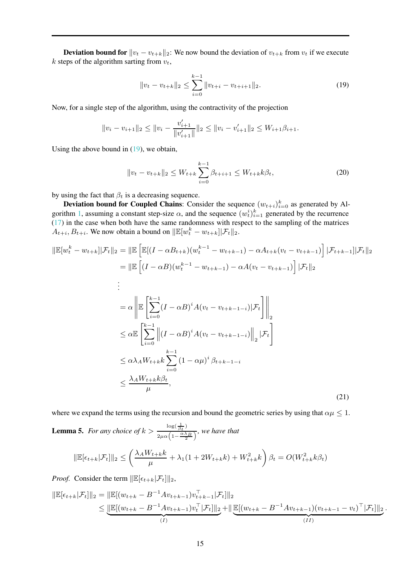**Deviation bound for**  $||v_t - v_{t+k}||_2$ : We now bound the deviation of  $v_{t+k}$  from  $v_t$  if we execute k steps of the algorithm sarting from  $v_t$ ,

<span id="page-14-0"></span>
$$
||v_t - v_{t+k}||_2 \le \sum_{i=0}^{k-1} ||v_{t+i} - v_{t+i+1}||_2.
$$
 (19)

Now, for a single step of the algorithm, using the contractivity of the projection

$$
||v_i - v_{i+1}||_2 \le ||v_i - \frac{v'_{i+1}}{||v'_{i+1}||}||_2 \le ||v_i - v'_{i+1}||_2 \le W_{i+1}\beta_{i+1}.
$$

Using the above bound in [\(19\)](#page-14-0), we obtain,

<span id="page-14-1"></span>
$$
||v_t - v_{t+k}||_2 \le W_{t+k} \sum_{i=0}^{k-1} \beta_{t+i+1} \le W_{t+k} k \beta_t,
$$
\n(20)

by using the fact that  $\beta_t$  is a decreasing sequence.

**Deviation bound for Coupled Chains**: Consider the sequence  $(w_{t+i})_{i=0}^k$  as generated by Al-gorithm [1,](#page-3-0) assuming a constant step-size  $\alpha$ , and the sequence  $(w_t^i)_{i=1}^k$  generated by the recurrence [\(17\)](#page-13-2) in the case when both have the same randomness with respect to the sampling of the matrices  $A_{t+i}, B_{t+i}$ . We now obtain a bound on  $\|\mathbb{E}[w_t^k - w_{t+k}] | \mathcal{F}_t \|_2$ .

$$
\|\mathbb{E}[w_{t}^{k} - w_{t+k}||\mathcal{F}_{t} \|_{2} = \|\mathbb{E}\left[\mathbb{E}[(I - \alpha B_{t+k})(w_{t}^{k-1} - w_{t+k-1}) - \alpha A_{t+k}(v_{t} - v_{t+k-1})]\right]|\mathcal{F}_{t+k-1}||\mathcal{F}_{t} \|_{2}
$$
\n
$$
= \|\mathbb{E}\left[(I - \alpha B)(w_{t}^{k-1} - w_{t+k-1}) - \alpha A(v_{t} - v_{t+k-1})\right]|\mathcal{F}_{t} \|_{2}
$$
\n
$$
\vdots
$$
\n
$$
= \alpha \left\|\mathbb{E}\left[\sum_{i=0}^{k-1} (I - \alpha B)^{i} A(v_{t} - v_{t+k-1-i})|\mathcal{F}_{t}\right]\right\|_{2}
$$
\n
$$
\leq \alpha \mathbb{E}\left[\sum_{i=0}^{k-1} \left\|(I - \alpha B)^{i} A(v_{t} - v_{t+k-1-i})\right\|_{2}|\mathcal{F}_{t}\right]
$$
\n
$$
\leq \alpha \lambda_{A} W_{t+k} k \sum_{i=0}^{k-1} (1 - \alpha \mu)^{i} \beta_{t+k-1-i}
$$
\n
$$
\leq \frac{\lambda_{A} W_{t+k} k \beta_{t}}{\mu}, \qquad (21)
$$

where we expand the terms using the recursion and bound the geometric series by using that  $\alpha\mu \leq 1$ .

<span id="page-14-3"></span>**Lemma 5.** For any choice of  $k > \frac{\log(\frac{1}{\beta_t})}{\log(\frac{\alpha\lambda}{\beta_t})}$  $\frac{2\mu\alpha\left(1-\frac{\alpha\lambda}{2}\right)}{2\mu\alpha\left(1-\frac{\alpha\lambda}{2}\right)}$ , we have that

<span id="page-14-2"></span>
$$
\|\mathbb{E}[\epsilon_{t+k}|\mathcal{F}_t]\|_2 \le \left(\frac{\lambda_A W_{t+k}k}{\mu} + \lambda_1(1+2W_{t+k}k) + W_{t+k}^2k\right)\beta_t = O(W_{t+k}^2k\beta_t)
$$

*Proof.* Consider the term  $\|\mathbb{E}[\epsilon_{t+k}|\mathcal{F}_t]\|_2$ ,

$$
\|\mathbb{E}[\epsilon_{t+k}|\mathcal{F}_t]\|_2 = \|\mathbb{E}[(w_{t+k} - B^{-1}Av_{t+k-1})v_{t+k-1}^\top|\mathcal{F}_t]\|_2
$$
  
\n
$$
\leq \underbrace{\|\mathbb{E}[(w_{t+k} - B^{-1}Av_{t+k-1})v_t^\top|\mathcal{F}_t]\|_2}_{(I)} + \|\underbrace{\mathbb{E}[(w_{t+k} - B^{-1}Av_{t+k-1})(v_{t+k-1} - v_t)^\top|\mathcal{F}_t]\|_2}_{(II)}.
$$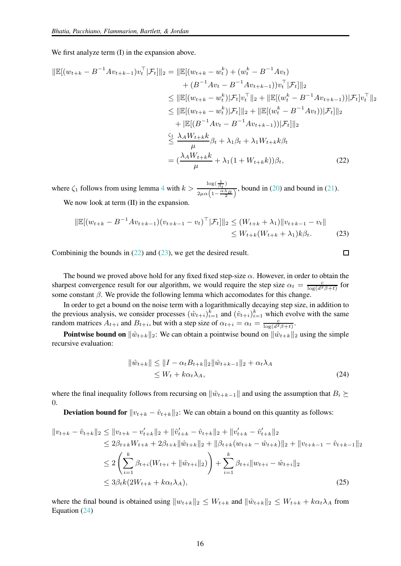We first analyze term (I) in the expansion above.

$$
\|\mathbb{E}[(w_{t+k} - B^{-1}Av_{t+k-1})v_t^{\top}|\mathcal{F}_t]\|_2 = \|\mathbb{E}[(w_{t+k} - w_t^k) + (w_t^k - B^{-1}Av_t) \\
+ (B^{-1}Av_t - B^{-1}Av_{t+k-1}))v_t^{\top}|\mathcal{F}_t]\|_2 \\
\leq \|\mathbb{E}[(w_{t+k} - w_t^k)|\mathcal{F}_t]v_t^{\top}\|_2 + \|\mathbb{E}[(w_t^k - B^{-1}Av_{t+k-1}))|\mathcal{F}_t]v_t^{\top}\|_2 \\
\leq \|\mathbb{E}[(w_{t+k} - w_t^k)|\mathcal{F}_t]\|_2 + \|\mathbb{E}[(w_t^k - B^{-1}Av_t))|\mathcal{F}_t]\|_2 \\
+ \|\mathbb{E}[(B^{-1}Av_t - B^{-1}Av_{t+k-1}))|\mathcal{F}_t]\|_2 \\
\leq \frac{\lambda_A W_{t+k}k}{\mu} \beta_t + \lambda_1 \beta_t + \lambda_1 W_{t+k} \beta_t \\
= (\frac{\lambda_A W_{t+k}k}{\mu} + \lambda_1 (1 + W_{t+k}k))\beta_t, \tag{22}
$$

where  $\zeta_1$  follows from using lemma [4](#page-13-5) with  $k > \frac{\log(\frac{1}{\beta_t})}{\log(\frac{\alpha\lambda}{\beta_t})}$  $\frac{\partial^2 \phi(t)}{\partial t^2}$ , bound in [\(20\)](#page-14-1) and bound in [\(21\)](#page-14-2). We now look at term (II) in the expansion.

$$
\|\mathbb{E}[(w_{t+k} - B^{-1}Av_{t+k-1})(v_{t+k-1} - v_t)^\top | \mathcal{F}_t] \|_2 \le (W_{t+k} + \lambda_1) \|v_{t+k-1} - v_t\|
$$
  
\$\le W\_{t+k}(W\_{t+k} + \lambda\_1)k\beta\_t\$. (23)

Combininig the bounds in [\(22\)](#page-15-0) and [\(23\)](#page-15-1), we get the desired result.

The bound we proved above hold for any fixed fixed step-size  $\alpha$ . However, in order to obtain the sharpest convergence result for our algorithm, we would require the step size  $\alpha_t = \frac{c}{\log(d^2\beta + t)}$  for some constant  $\beta$ . We provide the following lemma which accomodates for this change.

In order to get a bound on the noise term with a logarithmically decaying step size, in addition to the previous analysis, we consider processes  $(\hat{w}_{t+i})_{i=1}^k$  and  $(\hat{v}_{t+i})_{i=1}^k$  which evolve with the same random matrices  $A_{t+i}$  and  $B_{t+i}$ , but with a step size of  $\alpha_{t+i} = \alpha_t = \frac{c}{\log(d^2 \beta + t)}$ .

**Pointwise bound on**  $\|\hat{w}_{t+k}\|_2$ : We can obtain a pointwise bound on  $\|\hat{w}_{t+k}\|_2$  using the simple recursive evaluation:

$$
\|\hat{w}_{t+k}\| \le \|I - \alpha_t B_{t+k}\|_2 \|\hat{w}_{t+k-1}\|_2 + \alpha_t \lambda_A
$$
  
\$\le W\_t + k\alpha\_t \lambda\_A\$, \tag{24}

<span id="page-15-2"></span><span id="page-15-1"></span><span id="page-15-0"></span> $\Box$ 

where the final inequality follows from recursing on  $\|\hat{w}_{t+k-1}\|$  and using the assumption that  $B_i \succeq$ 0.

**Deviation bound for**  $||v_{t+k} - \hat{v}_{t+k}||_2$ : We can obtain a bound on this quantity as follows:

$$
||v_{t+k} - \hat{v}_{t+k}||_2 \le ||v_{t+k} - v'_{t+k}||_2 + ||\hat{v}'_{t+k} - \hat{v}_{t+k}||_2 + ||v'_{t+k} - \hat{v}'_{t+k}||_2
$$
  
\n
$$
\le 2\beta_{t+k}W_{t+k} + 2\beta_{t+k}||\hat{w}_{t+k}||_2 + ||\beta_{t+k}(w_{t+k} - \hat{w}_{t+k})||_2 + ||v_{t+k-1} - \hat{v}_{t+k-1}||_2
$$
  
\n
$$
\le 2\left(\sum_{i=1}^k \beta_{t+i}(W_{t+i} + ||\hat{w}_{t+i}||_2)\right) + \sum_{i=1}^k \beta_{t+i}||w_{t+i} - \hat{w}_{t+i}||_2
$$
  
\n
$$
\le 3\beta_t k(2W_{t+k} + k\alpha_t \lambda_A),
$$
\n(25)

where the final bound is obtained using  $||w_{t+k}||_2 \leq W_{t+k}$  and  $||\hat{w}_{t+k}||_2 \leq W_{t+k} + k\alpha_t\lambda_A$  from Equation [\(24\)](#page-15-2)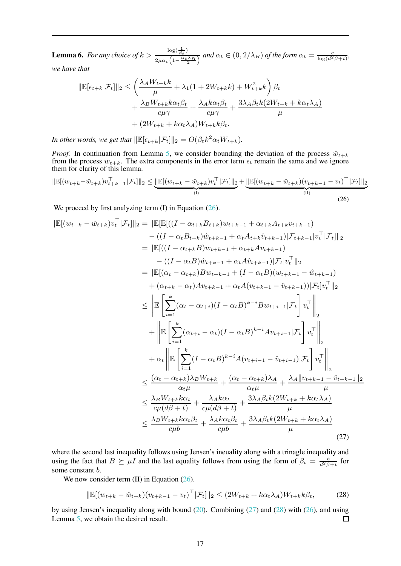<span id="page-16-0"></span>**Lemma 6.** For any choice of  $k > \frac{\log(\frac{1}{\beta_t})}{\log(\frac{\alpha_t}{\beta_t})}$  $\frac{1}{2\mu\alpha_t\left(1-\frac{\alpha_t\lambda_B}{t}\right)}$  and  $\alpha_t \in (0, 2/\lambda_B)$  of the form  $\alpha_t = \frac{c}{\log(d^2\beta+t)},$ 

*we have that*

$$
\|\mathbb{E}[\epsilon_{t+k}|\mathcal{F}_t]\|_2 \le \left(\frac{\lambda_A W_{t+k}k}{\mu} + \lambda_1 (1 + 2W_{t+k}k) + W_{t+k}^2 k\right) \beta_t + \frac{\lambda_B W_{t+k} k \alpha_t \beta_t}{c \mu \gamma} + \frac{\lambda_A k \alpha_t \beta_t}{c \mu \gamma} + \frac{3\lambda_A \beta_t k (2W_{t+k} + k \alpha_t \lambda_A)}{\mu} + (2W_{t+k} + k \alpha_t \lambda_A) W_{t+k} k \beta_t.
$$

*In other words, we get that*  $\|\mathbb{E}[\epsilon_{t+k}|\mathcal{F}_t]\|_2 = O(\beta_t k^2 \alpha_t W_{t+k}).$ 

*Proof.* In continuation from Lemma [5,](#page-14-3) we consider bounding the deviation of the process  $\hat{w}_{t+k}$ from the process  $w_{t+k}$ . The extra components in the error term  $\epsilon_t$  remain the same and we ignore them for clarity of this lemma.

<span id="page-16-1"></span>
$$
\|\mathbb{E}[(w_{t+k} - \hat{w}_{t+k})v_{t+k-1}^{\top}|\mathcal{F}_t]\|_2 \leq \underbrace{\|\mathbb{E}[(w_{t+k} - \hat{w}_{t+k})v_t^{\top}|\mathcal{F}_t]\|_2}_{(I)} + \underbrace{\|\mathbb{E}[(w_{t+k} - \hat{w}_{t+k})(v_{t+k-1} - v_t)^{\top}|\mathcal{F}_t]\|_2}_{(II)}
$$
\n(26)

We proceed by first analyzing term  $(I)$  in Equation  $(26)$ .

$$
\|\mathbb{E}[(w_{t+k} - \hat{w}_{t+k})v_{t}^{\top}|\mathcal{F}_{t}]\|_{2} = \|\mathbb{E}[\mathbb{E}[( (I - \alpha_{t+k}B_{t+k})w_{t+k-1} + \alpha_{t+k}A_{t+k}v_{t+k-1})
$$
  
\n
$$
- ((I - \alpha_{t}B_{t+k})\hat{w}_{t+k-1} + \alpha_{t}A_{t+k}\hat{v}_{t+k-1})|\mathcal{F}_{t+k-1}|v_{t}^{\top}|\mathcal{F}_{t}]\|_{2}
$$
\n
$$
= \|\mathbb{E}[( (I - \alpha_{t+k}B)w_{t+k-1} + \alpha_{t}A\hat{v}_{t+k-1})|\mathcal{F}_{t}|v_{t}^{\top}|\_{2}
$$
\n
$$
= \|\mathbb{E}[(\alpha_{t} - \alpha_{t+k})Bw_{t+k-1} + (I - \alpha_{t}B)(w_{t+k-1} - \hat{w}_{t+k-1})
$$
  
\n
$$
+ (\alpha_{t+k} - \alpha_{t})Av_{t+k-1} + \alpha_{t}A(v_{t+k-1} - \hat{v}_{t+k-1}))|\mathcal{F}_{t}|v_{t}^{\top}||_{2}
$$
\n
$$
\leq \|\mathbb{E}\left[\sum_{i=1}^{k}(\alpha_{t} - \alpha_{t+i})(I - \alpha_{t}B)^{k-i}Bw_{t+i-1}|\mathcal{F}_{t}\right]v_{t}^{\top}\|_{2}
$$
  
\n
$$
+ \alpha_{t}\|\mathbb{E}\left[\sum_{i=1}^{k}(\alpha_{t+i} - \alpha_{t})(I - \alpha_{t}B)^{k-i}Av_{t+i-1}|\mathcal{F}_{t}\right]v_{t}^{\top}\|_{2}
$$
  
\n
$$
\leq \frac{(\alpha_{t} - \alpha_{t+k})\lambda_{B}W_{t+k}}{\alpha_{t}\mu} + \frac{(\alpha_{t} - \alpha_{t+k})\lambda_{A}}{\alpha_{t}\mu} + \frac{\lambda_{A}\|v_{t+k-1} - \hat{v}_{t+k-1}\|_{2}}{\mu}
$$
  
\n
$$
\leq \frac{\lambda_{B}W_{t+k}k\alpha_{t}}{\alpha_{t}\mu} + \frac{\lambda_{A}k\alpha_{t}}{\alpha_{t}\mu} + \frac{3\lambda_{A}\beta_{t}k(2
$$

where the second last inequality follows using Jensen's ineuality along with a trinagle inequality and using the fact that  $B \succeq \mu I$  and the last equality follows from using the form of  $\beta_t = \frac{b}{d^2\beta + t}$  for some constant b.

We now consider term (II) in Equation [\(26\)](#page-16-1).

<span id="page-16-3"></span><span id="page-16-2"></span>
$$
\|\mathbb{E}[(w_{t+k} - \hat{w}_{t+k})(v_{t+k-1} - v_t)^\top | \mathcal{F}_t] \|_2 \le (2W_{t+k} + k\alpha_t \lambda_A)W_{t+k}k\beta_t,
$$
 (28)

by using Jensen's inequality along with bound [\(20\)](#page-14-1). Combining [\(27\)](#page-16-2) and [\(28\)](#page-16-3) with [\(26\)](#page-16-1), and using Lemma [5,](#page-14-3) we obtain the desired result. □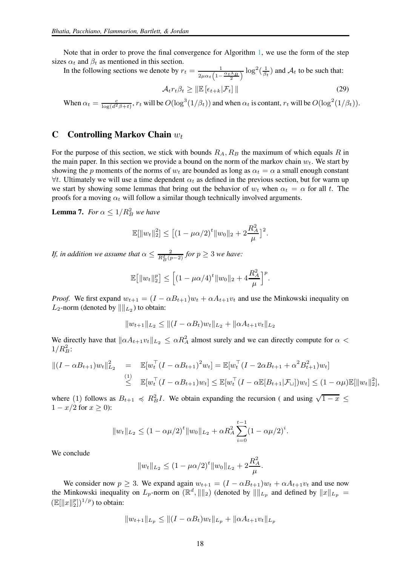Note that in order to prove the final convergence for Algorithm [1,](#page-3-0) we use the form of the step sizes  $\alpha_t$  and  $\beta_t$  as mentioned in this section.

In the following sections we denote by  $r_t = \frac{1}{2}$  $\frac{1}{2\mu\alpha_t\left(1-\frac{\alpha_t\lambda_B}{2}\right)}\log^2(\frac{1}{\beta_t})$  and  $\mathcal{A}_t$  to be such that:  $\mathcal{A}_{t} r_t \beta_t \geq \|\mathbb{E} \left[\epsilon_{t+k}|\mathcal{F}_t\right] \|$  (29)

When  $\alpha_t = \frac{c}{\log(d^2 \beta + t)}$ ,  $r_t$  will be  $O(\log^3(1/\beta_t))$  and when  $\alpha_t$  is contant,  $r_t$  will be  $O(\log^2(1/\beta_t))$ .

#### <span id="page-17-0"></span>C Controlling Markov Chain  $w_t$

For the purpose of this section, we stick with bounds  $R_A, R_B$  the maximum of which equals R in the main paper. In this section we provide a bound on the norm of the markov chain  $w_t$ . We start by showing the p moments of the norms of  $w_t$  are bounded as long as  $\alpha_t = \alpha$  a small enough constant  $\forall t$ . Ultimately we will use a time dependent  $\alpha_t$  as defined in the previous section, but for warm up we start by showing some lemmas that bring out the behavior of  $w_t$  when  $\alpha_t = \alpha$  for all t. The proofs for a moving  $\alpha_t$  will follow a similar though technically involved arguments.

<span id="page-17-1"></span>**Lemma 7.** *For*  $\alpha \leq 1/R_B^2$  *we have* 

$$
\mathbb{E}[\|w_t\|_2^2] \le [(1 - \mu \alpha/2)^t \|w_0\|_2 + 2\frac{R_A^2}{\mu}]^2.
$$

*If, in addition we assume that*  $\alpha \leq \frac{2}{R_B^2(p-2)}$  *for*  $p \geq 3$  *we have:* 

$$
\mathbb{E}\big[\|w_t\|_2^p\big] \le \Big[\big(1-\mu\alpha/4\big)^t \|w_0\|_2 + 4\frac{R_A^2}{\mu}\Big]^p.
$$

*Proof.* We first expand  $w_{t+1} = (I - \alpha B_{t+1})w_t + \alpha A_{t+1}v_t$  and use the Minkowski inequality on  $L_2$ -norm (denoted by  $\|\|_{L_2}$ ) to obtain:

$$
||w_{t+1}||_{L_2} \le ||(I - \alpha B_t)w_t||_{L_2} + ||\alpha A_{t+1}v_t||_{L_2}
$$

We directly have that  $\|\alpha A_{t+1}v_t\|_{L_2} \leq \alpha R_A^2$  almost surely and we can directly compute for  $\alpha$  $1/R_B^2$ :

$$
||(I - \alpha B_{t+1})w_t||_{L_2}^2 = \mathbb{E}[w_t^\top (I - \alpha B_{t+1})^2 w_t] = \mathbb{E}[w_t^\top (I - 2\alpha B_{t+1} + \alpha^2 B_{t+1}^2) w_t]
$$
  
\n
$$
\leq \mathbb{E}[w_t^\top (I - \alpha B_{t+1}) w_t] \leq \mathbb{E}[w_t^\top (I - \alpha \mathbb{E}[B_{t+1}|\mathcal{F}_u]) w_t] \leq (1 - \alpha \mu) \mathbb{E}[\|w_t\|_2^2],
$$

where (1) follows as  $B_{t+1} \preccurlyeq R_B^2 I$ . We obtain expanding the recursion (and using  $\sqrt{1-x} \leq$  $1 - x/2$  for  $x \ge 0$ ):

$$
||w_t||_{L_2} \le (1 - \alpha \mu/2)^t ||w_0||_{L_2} + \alpha R_A^2 \sum_{i=0}^{t-1} (1 - \alpha \mu/2)^i.
$$

We conclude

$$
||w_t||_{L_2} \le (1 - \mu \alpha/2)^t ||w_0||_{L_2} + 2\frac{R_A^2}{\mu}.
$$

We consider now  $p \ge 3$ . We expand again  $w_{t+1} = (I - \alpha B_{t+1})w_t + \alpha A_{t+1}v_t$  and use now the Minkowski inequality on  $L_p$ -norm on  $(\mathbb{R}^d, \|\|_2)$  (denoted by  $\|\|_{L_p}$  and defined by  $\|x\|_{L_p} =$  $(\mathbb{E}[\|x\|_2^p])^{1/p}$  to obtain:

$$
||w_{t+1}||_{L_p} \le ||(I - \alpha B_t)w_t||_{L_p} + ||\alpha A_{t+1}v_t||_{L_p}
$$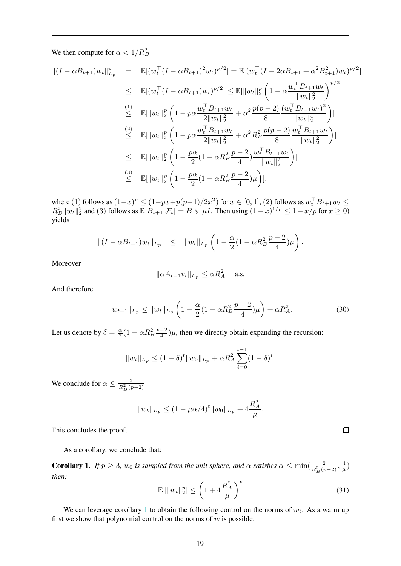We then compute for  $\alpha < 1/R_B^2$ 

$$
\begin{array}{rcl}\n\|(I - \alpha B_{t+1})w_t\|_{L_p}^p & = & \mathbb{E}[(w_t^\top (I - \alpha B_{t+1})^2 w_t)^{p/2}] = \mathbb{E}[(w_t^\top (I - 2\alpha B_{t+1} + \alpha^2 B_{t+1}^2)w_t)^{p/2}] \\
&\leq & \mathbb{E}[(w_t^\top (I - \alpha B_{t+1})w_t)^{p/2}] \leq \mathbb{E}[\|w_t\|_2^p \left(1 - \alpha \frac{w_t^\top B_{t+1}w_t}{\|w_t\|_2^2}\right)^{p/2}] \\
&\stackrel{(1)}{\leq} & \mathbb{E}[\|w_t\|_2^p \left(1 - p\alpha \frac{w_t^\top B_{t+1}w_t}{2\|w_t\|_2^2} + \alpha^2 \frac{p(p-2)}{8} \frac{(w_t^\top B_{t+1}w_t)^2}{\|w_t\|_2^4}\right)] \\
&\stackrel{(2)}{\leq} & \mathbb{E}[\|w_t\|_2^p \left(1 - p\alpha \frac{w_t^\top B_{t+1}w_t}{2\|w_t\|_2^2} + \alpha^2 R_B^2 \frac{p(p-2)}{8} \frac{w_t^\top B_{t+1}w_t}{\|w_t\|_2^2}\right)] \\
&\leq & \mathbb{E}[\|w_t\|_2^p \left(1 - \frac{p\alpha}{2}(1 - \alpha R_B^2 \frac{p-2}{4}) \frac{w_t^\top B_{t+1}w_t}{\|w_t\|_2^2}\right)] \\
&\stackrel{(3)}{\leq} & \mathbb{E}[\|w_t\|_2^p \left(1 - \frac{p\alpha}{2}(1 - \alpha R_B^2 \frac{p-2}{4})\mu\right)],\n\end{array}
$$

where (1) follows as  $(1-x)^p \le (1-px+p(p-1)/2x^2)$  for  $x \in [0,1]$ , (2) follows as  $w_t^{\top} B_{t+1} w_t \le$  $R_B^2 ||w_t||_2^2$  and (3) follows as  $\mathbb{E}[B_{t+1}|\mathcal{F}_t] = B \succcurlyeq \mu I$ . Then using  $(1-x)^{1/p} \leq 1-x/p$  for  $x \geq 0$ ) yields

$$
||(I - \alpha B_{t+1})w_t||_{L_p} \leq ||w_t||_{L_p} \left(1 - \frac{\alpha}{2}(1 - \alpha R_B^2 \frac{p-2}{4})\mu\right).
$$

Moreover

$$
\|\alpha A_{t+1}v_t\|_{L_p}\leq \alpha R_A^2 \quad \text{a.s.}
$$

And therefore

<span id="page-18-1"></span>
$$
||w_{t+1}||_{L_p} \le ||w_t||_{L_p} \left(1 - \frac{\alpha}{2}(1 - \alpha R_B^2 \frac{p-2}{4})\mu\right) + \alpha R_A^2.
$$
 (30)

Let us denote by  $\delta = \frac{\alpha}{2}(1 - \alpha R_B^2 \frac{p-2}{4})\mu$ , then we directly obtain expanding the recursion:

$$
||w_t||_{L_p} \le (1 - \delta)^t ||w_0||_{L_p} + \alpha R_A^2 \sum_{i=0}^{t-1} (1 - \delta)^i.
$$

We conclude for  $\alpha \leq \frac{2}{R_B^2(p-2)}$ 

$$
||w_t||_{L_p} \le (1 - \mu \alpha/4)^t ||w_0||_{L_p} + 4 \frac{R_A^2}{\mu}.
$$

This concludes the proof.

As a corollary, we conclude that:

<span id="page-18-0"></span>**Corollary 1.** If  $p \ge 3$ ,  $w_0$  is sampled from the unit sphere, and  $\alpha$  satisfies  $\alpha \le \min(\frac{2}{R_B^2(p-2)}, \frac{4}{\mu})$ *then:*

$$
\mathbb{E}\left[\|w_t\|_2^p\right] \le \left(1 + 4\frac{R_A^2}{\mu}\right)^p\tag{31}
$$

We can leverage corollary [1](#page-18-0) to obtain the following control on the norms of  $w_t$ . As a warm up first we show that polynomial control on the norms of  $w$  is possible.

 $\Box$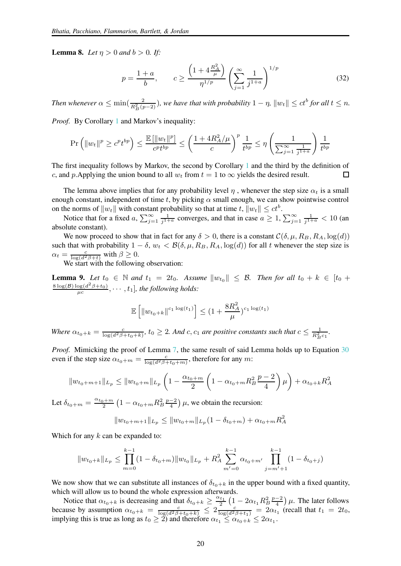**Lemma 8.** *Let*  $\eta > 0$  *and*  $b > 0$ *. If:* 

$$
p = \frac{1+a}{b}, \qquad c \ge \frac{\left(1 + 4\frac{R_A^2}{\mu}\right)}{\eta^{1/p}} \left(\sum_{j=1}^{\infty} \frac{1}{j^{1+a}}\right)^{1/p} \tag{32}
$$

*Then whenever*  $\alpha \le \min(\frac{2}{R_B^2(p-2)})$ , we have that with probability  $1 - \eta$ ,  $||w_t|| \le ct^b$  for all  $t \le n$ .

*Proof.* By Corollary [1](#page-18-0) and Markov's inequality:

$$
\Pr\left(\|w_t\|^p \ge c^p t^{bp}\right) \le \frac{\mathbb{E}\left[\|w_t\|^p\right]}{c^p t^{bp}} \le \left(\frac{1 + 4R_A^2/\mu}{c}\right)^p \frac{1}{t^{bp}} \le \eta \left(\frac{1}{\sum_{j=1}^{\infty} \frac{1}{j^{1+a}}}\right) \frac{1}{t^{bp}}
$$

The first inequality follows by Markov, the second by Corollary [1](#page-18-0) and the third by the definition of c, and p. Applying the union bound to all  $w_t$  from  $t = 1$  to  $\infty$  yields the desired result. П

The lemma above implies that for any probability level  $\eta$ , whenever the step size  $\alpha_t$  is a small enough constant, independent of time t, by picking  $\alpha$  small enough, we can show pointwise control on the norms of  $||w_t||$  with constant probability so that at time  $t$ ,  $||w_t|| \le ct^b$ .

Notice that for a fixed a,  $\sum_{j=1}^{\infty} \frac{1}{j^{1+a}}$  converges, and that in case  $a \ge 1$ ,  $\sum_{j=1}^{\infty} \frac{1}{j^{1+a}} < 10$  (and absolute constant).

We now proceed to show that in fact for any  $\delta > 0$ , there is a constant  $\mathcal{C}(\delta, \mu, R_B, R_A, \log(d))$ such that with probability  $1 - \delta$ ,  $w_t < \mathcal{B}(\delta, \mu, R_B, R_A, \log(d))$  for all t whenever the step size is  $\alpha_t = \frac{c}{\log(d^2\beta + t)}$  with  $\beta \geq 0$ .

We start with the following observation:

<span id="page-19-0"></span>**Lemma 9.** Let  $t_0 \in \mathbb{N}$  and  $t_1 = 2t_0$ . Assume  $\|w_{t_0}\| \leq \mathcal{B}$ . Then for all  $t_0 + k \in [t_0 + \mathcal{B}]$  $\frac{8 \log(B) \log(d^2 \beta + t_0)}{\mu c}, \cdots, t_1]$ , the following holds:

$$
\mathbb{E}\left[\|w_{t_0+k}\|^{c_1\log(t_1)}\right] \le (1+\frac{8R_A^2}{\mu})^{c_1\log(t_1)}
$$

*Where*  $\alpha_{t_0+k} = \frac{c}{\log(d^2\beta+t_0+k)}$ ,  $t_0 \geq 2$ . And c, c<sub>1</sub> are positive constants such that  $c \leq \frac{1}{R_B^2c_1}$ .

*Proof.* Mimicking the proof of Lemma [7,](#page-17-1) the same result of said Lemma holds up to Equation [30](#page-18-1) even if the step size  $\alpha_{t_0+m} = \frac{c}{\log(d^2\beta+t_0+m)}$ , therefore for any m:

$$
||w_{t_0+m+1}||_{L_p} \le ||w_{t_0+m}||_{L_p} \left(1 - \frac{\alpha_{t_0+m}}{2} \left(1 - \alpha_{t_0+m} R_B^2 \frac{p-2}{4}\right) \mu\right) + \alpha_{t_0+k} R_A^2
$$

Let  $\delta_{t_0+m} = \frac{\alpha_{t_0+m}}{2} \left(1 - \alpha_{t_0+m} R_B^2 \frac{p-2}{4}\right) \mu$ , we obtain the recursion:

$$
||w_{t_0+m+1}||_{L_p} \le ||w_{t_0+m}||_{L_p} (1 - \delta_{t_0+m}) + \alpha_{t_0+m} R_A^2
$$

Which for any  $k$  can be expanded to:

$$
||w_{t_0+k}||_{L_p} \le \prod_{m=0}^{k-1} (1 - \delta_{t_0+m}) ||w_{t_0}||_{L_p} + R_A^2 \sum_{m'=0}^{k-1} \alpha_{t_0+m'} \prod_{j=m'+1}^{k-1} (1 - \delta_{t_0+j})
$$

We now show that we can substitute all instances of  $\delta_{t_0+k}$  in the upper bound with a fixed quantity, which will allow us to bound the whole expression afterwards.

Notice that  $\alpha_{t_0+k}$  is decreasing and that  $\delta_{t_0+k} \geq \frac{\alpha_{t_1}}{2} \left(1 - 2\alpha_{t_1} R_B^2 \frac{p-2}{4}\right) \mu$ . The later follows because by assumption  $\alpha_{t_0+k} = \frac{c}{\log(d^2\beta+t_0+k)} \leq 2 \frac{c}{\log(d^2\beta+t_1)} = 2\alpha_{t_1}$  (recall that  $t_1 = 2t_0$ , implying this is true as long as  $t_0 \ge 2$ ) and therefore  $\alpha_{t_1} \le \alpha_{t_0+k} \le 2\alpha_{t_1}$ .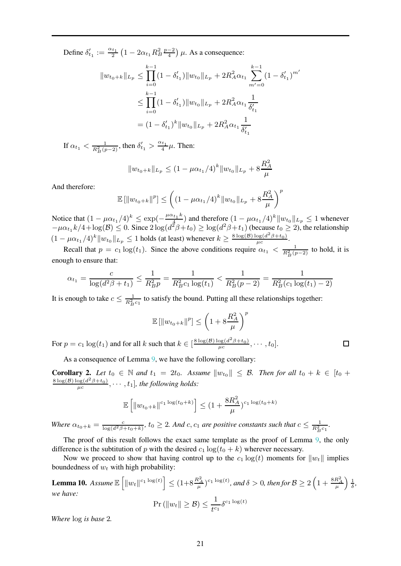Define  $\delta'_{t_1} := \frac{\alpha_{t_1}}{2} \left(1 - 2\alpha_{t_1} R_B^2 \frac{p-2}{4}\right) \mu$ . As a consequence:

$$
||w_{t_0+k}||_{L_p} \le \prod_{i=0}^{k-1} (1 - \delta'_{t_1}) ||w_{t_0}||_{L_p} + 2R_A^2 \alpha_{t_1} \sum_{m'=0}^{k-1} (1 - \delta'_{t_1})^{m'}
$$
  

$$
\le \prod_{i=0}^{k-1} (1 - \delta'_{t_1}) ||w_{t_0}||_{L_p} + 2R_A^2 \alpha_{t_1} \frac{1}{\delta'_{t_1}}
$$
  

$$
= (1 - \delta'_{t_1})^k ||w_{t_0}||_{L_p} + 2R_A^2 \alpha_{t_1} \frac{1}{\delta'_{t_1}}
$$

If  $\alpha_{t_1} < \frac{1}{R_B^2(p-2)}$ , then  $\delta'_{t_1} > \frac{\alpha_{t_1}}{4}\mu$ . Then:

$$
||w_{t_0+k}||_{L_p} \le (1 - \mu \alpha_{t_1}/4)^k ||w_{t_0}||_{L_p} + 8 \frac{R_A^2}{\mu}
$$

And therefore:

$$
\mathbb{E}[\|w_{t_0+k}\|^p] \le \left( (1 - \mu \alpha_{t_1}/4)^k \|w_{t_0}\|_{L_p} + 8\frac{R_A^2}{\mu} \right)^p
$$

Notice that  $(1 - \mu \alpha_{t_1}/4)^k \leq \exp(-\frac{\mu \alpha_{t_1} k}{4})$  $\frac{u_{t_1}k}{4}$ ) and therefore  $(1 - \mu \alpha_{t_1}/4)^k ||w_{t_0}||_{L_p} \le 1$  whenever  $-\mu\alpha_{t_1}k/4 + \log(B) \leq 0$ . Since  $2\log(d^2\beta+t_0) \geq \log(d^2\beta+t_1)$  (because  $t_0 \geq 2$ ), the relationship  $(1 - \mu \alpha_{t_1}/4)^k \|w_{t_0}\|_{L_p} \le 1$  holds (at least) whenever  $k \ge \frac{8 \log(B) \log(d^2 \beta + t_0)}{\mu c}$ .

Recall that  $p = c_1 \log(t_1)$ . Since the above conditions require  $\alpha_{t_1} < \frac{1}{R_B^2(p-2)}$  to hold, it is enough to ensure that:

$$
\alpha_{t_1} = \frac{c}{\log(d^2\beta + t_1)} \le \frac{1}{R_B^2 p} = \frac{1}{R_B^2 c_1 \log(t_1)} < \frac{1}{R_B^2 (p-2)} = \frac{1}{R_B^2 (c_1 \log(t_1) - 2)}
$$

It is enough to take  $c \leq \frac{1}{R_B^2 c_1}$  to satisfy the bound. Putting all these relationships together:

$$
\mathbb{E}[\|w_{t_0+k}\|^p] \le \left(1 + 8\frac{R_A^2}{\mu}\right)^p
$$

 $\Box$ 

For  $p = c_1 \log(t_1)$  and for all k such that  $k \in \left[\frac{8 \log(B) \log(d^2 \beta + t_0)}{\mu c}, \dots, t_0\right]$ .

As a consequence of Lemma [9,](#page-19-0) we have the following corollary:

**Corollary 2.** Let  $t_0 \in \mathbb{N}$  and  $t_1 = 2t_0$ . Assume  $\|w_{t_0}\| \leq \mathcal{B}$ . Then for all  $t_0 + k \in [t_0 + \mathcal{B}]$  $\frac{8 \log(B) \log(d^2 \beta + t_0)}{\mu c}, \cdots, t_1]$ , the following holds:

$$
\mathbb{E}\left[\|w_{t_0+k}\|^{c_1 \log(t_0+k)}\right] \le (1 + \frac{8R_A^2}{\mu})^{c_1 \log(t_0+k)}
$$

*Where*  $\alpha_{t_0+k} = \frac{c}{\log(d^2\beta+t_0+k)}$ ,  $t_0 \geq 2$ . And c, c<sub>1</sub> are positive constants such that  $c \leq \frac{1}{R_B^2c_1}$ .

The proof of this result follows the exact same template as the proof of Lemma [9,](#page-19-0) the only difference is the subtitution of p with the desired  $c_1 \log(t_0 + k)$  wherever necessary.

Now we proceed to show that having control up to the  $c_1 \log(t)$  moments for  $||w_t||$  implies boundedness of  $w_t$  with high probability:

<span id="page-20-0"></span>**Lemma 10.** Assume  $\mathbb{E}\left[\Vert w_t \Vert^{c_1\log(t)}\right] \leq (1+8\frac{R_A^2}{\mu})^{c_1\log(t)}$ , and  $\delta > 0$ , then for  $\mathcal{B} \geq 2\left(1+\frac{8R_A^2}{\mu}\right)\frac{1}{\delta}$ , *we have:*  $\Pr \left( \left\Vert w_{t}\right\Vert \geq \mathcal{B}\right) \leq \frac{1}{t^{c}}$  $\frac{1}{t^{c_1}}\delta^{c_1 \log(t)}$ 

*Where* log *is base* 2*.*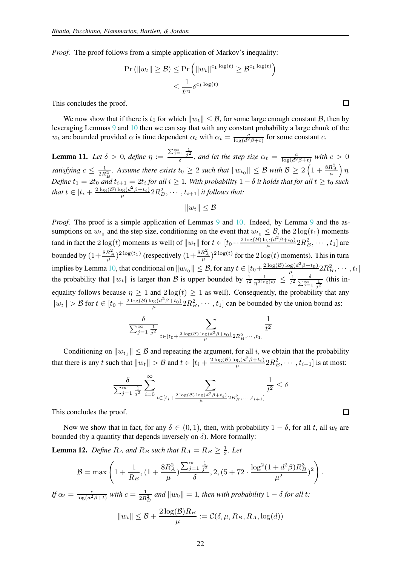*Proof.* The proof follows from a simple application of Markov's inequality:

$$
\Pr\left(\|w_t\| \ge \mathcal{B}\right) \le \Pr\left(\|w_t\|^{c_1 \log(t)} \ge \mathcal{B}^{c_1 \log(t)}\right)
$$

$$
\le \frac{1}{t^{c_1}} \delta^{c_1 \log(t)}
$$

This concludes the proof.

We now show that if there is t<sub>0</sub> for which  $||w_t|| \leq B$ , for some large enough constant B, then by leveraging Lemmas [9](#page-19-0) and [10](#page-20-0) then we can say that with any constant probability a large chunk of the  $w_t$  are bounded provided  $\alpha$  is time dependent  $\alpha_t$  with  $\alpha_t = \frac{c}{\log(d^2 \beta + t)}$  for some constant c.

<span id="page-21-0"></span>**Lemma 11.** Let  $\delta > 0$ , define  $\eta := \frac{\sum_{j=1}^{\infty} \frac{1}{j^2}}{\delta}$ , and let the step size  $\alpha_t = \frac{c}{\log(d^2 \beta + t)}$  with  $c > 0$ *satisfying*  $c \le \frac{1}{2R_B^2}$ . Assume there exists  $t_0 \ge 2$  such that  $||w_{t_0}|| \le \mathcal{B}$  with  $\mathcal{B} \ge 2\left(1 + \frac{8R_A^2}{\mu}\right)\eta$ .  $\textit{Define } t_1 = 2t_0 \textit{ and } t_{i+1} = 2t_i \textit{ for all } i \geq 1. \textit{ With probability } 1 - \delta \textit{ it holds that for all } t \geq t_0 \textit{ such that } t_0 = \delta t_0 \textit{ for all } t \geq 0.$ that  $t \in [t_i + \frac{2\log(B)\log(d^2\beta + t_i)}{\mu}2R_B^2, \cdots, t_{i+1}]$  *it follows that:* 

$$
||w_t|| \leq \mathcal{B}
$$

*Proof.* The proof is a simple application of Lemmas [9](#page-19-0) and [10.](#page-20-0) Indeed, by Lemma 9 and the assumptions on  $w_{t_0}$  and the step size, conditioning on the event that  $w_{t_0} \leq \mathcal{B}$ , the  $2 \log(t_1)$  moments (and in fact the  $2\log(t)$  moments as well) of  $||w_t||$  for  $t \in [t_0 + \frac{2\log(\mathcal{B})\log(d^2\beta + t_0)}{\mu}2R_B^2, \cdots, t_1]$  are bounded by  $\left(1+\frac{8R_A^2}{\mu}\right)^2\log(t_1)}$  (respectively  $\left(1+\frac{8R_A^2}{\mu}\right)^2\log(t)$  for the  $2\log(t)$  moments). This in turn  $\mu$  / (respectively  $\mu$   $\mu$ implies by Lemma [10,](#page-20-0) that conditional on  $||w_{t_0}|| \leq \mathcal{B}$ , for any  $t \in [t_0 + \frac{2 \log(\mathcal{B}) \log(d^2 \beta + t_0)}{\mu} 2R_B^2, \cdots, t_1]$ the probability that  $||w_t||$  is larger than B is upper bounded by  $\frac{1}{t^2} \frac{1}{\eta^{2 \log(t)}} \leq \frac{1}{t^2} \frac{\delta}{\sum_{j=1}^{\infty} \frac{1}{j^2}}$  (this inequality follows because  $\eta \geq 1$  and  $2\log(t) \geq 1$  as well). Consequently, the probability that any  $||w_t|| > \mathcal{B}$  for  $t \in [t_0 + \frac{2 \log(\mathcal{B}) \log(d^2 \beta + t_0)}{\mu} 2R_B^2, \cdots, t_1]$  can be bounded by the union bound as:

$$
\frac{\delta}{\sum_{j=1}^{\infty}\frac{1}{j^2}}\sum_{t\in [t_0+\frac{2\log(\mathcal{B})\log(d^2\beta+t_0)}{\mu}2R_B^2,\cdots,t_1]}\frac{1}{t^2}
$$

Conditioning on  $||w_{t_1}|| \leq B$  and repeating the argument, for all i, we obtain that the probability that there is any t such that  $||w_t|| > B$  and  $t \in [t_i + \frac{2 \log(B) \log(d^2 \beta + t_i)}{\mu} 2R_B^2, \dots, t_{i+1}]$  is at most:

$$
\frac{\delta}{\sum_{j=1}^\infty\frac{1}{j^2}}\sum_{i=0}^\infty\sum_{\substack{t\in[t_i+\frac{2\log(\mathcal{B})\log(d^2\beta+t_i)}{\mu}2R_B^2,\cdots,t_{i+1}]}}\frac{1}{t^2}\leq \delta
$$

This concludes the proof.

Now we show that in fact, for any  $\delta \in (0, 1)$ , then, with probability  $1 - \delta$ , for all t, all  $w_t$  are bounded (by a quantity that depends inversely on  $\delta$ ). More formally:

**Lemma 12.** Define  $R_A$  and  $R_B$  such that  $R_A = R_B \geq \frac{1}{2}$ . Let

$$
\mathcal{B} = \max\left(1 + \frac{1}{R_B}, \left(1 + \frac{8R_A^2}{\mu}\right) \frac{\sum_{j=1}^{\infty} \frac{1}{j^2}}{\delta}, 2, \left(5 + 72 \cdot \frac{\log^2(1 + d^2 \beta)R_B^3}{\mu^2}\right)^2\right).
$$

*If*  $\alpha_t = \frac{c}{\log(d^2\beta + t)}$  with  $c = \frac{1}{2R_B^2}$  and  $||w_0|| = 1$ , then with probability  $1 - \delta$  for all t:

$$
||w_t|| \leq \mathcal{B} + \frac{2\log(\mathcal{B})R_B}{\mu} := \mathcal{C}(\delta, \mu, R_B, R_A, \log(d))
$$

 $\Box$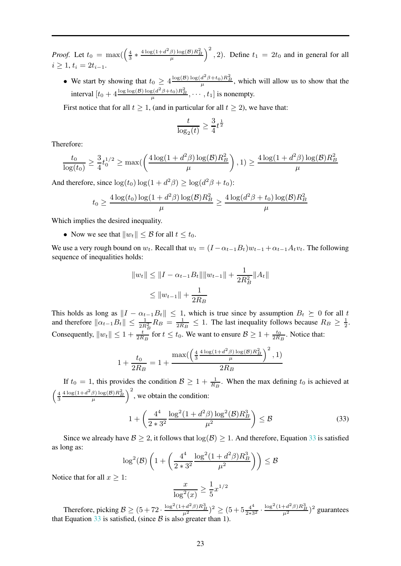*Proof.* Let  $t_0 = \max\left(\frac{4}{3} * \frac{4\log(1+d^2\beta)\log(B)R_B^2}{\mu}\right)^2$ , 2). Define  $t_1 = 2t_0$  and in general for all  $i > 1, t_i = 2t_{i-1}.$ 

• We start by showing that  $t_0 \geq 4 \frac{\log(B) \log(d^2 \beta + t_0) R_B^2}{\mu}$ , which will allow us to show that the interval  $[t_0 + 4 \frac{\log \log(B) \log(d^2 \beta + t_0) R_B^2}{\mu}, \dots, t_1]$  is nonempty.

First notice that for all  $t \geq 1$ , (and in particular for all  $t \geq 2$ ), we have that:

$$
\frac{t}{\log_2(t)} \ge \frac{3}{4}t^{\frac{1}{2}}
$$

Therefore:

$$
\frac{t_0}{\log(t_0)} \ge \frac{3}{4} t_0^{1/2} \ge \max\left(\frac{4\log(1+d^2\beta)\log(\beta)R_B^2}{\mu}\right), 1) \ge \frac{4\log(1+d^2\beta)\log(\beta)R_B^2}{\mu}
$$

And therefore, since  $\log(t_0) \log(1 + d^2 \beta) \ge \log(d^2 \beta + t_0)$ :

$$
t_0 \ge \frac{4\log(t_0)\log(1+d^2\beta)\log(\mathcal{B})R_B^2}{\mu} \ge \frac{4\log(d^2\beta+t_0)\log(\mathcal{B})R_B^2}{\mu}
$$

Which implies the desired inequality.

• Now we see that  $||w_t|| \leq \mathcal{B}$  for all  $t \leq t_0$ .

We use a very rough bound on  $w_t$ . Recall that  $w_t = (I - \alpha_{t-1}B_t)w_{t-1} + \alpha_{t-1}A_t v_t$ . The following sequence of inequalities holds:

$$
||w_t|| \le ||I - \alpha_{t-1}B_t|| ||w_{t-1}|| + \frac{1}{2R_B^2} ||A_t||
$$
  

$$
\le ||w_{t-1}|| + \frac{1}{2R_B}
$$

This holds as long as  $||I - \alpha_{t-1}B_t|| \le 1$ , which is true since by assumption  $B_t \succeq 0$  for all t and therefore  $\|\alpha_{t-1}B_t\| \le \frac{1}{2R_B}R_B = \frac{1}{2R_B} \le 1$ . The last inequality follows because  $R_B \ge \frac{1}{2}$ . Consequently,  $||w_t|| \leq 1 + \frac{t}{2R_B}$  for  $t \leq t_0$ . We want to ensure  $B \geq 1 + \frac{t_0}{2R_B}$ . Notice that:

$$
1 + \frac{t_0}{2R_B} = 1 + \frac{\max(\left(\frac{4}{3}\frac{4\log(1+d^2\beta)\log(B)R_B^2}{\mu}\right)^2, 1)}{2R_B}
$$

If  $t_0 = 1$ , this provides the condition  $B \ge 1 + \frac{1}{R_B}$ . When the max defining  $t_0$  is achieved at  $\left(\frac{4}{3}\frac{4\log(1+d^2\beta)\log(B)R_B^2}{\mu}\right)^2$ , we obtain the condition:

<span id="page-22-0"></span>
$$
1 + \left(\frac{4^4}{2*3^2} \frac{\log^2(1+d^2\beta)\log^2(\mathcal{B})R_B^3}{\mu^2}\right) \le \mathcal{B}
$$
 (33)

Since we already have  $\mathcal{B} \geq 2$ , it follows that  $\log(\mathcal{B}) \geq 1$ . And therefore, Equation [33](#page-22-0) is satisfied as long as:

$$
\log^2(\mathcal{B})\left(1+\left(\frac{4^4}{2*3^2}\frac{\log^2(1+d^2\beta)R_B^3}{\mu^2}\right)\right)\leq \mathcal{B}
$$

Notice that for all  $x \geq 1$ :

$$
\frac{x}{\log^2(x)} \ge \frac{1}{5} x^{1/2}
$$

Therefore, picking  $\mathcal{B} \ge (5 + 72 \cdot \frac{\log^2(1+d^2\beta)R_B^3}{\mu^2})^2 \ge (5 + 5\frac{4^4}{2*3^2} \cdot \frac{\log^2(1+d^2\beta)R_B^3}{\mu^2})^2$  guarantees that Equation  $33$  is satisfied, (since  $\beta$  is also greater than 1).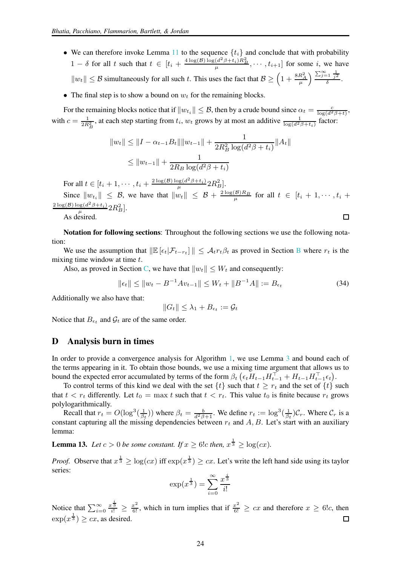- We can therefore invoke Lemma [11](#page-21-0) to the sequence  $\{t_i\}$  and conclude that with probability  $1 - \delta$  for all t such that  $t \in [t_i + \frac{4 \log(\mathcal{B}) \log(d^2 \beta + t_i) R_B^2}{\mu}, \dots, t_{i+1}]$  for some i, we have  $||w_t|| \leq \mathcal{B}$  simultaneously for all such t. This uses the fact that  $\mathcal{B} \geq \left(1 + \frac{8R_A^2}{\mu}\right) \frac{\sum_{j=1}^{\infty} \frac{1}{j^2}}{\delta}$ .
- The final step is to show a bound on  $w_t$  for the remaining blocks.

For the remaining blocks notice that if  $||w_{t_i}|| \leq \mathcal{B}$ , then by a crude bound since  $\alpha_t = \frac{c}{\log(d^2 \beta + t)}$ , with  $c = \frac{1}{2R_B^2}$ , at each step starting from  $t_i$ ,  $w_t$  grows by at most an additive  $\frac{1}{\log(d^2\beta + t_i)}$  factor:

$$
||w_t|| \le ||I - \alpha_{t-1}B_t|| ||w_{t-1}|| + \frac{1}{2R_B^2 \log(d^2\beta + t_i)} ||A_t||
$$
  

$$
\le ||w_{t-1}|| + \frac{1}{2R_B \log(d^2\beta + t_i)}
$$

For all  $t \in [t_i + 1, \dots, t_i + \frac{2 \log(B) \log(d^2 \beta + t_i)}{\mu} 2R_B^2]$ .

Since  $\|w_{t_i}\| \leq \mathcal{B}$ , we have that  $\|w_t\| \leq \mathcal{B} + \frac{2 \log(\mathcal{B}) R_B}{\mu}$  for all  $t \in [t_i + 1, \dots, t_i +$  $\frac{2 \log(\mathcal{B}) \log(d^2\beta+t_i)}{\mu} 2R_B^2$ .

As desired.

Notation for following sections: Throughout the following sections we use the following notation:

We use the assumption that  $\|\mathbb{E}\left[\epsilon_t|\mathcal{F}_{t-r_t}\right]\| \leq \mathcal{A}_t r_t \beta_t$  as proved in Section [B](#page-13-0) where  $r_t$  is the mixing time window at time  $t$ .

Also, as proved in Section [C,](#page-17-0) we have that  $||w_t|| \leq W_t$  and consequently:

$$
\|\epsilon_t\| \le \|w_t - B^{-1}Av_{t-1}\| \le W_t + \|B^{-1}A\| := B_{\epsilon_t}
$$
\n(34)

 $\Box$ 

Additionally we also have that:

 $||G_t|| \leq \lambda_1 + B_{\epsilon_t} := \mathcal{G}_t$ 

Notice that  $B_{\epsilon_t}$  and  $\mathcal{G}_t$  are of the same order.

### <span id="page-23-0"></span>D Analysis burn in times

In order to provide a convergence analysis for Algorithm [1,](#page-3-0) we use Lemma [3](#page-12-1) and bound each of the terms appearing in it. To obtain those bounds, we use a mixing time argument that allows us to bound the expected error accumulated by terms of the form  $\beta_t \left( \epsilon_t H_{t-1} H_{t-1}^\top + H_{t-1} H_{t-1}^\top \epsilon_t \right)$ .

To control terms of this kind we deal with the set  $\{t\}$  such that  $t \geq r_t$  and the set of  $\{t\}$  such that  $t < r_t$  differently. Let  $t_0 = \max t$  such that  $t < r_t$ . This value  $t_0$  is finite because  $r_t$  grows polylogarithmically.

Recall that  $r_t = O(\log^3(\frac{1}{\beta_t}))$  where  $\beta_t = \frac{b}{d^2\beta + 1}$ . We define  $r_t := \log^3(\frac{1}{\beta_t})\mathcal{C}_r$ . Where  $\mathcal{C}_r$  is a constant capturing all the missing dependencies between  $r_t$  and  $A, B$ . Let's start with an auxiliary lemma:

<span id="page-23-1"></span>**Lemma 13.** Let  $c > 0$  be some constant. If  $x \ge 6!c$  then,  $x^{\frac{1}{3}} \ge \log(cx)$ .

*Proof.* Observe that  $x^{\frac{1}{3}} \ge \log(cx)$  iff  $\exp(x^{\frac{1}{3}}) \ge cx$ . Let's write the left hand side using its taylor series:

$$
\exp(x^{\frac{1}{3}}) = \sum_{i=0}^{\infty} \frac{x^{\frac{i}{3}}}{i!}
$$

Notice that  $\sum_{i=0}^{\infty} \frac{x^{\frac{i}{3}}}{i!} \geq \frac{x^2}{6!}$ , which in turn implies that if  $\frac{x^2}{6!} \geq cx$  and therefore  $x \geq 6!c$ , then  $\exp(x^{\frac{1}{3}}) \geq cx$ , as desired.  $\Box$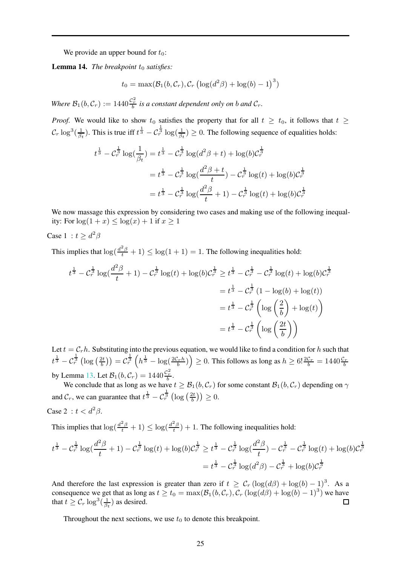We provide an upper bound for  $t_0$ :

**Lemma 14.** *The breakpoint*  $t_0$  *satisfies:* 

$$
t_0 = \max(\mathcal{B}_1(b, \mathcal{C}_r), \mathcal{C}_r \left(\log(d^2\beta) + \log(b) - 1\right)^3)
$$

*Where*  $B_1(b, C_r) := 1440 \frac{c_r^2}{b}$  *is a constant dependent only on b and*  $C_r$ *.* 

*Proof.* We would like to show  $t_0$  satisfies the property that for all  $t \geq t_0$ , it follows that  $t \geq$  $\mathcal{C}_r \log^3(\frac{1}{\beta_t})$ . This is true iff  $t^{\frac{1}{3}} - \mathcal{C}_r^{\frac{1}{3}} \log(\frac{1}{\beta_t}) \ge 0$ . The following sequence of equalities holds:

$$
t^{\frac{1}{3}} - C_r^{\frac{1}{3}} \log(\frac{1}{\beta_t}) = t^{\frac{1}{3}} - C_r^{\frac{1}{3}} \log(d^2 \beta + t) + \log(b)C_r^{\frac{1}{3}}
$$
  
=  $t^{\frac{1}{3}} - C_r^{\frac{1}{3}} \log(\frac{d^2 \beta + t}{t}) - C_r^{\frac{1}{3}} \log(t) + \log(b)C_r^{\frac{1}{3}}$   
=  $t^{\frac{1}{3}} - C_r^{\frac{1}{3}} \log(\frac{d^2 \beta}{t} + 1) - C_r^{\frac{1}{3}} \log(t) + \log(b)C_r^{\frac{1}{3}}$ 

We now massage this expression by considering two cases and making use of the following inequality: For  $\log(1+x) \leq \log(x) + 1$  if  $x \geq 1$ 

Case 1 :  $t \geq d^2\beta$ 

This implies that  $\log(\frac{d^2\beta}{t} + 1) \leq \log(1 + 1) = 1$ . The following inequalities hold:

$$
t^{\frac{1}{3}} - C_r^{\frac{1}{3}} \log(\frac{d^2 \beta}{t} + 1) - C_r^{\frac{1}{3}} \log(t) + \log(b)C_r^{\frac{1}{3}} \ge t^{\frac{1}{3}} - C_r^{\frac{1}{3}} - C_r^{\frac{1}{3}} \log(t) + \log(b)C_r^{\frac{1}{3}}
$$
  
=  $t^{\frac{1}{3}} - C_r^{\frac{1}{3}}$   $(1 - \log(b) + \log(t))$   
=  $t^{\frac{1}{3}} - C_r^{\frac{1}{3}}$   $\left(\log\left(\frac{2}{b}\right) + \log(t)\right)$   
=  $t^{\frac{1}{3}} - C_r^{\frac{1}{3}}$   $\left(\log\left(\frac{2t}{b}\right)\right)$ 

Let  $t = C<sub>r</sub>h$ . Substituting into the previous equation, we would like to find a condition for h such that  $t^{\frac{1}{3}} - C_r^{\frac{1}{3}} (\log(\frac{2t}{b})) = C_r^{\frac{1}{3}} (h^{\frac{1}{3}} - \log(\frac{2C_r h}{b})) \ge 0$ . This follows as long as  $h \ge 6! \frac{2C_r}{b} = 1440 \frac{C_r}{b}$ by Lemma [13.](#page-23-1) Let  $B_1(b, C_r) = 1440 \frac{C_r^2}{b}$ .

We conclude that as long as we have  $t \geq \mathcal{B}_1(b, \mathcal{C}_r)$  for some constant  $\mathcal{B}_1(b, \mathcal{C}_r)$  depending on  $\gamma$ and  $\mathcal{C}_r$ , we can guarantee that  $t^{\frac{1}{3}} - \mathcal{C}_r^{\frac{1}{3}}\left(\log\left(\frac{2t}{b}\right)\right) \geq 0$ .

Case 2 : 
$$
t < d^2\beta
$$
.

This implies that  $\log(\frac{d^2\beta}{t}+1) \leq \log(\frac{d^2\beta}{t})+1$ . The following inequalities hold:

$$
t^{\frac{1}{3}} - C_r^{\frac{1}{3}} \log(\frac{d^2 \beta}{t} + 1) - C_r^{\frac{1}{3}} \log(t) + \log(b)C_r^{\frac{1}{3}} \ge t^{\frac{1}{3}} - C_r^{\frac{1}{3}} \log(\frac{d^2 \beta}{t}) - C_r^{\frac{1}{3}} - C_r^{\frac{1}{3}} \log(t) + \log(b)C_r^{\frac{1}{3}}
$$
  
=  $t^{\frac{1}{3}} - C_r^{\frac{1}{3}} \log(d^2 \beta) - C_r^{\frac{1}{3}} + \log(b)C_r^{\frac{1}{3}}$ 

And therefore the last expression is greater than zero if  $t \geq C_r (\log(d\beta) + \log(b) - 1)^3$ . As a consequence we get that as long as  $t \ge t_0 = \max(\mathcal{B}_1(b, \mathcal{C}_r), \mathcal{C}_r(\log(d\beta) + \log(b) - 1)^3)$  we have that  $t \geq C_r \log^3(\frac{1}{\beta_t})$  as desired.  $\Box$ 

Throughout the next sections, we use  $t_0$  to denote this breakpoint.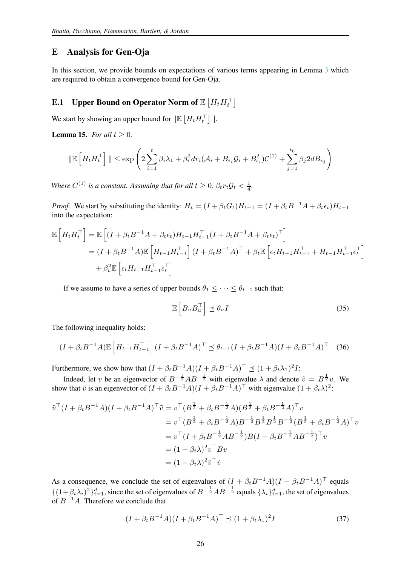## <span id="page-25-0"></span>E Analysis for Gen-Oja

In this section, we provide bounds on expectations of various terms appearing in Lemma [3](#page-12-1) which are required to obtain a convergence bound for Gen-Oja.

# <span id="page-25-1"></span>**E.1** Upper Bound on Operator Norm of  $\mathbb{E}\left[H_t H_t^\top\right]$

We start by showing an upper bound for  $\|\mathbb{E}\left[H_t H_t^{\top}\right]\|$ .

<span id="page-25-3"></span>**Lemma 15.** *For all*  $t \geq 0$ *:* 

$$
\|\mathbb{E}\left[H_tH_t^{\top}\right]\| \leq \exp\left(2\sum_{i=1}^t \beta_i\lambda_1 + \beta_i^2 dr_i(\mathcal{A}_i + B_{\epsilon_i}\mathcal{G}_i + B_{\epsilon_i}^2)\mathcal{C}^{(1)} + \sum_{j=1}^{t_0} \beta_j 2d B_{\epsilon_j}\right)
$$

*Where*  $C^{(1)}$  *is a constant. Assuming that for all*  $t \geq 0$ ,  $\beta_t r_t \mathcal{G}_t < \frac{1}{4}$ *.* 

*Proof.* We start by substituting the identity:  $H_t = (I + \beta_t G_t)H_{t-1} = (I + \beta_t B^{-1}A + \beta_t \epsilon_t)H_{t-1}$ into the expectation:

$$
\mathbb{E}\left[H_t H_t^{\top}\right] = \mathbb{E}\left[(I + \beta_t B^{-1} A + \beta_t \epsilon_t) H_{t-1} H_{t-1}^{\top} (I + \beta_t B^{-1} A + \beta_t \epsilon_t)^{\top}\right]
$$
  
=  $(I + \beta_t B^{-1} A)\mathbb{E}\left[H_{t-1} H_{t-1}^{\top}\right] (I + \beta_t B^{-1} A)^{\top} + \beta_t \mathbb{E}\left[\epsilon_t H_{t-1} H_{t-1}^{\top} + H_{t-1} H_{t-1}^{\top} \epsilon_t^{\top}\right]$   
+  $\beta_t^2 \mathbb{E}\left[\epsilon_t H_{t-1} H_{t-1}^{\top} \epsilon_t^{\top}\right]$ 

If we assume to have a series of upper bounds  $\theta_1 \leq \cdots \leq \theta_{t-1}$  such that:

$$
\mathbb{E}\left[B_u B_u^\top\right] \preceq \theta_u I \tag{35}
$$

The following inequality holds:

<span id="page-25-2"></span>
$$
(I + \beta_t B^{-1} A) \mathbb{E} \left[ H_{t-1} H_{t-1}^{\top} \right] (I + \beta_t B^{-1} A)^{\top} \preceq \theta_{t-1} (I + \beta_t B^{-1} A) (I + \beta_t B^{-1} A)^{\top} \tag{36}
$$

Furthermore, we show how that  $(I + \beta_t B^{-1}A)(I + \beta_t B^{-1}A)^{\top} \preceq (1 + \beta_t \lambda_1)^2 I$ :

Indeed, let v be an eigenvector of  $B^{-\frac{1}{2}}AB^{-\frac{1}{2}}$  with eigenvalue  $\lambda$  and denote  $\tilde{v} = B^{\frac{1}{2}}v$ . We show that  $\tilde{v}$  is an eigenvector of  $(I + \beta_t B^{-1}A)(I + \beta_t B^{-1}A)^{\top}$  with eigenvalue  $(1 + \beta_t \lambda)^2$ :

$$
\tilde{v}^{\top}(I + \beta_t B^{-1}A)(I + \beta_t B^{-1}A)^{\top}\tilde{v} = v^{\top}(B^{\frac{1}{2}} + \beta_t B^{-\frac{1}{2}}A)(B^{\frac{1}{2}} + \beta_t B^{-\frac{1}{2}}A)^{\top}v
$$
\n
$$
= v^{\top}(B^{\frac{1}{2}} + \beta_t B^{-\frac{1}{2}}A)B^{-\frac{1}{2}}B^{\frac{1}{2}}B^{\frac{1}{2}}B^{-\frac{1}{2}}(B^{\frac{1}{2}} + \beta_t B^{-\frac{1}{2}}A)^{\top}v
$$
\n
$$
= v^{\top}(I + \beta_t B^{-\frac{1}{2}}AB^{-\frac{1}{2}})B(I + \beta_t B^{-\frac{1}{2}}AB^{-\frac{1}{2}})^{\top}v
$$
\n
$$
= (1 + \beta_t \lambda)^2 v^{\top} Bv
$$
\n
$$
= (1 + \beta_t \lambda)^2 \tilde{v}^{\top}\tilde{v}
$$

As a consequence, we conclude the set of eigenvalues of  $(I + \beta_t B^{-1}A)(I + \beta_t B^{-1}A)^{\top}$  equals  $\{(1+\beta_t\lambda_i)^2\}_{i=1}^d$ , since the set of eigenvalues of  $B^{-\frac{1}{2}}AB^{-\frac{1}{2}}$  equals  $\{\lambda_i\}_{i=1}^d$ , the set of eigenvalues of  $B^{-1}A$ . Therefore we conclude that

<span id="page-25-4"></span>
$$
(I + \beta_t B^{-1} A)(I + \beta_t B^{-1} A)^{\top} \preceq (1 + \beta_t \lambda_1)^2 I \tag{37}
$$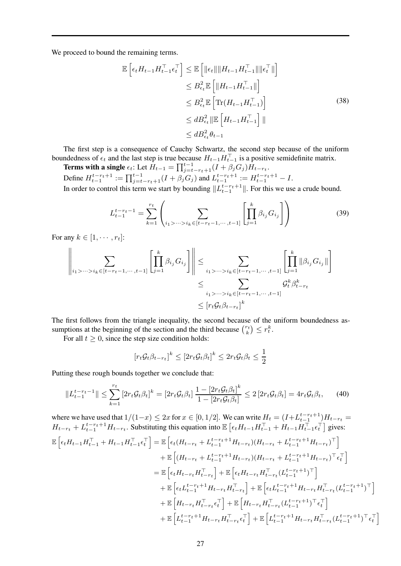We proceed to bound the remaining terms.

<span id="page-26-0"></span>
$$
\mathbb{E}\left[\epsilon_{t}H_{t-1}H_{t-1}^{\top}\epsilon_{t}^{\top}\right] \leq \mathbb{E}\left[\|\epsilon_{t}\|\|H_{t-1}H_{t-1}^{\top}\|\|\epsilon_{t}^{\top}\|\right] \n\leq B_{\epsilon_{t}}^{2}\mathbb{E}\left[\|H_{t-1}H_{t-1}^{\top}\|\right] \n\leq B_{\epsilon_{t}}^{2}\mathbb{E}\left[\text{Tr}(H_{t-1}H_{t-1}^{\top})\right] \n\leq dB_{\epsilon_{t}}^{2}\|\mathbb{E}\left[H_{t-1}H_{t-1}^{\top}\right]\| \n\leq dB_{\epsilon_{t}}^{2}\theta_{t-1}
$$
\n(38)

The first step is a consequence of Cauchy Schwartz, the second step because of the uniform boundedness of  $\epsilon_t$  and the last step is true because  $H_{t-1}H_{t-1}^{\perp}$  is a positive semidefinite matrix.

Terms with a single  $\epsilon_t$ : Let  $H_{t-1} = \prod_{j=t-r_t+1}^{t-1} (I + \beta_j G_j) H_{t-r_t}$ . Define  $H_{t-1}^{t-r_t+1} := \prod_{j=t-r_t+1}^{t-1} (I + \beta_j G_j)$  and  $L_{t-1}^{t-r_t+1} := H_{t-1}^{t-r_t+1} - I$ .

In order to control this term we start by bounding  $||L_{t-1}^{t-r_t+1}||$ . For this we use a crude bound.

$$
L_{t-1}^{t-r_t-1} = \sum_{k=1}^{r_t} \left( \sum_{i_1 > \dots > i_k \in [t-r_t-1, \dots, t-1]} \left[ \prod_{j=1}^k \beta_{i_j} G_{i_j} \right] \right)
$$
(39)

For any  $k \in [1, \cdots, r_t]$ :

$$
\left\| \sum_{i_1 > \dots > i_k \in [t-r_t-1, \dots, t-1]} \left[ \prod_{j=1}^k \beta_{i_j} G_{i_j} \right] \right\| \leq \sum_{i_1 > \dots > i_k \in [t-r_t-1, \dots, t-1]} \left[ \prod_{j=1}^k \|\beta_{i_j} G_{i_j}\| \right]
$$
  

$$
\leq \sum_{i_1 > \dots > i_k \in [t-r_t-1, \dots, t-1]} G_t^k \beta_{t-r_t}
$$
  

$$
\leq [r_t \mathcal{G}_t \beta_{t-r_t}]^k
$$

The first follows from the triangle inequality, the second because of the uniform boundedness assumptions at the beginning of the section and the third because  $\binom{r_t}{k} \leq r_t^k$ .

For all  $t \geq 0$ , since the step size condition holds:

$$
[r_t \mathcal{G}_t \beta_{t-r_t}]^k \leq [2r_t \mathcal{G}_t \beta_t]^k \leq 2r_t \mathcal{G}_t \beta_t \leq \frac{1}{2}
$$

Putting these rough bounds together we conclude that:

<span id="page-26-1"></span>
$$
||L_{t-1}^{t-r_t-1}|| \le \sum_{k=1}^{r_t} \left[2r_t \mathcal{G}_t \beta_t\right]^k = \left[2r_t \mathcal{G}_t \beta_t\right] \frac{1 - \left[2r_t \mathcal{G}_t \beta_t\right]^k}{1 - \left[2r_t \mathcal{G}_t \beta_t\right]} \le 2\left[2r_t \mathcal{G}_t \beta_t\right] = 4r_t \mathcal{G}_t \beta_t,\tag{40}
$$

where we have used that  $1/(1-x) \leq 2x$  for  $x \in [0,1/2]$ . We can write  $H_t = (I + L_{t-1}^{t-r_t+1})H_{t-r_t}$ where we have used that  $1/(1-x) \leq 2x$  for  $x \in [0, 1/2]$ . We can write  $H_t = (1+2t_{t-1})$   $H_{t-t}$   $H_{t-1}$   $H_{t-1}$   $H_{t-1}$   $H_{t-1}$   $H_{t-1}$   $H_{t-1}$   $H_{t-1}$   $H_{t-1}$   $H_{t-1}$   $H_{t-1}$   $H_{t-1}$   $H_{t-1}$   $H_{t-1}$   $H_{t-1}$   $\mathbb{E}\left[\epsilon_{t}H_{t-1}H_{t-1}^{\top}+H_{t-1}H_{t-1}^{\top}\epsilon_{t}^{\top}\right]=\mathbb{E}\left[\epsilon_{t}(H_{t-r_{t}}+L_{t-1}^{t-r_{t}+1}H_{t-r_{t}})(H_{t-r_{t}}+L_{t-1}^{t-r_{t}+1}H_{t-r_{t}})^{\top}\right]$  $+ \mathbb{E}\left[ (H_{t-r_t} + L_{t-1}^{t-r_t+1} H_{t-r_t}) (H_{t-r_t} + L_{t-1}^{t-r_t+1} H_{t-r_t})^\top \epsilon_t^\top \right]$  $= \mathbb{E}\left[\epsilon_t H_{t-r_t} H_{t-r_t}^\top\right] + \mathbb{E}\left[\epsilon_t H_{t-r_t} H_{t-r_t}^\top (L_{t-1}^{t-r_t+1})^\top\right]$  $+ \ \mathbb{E}\left[\epsilon_{t} L_{t-1}^{t-r_t+1} H_{t-r_t} H_{t-r_t}^\top \right] + \mathbb{E}\left[\epsilon_{t} L_{t-1}^{t-r_t+1} H_{t-r_t} H_{t-r_t}^\top (L_{t-1}^{t-r_t+1})^\top \right]$  $+ \ \mathbb{E}\left[ H_{t-\boldsymbol{r}_t}H_{t-\boldsymbol{r}_t}^\top \epsilon_t^\top \right] + \mathbb{E}\left[ H_{t-\boldsymbol{r}_t}H_{t-\boldsymbol{r}_t}^\top (L_{t-1}^{t-\boldsymbol{r}_t+1})^\top \epsilon_t^\top \right]$  $+ \ \mathbb{E}\left[ L_{t-1}^{t-r_t+1} H_{t-r_t} H_{t-r_t}^\top \epsilon_t^\top \right] + \mathbb{E}\left[ L_{t-1}^{t-r_t+1} H_{t-r_t} H_{t-r_t}^\top (L_{t-1}^{t-r_t+1})^\top \epsilon_t^\top \right]$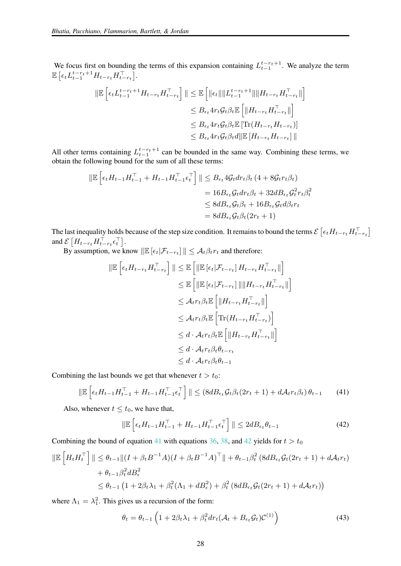We focus first on bounding the terms of this expansion containing  $L_{t-1}^{t-r_t+1}$ . We analyze the term  $\mathbb{E}\left[\epsilon_t L_{t-1}^{t-r_t+1} H_{t-r_t} H_{t-r_t}^{\top}\right].$ 

$$
\|\mathbb{E}\left[\epsilon_{t}L_{t-1}^{t-r_{t}+1}H_{t-r_{t}}H_{t-r_{t}}^{\top}\right]\| \leq \mathbb{E}\left[\|\epsilon_{t}\|\|L_{t-1}^{t-r_{t}+1}\|\|H_{t-r_{t}}H_{t-r_{t}}^{\top}\| \right] \n\leq B_{\epsilon_{t}}4r_{t}\mathcal{G}_{t}\beta_{t}\mathbb{E}\left[\|H_{t-r_{t}}H_{t-r_{t}}^{\top}\|\right] \n\leq B_{\epsilon_{t}}4r_{t}\mathcal{G}_{t}\beta_{t}\mathbb{E}\left[\text{Tr}(H_{t-r_{t}}H_{t-r_{t}})\right] \n\leq B_{\epsilon_{t}}4r_{t}\mathcal{G}_{t}\beta_{t}d\|\mathbb{E}\left[H_{t-r_{t}}H_{t-r_{t}}\right]\|
$$

All other terms containing  $L_{t-1}^{t-r_t+1}$  can be bounded in the same way. Combining these terms, we obtain the following bound for the sum of all these terms:

$$
\|\mathbb{E}\left[\epsilon_t H_{t-1} H_{t-1}^\top + H_{t-1} H_{t-1}^\top \epsilon_t^\top\right] \| \leq B_{\epsilon_t} 4\mathcal{G}_t dr_t \beta_t (4 + 8\mathcal{G}_t r_t \beta_t)
$$
  
=  $16B_{\epsilon_t} \mathcal{G}_t dr_t \beta_t + 32d B_{\epsilon_t} \mathcal{G}_t^2 r_t \beta_t^2$   
 $\leq 8d B_{\epsilon_t} \mathcal{G}_t \beta_t + 16B_{\epsilon_t} \mathcal{G}_t d\beta_t r_t$   
=  $8d B_{\epsilon_t} \mathcal{G}_t \beta_t (2r_t + 1)$ 

The last inequality holds because of the step size condition. It remains to bound the terms  $\mathcal{E}\left[\epsilon_t H_{t-r_t} H_{t-r_t}^\top\right]$ and  $\mathcal{E}\left[H_{t-r_t}H_{t-r_t}^\top \epsilon_t^\top\right]$ .

By assumption, we know  $\|\mathbb{E}\left[\epsilon_t|\mathcal{F}_{t-r_t}\right]\| \leq \mathcal{A}_t \beta_t r_t$  and therefore:

$$
\|\mathbb{E}\left[\epsilon_t H_{t-r_t} H_{t-r_t}^\top\right]\| \leq \mathbb{E}\left[\|\mathbb{E}\left[\epsilon_t|\mathcal{F}_{t-r_t}\right] H_{t-r_t} H_{t-r_t}^\top\| \right] \\
\leq \mathbb{E}\left[\|\mathbb{E}\left[\epsilon_t|\mathcal{F}_{t-r_t}\right]\| \|H_{t-r_t} H_{t-r_t}^\top\| \right] \\
\leq \mathcal{A}_{t} r_t \beta_t \mathbb{E}\left[\|H_{t-r_t} H_{t-r_t}^\top\| \right] \\
\leq \mathcal{A}_{t} r_t \beta_t \mathbb{E}\left[\text{Tr}(H_{t-r_t} H_{t-r_t}^\top) \right] \\
\leq d \cdot \mathcal{A}_{t} r_t \beta_t \mathbb{E}\left[\|H_{t-r_t} H_{t-r_t}^\top\| \right] \\
\leq d \cdot \mathcal{A}_{t} r_t \beta_t \theta_{t-r_t} \\
\leq d \cdot \mathcal{A}_{t} r_t \beta_t \theta_{t-1}
$$

Combining the last bounds we get that whenever  $t > t_0$ :

<span id="page-27-0"></span>
$$
\|\mathbb{E}\left[\epsilon_t H_{t-1} H_{t-1}^\top + H_{t-1} H_{t-1}^\top \epsilon_t^\top\right]\| \leq (8 dB_{\epsilon_t} \mathcal{G}_t \beta_t (2r_t + 1) + d\mathcal{A}_t r_t \beta_t) \theta_{t-1} \tag{41}
$$

Also, whenever  $t \leq t_0$ , we have that,

<span id="page-27-1"></span>
$$
\|\mathbb{E}\left[\epsilon_t H_{t-1} H_{t-1}^\top + H_{t-1} H_{t-1}^\top \epsilon_t^\top\right]\| \le 2d B_{\epsilon_t} \theta_{t-1} \tag{42}
$$

Combining the bound of equation [41](#page-27-0) with equations [36,](#page-25-2) [38,](#page-26-0) and [42](#page-27-1) yields for  $t > t_0$ 

$$
\|\mathbb{E}\left[H_t H_t^\top\right]\| \leq \theta_{t-1} \|(I + \beta_t B^{-1} A)(I + \beta_t B^{-1} A)^\top\| + \theta_{t-1} \beta_t^2 (8 dB_{\epsilon_t} \mathcal{G}_t (2r_t + 1) + d\mathcal{A}_t r_t) + \theta_{t-1} \beta_t^2 dB_{\epsilon}^2 \leq \theta_{t-1} \left(1 + 2\beta_t \lambda_1 + \beta_t^2 (\Lambda_1 + dB_{\epsilon}^2) + \beta_t^2 (8 dB_{\epsilon_t} \mathcal{G}_t (2r_t + 1) + d\mathcal{A}_t r_t)\right)
$$

where  $\Lambda_1 = \lambda_1^2$ . This gives us a recursion of the form:

$$
\theta_t = \theta_{t-1} \left( 1 + 2\beta_t \lambda_1 + \beta_t^2 dr_t (\mathcal{A}_t + B_{\epsilon_t} \mathcal{G}_t) \mathcal{C}^{(1)} \right)
$$
(43)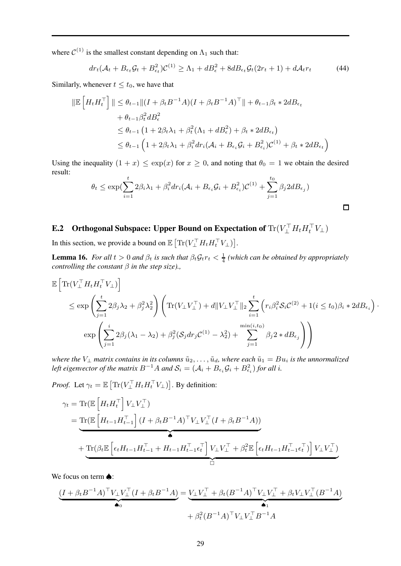where  $C^{(1)}$  is the smallest constant depending on  $\Lambda_1$  such that:

$$
dr_t(\mathcal{A}_t + B_{\epsilon_t} \mathcal{G}_t + B_{\epsilon_t}^2) \mathcal{C}^{(1)} \ge \Lambda_1 + dB_{\epsilon}^2 + 8dB_{\epsilon_t} \mathcal{G}_t(2r_t + 1) + d\mathcal{A}_t r_t \tag{44}
$$

Similarly, whenever  $t \leq t_0$ , we have that

$$
\|\mathbb{E}\left[H_t H_t^\top\right]\| \leq \theta_{t-1} \|(I + \beta_t B^{-1}A)(I + \beta_t B^{-1}A)^\top\| + \theta_{t-1}\beta_t * 2dB_{\epsilon_t}
$$
  
+  $\theta_{t-1}\beta_t^2 dB_{\epsilon}^2$   

$$
\leq \theta_{t-1} \left(1 + 2\beta_t \lambda_1 + \beta_t^2 (\Lambda_1 + dB_{\epsilon}^2) + \beta_t * 2dB_{\epsilon_t}\right)
$$
  

$$
\leq \theta_{t-1} \left(1 + 2\beta_t \lambda_1 + \beta_t^2 dr_i (\mathcal{A}_i + B_{\epsilon_i} \mathcal{G}_i + B_{\epsilon_i}^2) \mathcal{C}^{(1)} + \beta_t * 2dB_{\epsilon_t}\right)
$$

Using the inequality  $(1 + x) \le \exp(x)$  for  $x \ge 0$ , and noting that  $\theta_0 = 1$  we obtain the desired result:

$$
\theta_t \le \exp\left(\sum_{i=1}^t 2\beta_i \lambda_1 + \beta_i^2 dr_i (\mathcal{A}_i + B_{\epsilon_i} \mathcal{G}_i + B_{\epsilon_i}^2) \mathcal{C}^{(1)} + \sum_{j=1}^{t_0} \beta_j 2 d B_{\epsilon_j}\right)
$$

# <span id="page-28-1"></span>**E.2** Orthogonal Subspace: Upper Bound on Expectation of  $\text{Tr}(V_{\perp}^{\top}H_tH_t^{\top}V_{\perp})$

In this section, we provide a bound on  $\mathbb{E} \left[ \text{Tr}(V_{\perp}^{\top} H_t H_t^{\top} V_{\perp}) \right]$ .

<span id="page-28-0"></span>**Lemma 16.** *For all*  $t > 0$  *and*  $\beta_t$  *is such that*  $\beta_t \mathcal{G}_t r_t < \frac{1}{4}$  (which can be obtained by appropriately *controlling the constant* β *in the step size).,*

$$
\mathbb{E}\left[\text{Tr}(V_{\perp}^{\top}H_tH_t^{\top}V_{\perp})\right] \leq \exp\left(\sum_{j=1}^t 2\beta_j\lambda_2 + \beta_j^2\lambda_2^2\right)\left(\text{Tr}(V_{\perp}V_{\perp}^{\top}) + d\|V_{\perp}V_{\perp}^{\top}\|_2\sum_{i=1}^t \left(r_i\beta_i^2\mathcal{S}_i\mathcal{C}^{(2)} + 1(i \leq t_0)\beta_i * 2dB_{\epsilon_i}\right)\cdot\right.
$$

$$
\exp\left(\sum_{j=1}^i 2\beta_j(\lambda_1 - \lambda_2) + \beta_j^2(\mathcal{S}_jdr_j\mathcal{C}^{(1)} - \lambda_2^2) + \sum_{j=1}^{\min(i,t_0)} \beta_j 2 * dB_{\epsilon_j}\right)\right)
$$

*where the*  $V_{\perp}$  *matrix contains in its columns*  $\tilde{u}_2, \ldots, \tilde{u}_d$ *, where each*  $\tilde{u}_1 = Bu_i$  *is the unnormalized* left eigenvector of the matrix  $B^{-1}A$  and  $S_i = (A_i + B_{\epsilon_i} \mathcal{G}_i + B_{\epsilon_i}^2)$  for all i.

*Proof.* Let  $\gamma_t = \mathbb{E} \left[ \text{Tr}(V_{\perp}^\top H_t H_t^\top V_{\perp}) \right]$ . By definition:

$$
\gamma_t = \text{Tr}(\mathbb{E}\left[H_t H_t^{\top}\right] V_{\perp} V_{\perp}^{\top})
$$
\n
$$
= \underbrace{\text{Tr}(\mathbb{E}\left[H_{t-1} H_{t-1}^{\top}\right] (I + \beta_t B^{-1} A)^{\top} V_{\perp} V_{\perp}^{\top} (I + \beta_t B^{-1} A))}
$$
\n
$$
+ \underbrace{\text{Tr}(\beta_t \mathbb{E}\left[\epsilon_t H_{t-1} H_{t-1}^{\top} + H_{t-1} H_{t-1}^{\top} \epsilon_t^{\top}\right] V_{\perp} V_{\perp}^{\top} + \beta_t^2 \mathbb{E}\left[\epsilon_t H_{t-1} H_{t-1}^{\top} \epsilon_t^{\top}\right] V_{\perp} V_{\perp}^{\top})}
$$

We focus on term **♠**:

$$
\underbrace{(I + \beta_t B^{-1}A)^{\top}V_{\perp}V_{\perp}^{\top}(I + \beta_t B^{-1}A)}_{\blacklozenge_0} = \underbrace{V_{\perp}V_{\perp}^{\top} + \beta_t (B^{-1}A)^{\top}V_{\perp}V_{\perp}^{\top} + \beta_t V_{\perp}V_{\perp}^{\top}(B^{-1}A)}_{\blacktriangle_1} + \beta_t^2 (B^{-1}A)^{\top}V_{\perp}V_{\perp}^{\top}B^{-1}A
$$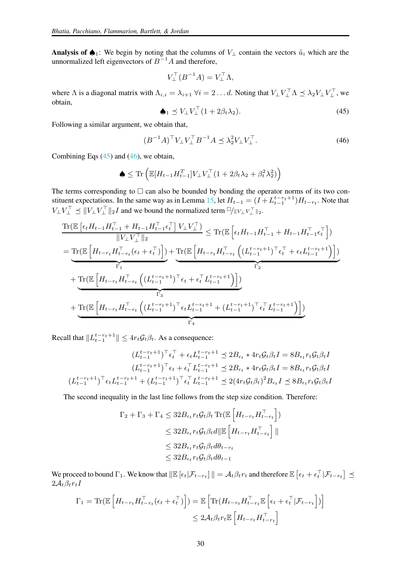Analysis of  $\spadesuit_1$ : We begin by noting that the columns of  $V_\perp$  contain the vectors  $\tilde{u}_i$  which are the unnormalized left eigenvectors of  $B^{-1}A$  and therefore,

$$
V_{\perp}^{\top} (B^{-1}A) = V_{\perp}^{\top} \Lambda,
$$

where  $\Lambda$  is a diagonal matrix with  $\Lambda_{i,i} = \lambda_{i+1} \ \forall i = 2 \dots d$ . Noting that  $V_{\perp} V_{\perp} \Lambda \preceq \lambda_2 V_{\perp} V_{\perp}^{\perp}$ , we obtain,

<span id="page-29-0"></span>
$$
\spadesuit_1 \preceq V_{\perp} V_{\perp}^\top (1 + 2\beta_t \lambda_2). \tag{45}
$$

Following a similar argument, we obtain that,

<span id="page-29-1"></span>
$$
(B^{-1}A)^{\top}V_{\perp}V_{\perp}^{\top}B^{-1}A \preceq \lambda_2^2 V_{\perp}V_{\perp}^{\top}.
$$
 (46)

Combining Eqs  $(45)$  and  $(46)$ , we obtain,

$$
\blacklozenge \leq \text{Tr}\left(\mathbb{E}[H_{t-1}H_{t-1}^T]V_{\perp}V_{\perp}^{\top}(1+2\beta_t\lambda_2+\beta_t^2\lambda_2^2)\right)
$$

The terms corresponding to  $\Box$  can also be bounded by bonding the operator norms of its two con-stituent expectations. In the same way as in Lemma [15,](#page-25-3) let  $H_{t-1} = (I + L_{t-1}^{t-r_t+1})H_{t-r_t}$ . Note that  $V_{\perp} V_{\perp}^{\top} \preceq ||V_{\perp} V_{\perp}^{\top}||_2 I$  and we bound the normalized term  $\Box/||V_{\perp} V_{\perp}^{\top}||_2$ .

$$
\frac{\operatorname{Tr}(\mathbb{E}\left[\epsilon_{t}H_{t-1}H_{t-1}^{\top}+H_{t-1}H_{t-1}^{\top}t_{t}^{\top}\right]V_{\perp}V_{\perp}^{\top})}{\|V_{\perp}V_{\perp}^{\top}\|_{2}} \leq \operatorname{Tr}(\mathbb{E}\left[\epsilon_{t}H_{t-1}H_{t-1}^{\top}+H_{t-1}H_{t-1}^{\top}\epsilon_{t}^{\top}\right])
$$
\n
$$
= \underbrace{\operatorname{Tr}(\mathbb{E}\left[H_{t-r_{t}}H_{t-r_{t}}^{\top}(\epsilon_{t}+\epsilon_{t}^{\top})\right])}_{\Gamma_{1}} + \underbrace{\operatorname{Tr}(\mathbb{E}\left[H_{t-r_{t}}H_{t-r_{t}}^{\top}\left((L_{t-1}^{t-r_{t}+1})^{\top}\epsilon_{t}^{\top}+\epsilon_{t}L_{t-1}^{t-r_{t}+1}\right)\right])}_{\Gamma_{2}}
$$
\n
$$
+ \underbrace{\operatorname{Tr}(\mathbb{E}\left[H_{t-r_{t}}H_{t-r_{t}}^{\top}\left((L_{t-1}^{t-r_{t}+1})^{\top}\epsilon_{t}+\epsilon_{t}^{\top}L_{t-1}^{t-r_{t}+1}\right)\right])}_{\Gamma_{3}}
$$
\n
$$
+ \underbrace{\operatorname{Tr}(\mathbb{E}\left[H_{t-r_{t}}H_{t-r_{t}}^{\top}\left((L_{t-1}^{t-r_{t}+1})^{\top}\epsilon_{t}L_{t-1}^{t-r_{t}+1}+(L_{t-1}^{t-r_{t}+1})^{\top}\epsilon_{t}^{\top}L_{t-1}^{t-r_{t}+1}\right)\right])}_{\Gamma_{4}}
$$

Recall that  $||L_{t-1}^{t-r_t+1}|| \leq 4r_t \mathcal{G}_t \beta_t$ . As a consequence:

$$
(L_{t-1}^{t-r_t+1})^{\top} \epsilon_t^{\top} + \epsilon_t L_{t-1}^{t-r_t+1} \preceq 2B_{\epsilon_t} * 4r_t \mathcal{G}_t \beta_t I = 8B_{\epsilon_t} r_t \mathcal{G}_t \beta_t I
$$

$$
(L_{t-1}^{t-r_t+1})^{\top} \epsilon_t + \epsilon_t^{\top} L_{t-1}^{t-r_t+1} \preceq 2B_{\epsilon_t} * 4r_t \mathcal{G}_t \beta_t I = 8B_{\epsilon_t} r_t \mathcal{G}_t \beta_t I
$$

$$
(L_{t-1}^{t-r_t+1})^{\top} \epsilon_t L_{t-1}^{t-r_t+1} + (L_{t-1}^{t-r_t+1})^{\top} \epsilon_t^{\top} L_{t-1}^{t-r_t+1} \preceq 2(4r_t \mathcal{G}_t \beta_t)^2 B_{\epsilon_t} I \preceq 8B_{\epsilon_t} r_t \mathcal{G}_t \beta_t I
$$

The second inequality in the last line follows from the step size condition. Therefore:

$$
\Gamma_2 + \Gamma_3 + \Gamma_4 \leq 32 B_{\epsilon_t} r_t \mathcal{G}_t \beta_t \operatorname{Tr}(\mathbb{E}\left[H_{t-r_t} H_{t-r_t}^\top\right])
$$
  

$$
\leq 32 B_{\epsilon_t} r_t \mathcal{G}_t \beta_t d \|\mathbb{E}\left[H_{t-r_t} H_{t-r_t}^\top\right]\|
$$
  

$$
\leq 32 B_{\epsilon_t} r_t \mathcal{G}_t \beta_t d\theta_{t-r_t}
$$
  

$$
\leq 32 B_{\epsilon_t} r_t \mathcal{G}_t \beta_t d\theta_{t-1}
$$

We proceed to bound  $\Gamma_1$ . We know that  $\|\mathbb{E}\left[\epsilon_t|\mathcal{F}_{t-r_t}\right]\| = \mathcal{A}_t\beta_t r_t$  and therefore  $\mathbb{E}\left[\epsilon_t + \epsilon_t^{\top}|\mathcal{F}_{t-r_t}\right] \preceq$  $2\mathcal{A}_t\beta_t r_t I$ 

$$
\Gamma_1 = \text{Tr}(\mathbb{E}\left[H_{t-r_t}H_{t-r_t}^{\top}(\epsilon_t + \epsilon_t^{\top})\right]) = \mathbb{E}\left[\text{Tr}(H_{t-r_t}H_{t-r_t}^{\top}\mathbb{E}\left[\epsilon_t + \epsilon_t^{\top}|\mathcal{F}_{t-r_t}\right])\right]
$$

$$
\leq 2\mathcal{A}_t\beta_t r_t \mathbb{E}\left[H_{t-r_t}H_{t-r_t}^{\top}\right]
$$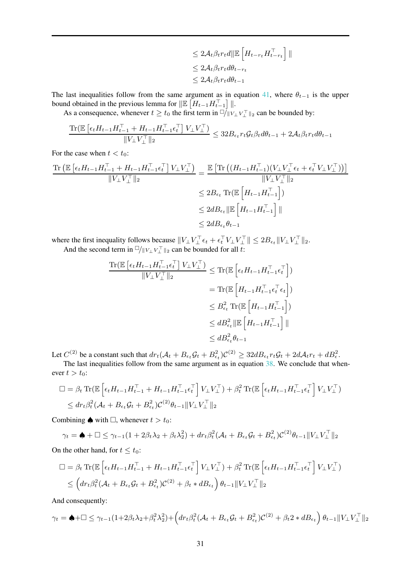$$
\leq 2\mathcal{A}_t \beta_t r_t d \|\mathbb{E}\left[H_{t-r_t} H_{t-r_t}^\top\right]\|
$$
  

$$
\leq 2\mathcal{A}_t \beta_t r_t d\theta_{t-r_t}
$$
  

$$
\leq 2\mathcal{A}_t \beta_t r_t d\theta_{t-1}
$$

The last inequalities follow from the same argument as in equation [41,](#page-27-0) where  $\theta_{t-1}$  is the upper bound obtained in the previous lemma for  $\|\mathbb{E}\left[H_{t-1}H_{t-1}^{\top}\right]\|$ .

As a consequence, whenever  $t \ge t_0$  the first term in  $\frac{t}{t} \le t_1 \cdot \frac{t}{t}$  an be bounded by:

$$
\frac{\text{Tr}(\mathbb{E}\left[\epsilon_t H_{t-1} H_{t-1}^\top + H_{t-1} H_{t-1}^\top \epsilon_t^\top\right] V_\perp V_\perp^\top)}{\|V_\perp V_\perp^\top\|_2} \leq 32 B_{\epsilon_t} r_t \mathcal{G}_t \beta_t d\theta_{t-1} + 2 \mathcal{A}_t \beta_t r_t d\theta_{t-1}
$$

For the case when  $t < t_0$ :

$$
\frac{\text{Tr}\left(\mathbb{E}\left[\epsilon_{t}H_{t-1}H_{t-1}^{\top}+H_{t-1}H_{t-1}^{\top}\epsilon_{t}^{\top}\right]V_{\perp}V_{\perp}^{\top}}{\|V_{\perp}V_{\perp}^{\top}\|_{2}}\right]}{\leq \frac{\mathbb{E}\left[\text{Tr}\left((H_{t-1}H_{t-1}^{\top})(V_{\perp}V_{\perp}^{\top}\epsilon_{t}+\epsilon_{t}^{\top}V_{\perp}V_{\perp}^{\top})\right)\right]}{\|V_{\perp}V_{\perp}^{\top}\|_{2}}
$$

$$
\leq 2B_{\epsilon_{t}}\text{Tr}(\mathbb{E}\left[H_{t-1}H_{t-1}^{\top}\right])
$$

$$
\leq 2dB_{\epsilon_{t}}\|\mathbb{E}\left[H_{t-1}H_{t-1}^{\top}\right]\|
$$

$$
\leq 2dB_{\epsilon_{t}}\|\mathbb{E}\left[H_{t-1}H_{t-1}^{\top}\right]\|
$$

where the first inequality follows because  $||V_{\perp}V_{\perp}^{\perp} \epsilon_t + \epsilon_t^{\perp} V_{\perp}V_{\perp}^{\perp}|| \leq 2B_{\epsilon_t}||V_{\perp}V_{\perp}^{\perp}||_2$ . And the second term in  $\Box/\Vert V_{\bot}V_{\bot}^{\top}\Vert_2$  can be bounded for all t:

$$
\frac{\text{Tr}(\mathbb{E}\left[\epsilon_{t}H_{t-1}H_{t-1}^{\top}\epsilon_{t}^{\top}\right]V_{\perp}V_{\perp}^{\top})}{\|V_{\perp}V_{\perp}^{\top}\|_{2}} \leq \text{Tr}(\mathbb{E}\left[\epsilon_{t}H_{t-1}H_{t-1}^{\top}\epsilon_{t}^{\top}\right])
$$
\n
$$
= \text{Tr}(\mathbb{E}\left[H_{t-1}H_{t-1}^{\top}\epsilon_{t}^{\top}\epsilon_{t}\right])
$$
\n
$$
\leq B_{\epsilon_{t}}^{2} \text{Tr}(\mathbb{E}\left[H_{t-1}H_{t-1}^{\top}\right])
$$
\n
$$
\leq dB_{\epsilon_{t}}^{2}\|\mathbb{E}\left[H_{t-1}H_{t-1}^{\top}\right]\|
$$
\n
$$
\leq dB_{\epsilon_{t}}^{2}\|\mathbb{E}\left[H_{t-1}H_{t-1}^{\top}\right]\|
$$

Let  $C^{(2)}$  be a constant such that  $dr_t(\mathcal{A}_t + B_{\epsilon_t}\mathcal{G}_t + B_{\epsilon_t}^2)\mathcal{C}^{(2)} \geq 32dB_{\epsilon_t}r_t\mathcal{G}_t + 2d\mathcal{A}_t r_t + dB_{\epsilon}^2$ .

The last inequalities follow from the same argument as in equation [38.](#page-26-0) We conclude that whenever  $t > t_0$ :

$$
\Box = \beta_t \operatorname{Tr}(\mathbb{E}\left[\epsilon_t H_{t-1} H_{t-1}^\top + H_{t-1} H_{t-1}^\top \epsilon_t^\top\right] V_\perp V_\perp^\top) + \beta_t^2 \operatorname{Tr}(\mathbb{E}\left[\epsilon_t H_{t-1} H_{t-1}^\top \epsilon_t^\top\right] V_\perp V_\perp^\top)
$$
  

$$
\leq dr_t \beta_t^2 (\mathcal{A}_t + B_{\epsilon_t} \mathcal{G}_t + B_{\epsilon_t}^2) \mathcal{C}^{(2)} \theta_{t-1} \|V_\perp V_\perp^\top\|_2
$$

Combining  $\spadesuit$  with  $\Box$ , whenever  $t > t_0$ :

$$
\gamma_t = \spadesuit + \square \leq \gamma_{t-1} (1 + 2\beta_t \lambda_2 + \beta_t \lambda_2^2) + dr_t \beta_t^2 (\mathcal{A}_t + B_{\epsilon_t} \mathcal{G}_t + B_{\epsilon_t}^2) \mathcal{C}^{(2)} \theta_{t-1} \| V_{\perp} V_{\perp}^{\top} \|_2
$$

On the other hand, for  $t \le t_0$ :

$$
\Box = \beta_t \operatorname{Tr} (\mathbb{E} \left[ \epsilon_t H_{t-1} H_{t-1}^\top + H_{t-1} H_{t-1}^\top \epsilon_t^\top \right] V_\perp V_\perp^\top) + \beta_t^2 \operatorname{Tr} (\mathbb{E} \left[ \epsilon_t H_{t-1} H_{t-1}^\top \epsilon_t^\top \right] V_\perp V_\perp^\top) \n\leq \left( dr_t \beta_t^2 (\mathcal{A}_t + B_{\epsilon_t} \mathcal{G}_t + B_{\epsilon_t}^2) \mathcal{C}^{(2)} + \beta_t * dB_{\epsilon_t} \right) \theta_{t-1} ||V_\perp V_\perp^\top||_2
$$

And consequently:

$$
\gamma_t = \spadesuit + \square \leq \gamma_{t-1} (1 + 2\beta_t \lambda_2 + \beta_t^2 \lambda_2^2) + \left( dr_t \beta_t^2 (\mathcal{A}_t + B_{\epsilon_t} \mathcal{G}_t + B_{\epsilon_t}^2) \mathcal{C}^{(2)} + \beta_t 2 * dB_{\epsilon_t} \right) \theta_{t-1} \|V_{\perp} V_{\perp}^\top\|_2
$$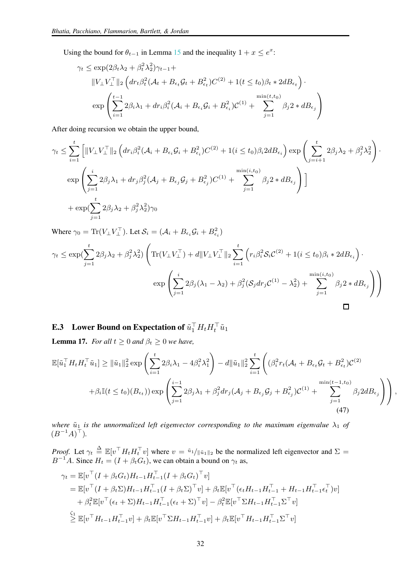Using the bound for  $\theta_{t-1}$  in Lemma [15](#page-25-3) and the inequality  $1 + x \le e^x$ :

$$
\gamma_t \le \exp(2\beta_t \lambda_2 + \beta_t^2 \lambda_2^2) \gamma_{t-1} +
$$
  
\n
$$
||V_{\perp} V_{\perp}^\top||_2 \left( dr_t \beta_t^2 (\mathcal{A}_t + B_{\epsilon_t} \mathcal{G}_t + B_{\epsilon_t}^2) C^{(2)} + 1(t \le t_0) \beta_t * 2d B_{\epsilon_t} \right) \cdot
$$
  
\n
$$
\exp \left( \sum_{i=1}^{t-1} 2\beta_i \lambda_1 + dr_i \beta_i^2 (\mathcal{A}_i + B_{\epsilon_i} \mathcal{G}_i + B_{\epsilon_i}^2) C^{(1)} + \sum_{j=1}^{\min(t, t_0)} \beta_j 2 * dB_{\epsilon_j} \right)
$$

After doing recursion we obtain the upper bound,

$$
\gamma_t \leq \sum_{i=1}^t \left[ ||V_\perp V_\perp^\top||_2 \left( dr_i \beta_i^2 (\mathcal{A}_i + B_{\epsilon_i} \mathcal{G}_i + B_{\epsilon_i}^2) C^{(2)} + 1 (i \leq t_0) \beta_i 2 d B_{\epsilon_i} \right) \exp \left( \sum_{j=i+1}^t 2 \beta_j \lambda_2 + \beta_j^2 \lambda_2^2 \right) \cdot \exp \left( \sum_{j=1}^i 2 \beta_j \lambda_1 + dr_j \beta_j^2 (\mathcal{A}_j + B_{\epsilon_j} \mathcal{G}_j + B_{\epsilon_j}^2) C^{(1)} + \sum_{j=1}^{\min(i, t_0)} \beta_j 2 * dB_{\epsilon_j} \right) \right] + \exp \left( \sum_{j=1}^t 2 \beta_j \lambda_2 + \beta_j^2 \lambda_2^2 \right) \gamma_0
$$

Where  $\gamma_0 = \text{Tr}(V_{\perp} V_{\perp}^{\top})$ . Let  $\mathcal{S}_i = (\mathcal{A}_i + B_{\epsilon_i} \mathcal{G}_i + B_{\epsilon_i}^2)$ 

$$
\gamma_t \le \exp\left(\sum_{j=1}^t 2\beta_j \lambda_2 + \beta_j^2 \lambda_2^2\right) \left( \text{Tr}(V_\perp V_\perp^\top) + d \|V_\perp V_\perp^\top\|_2 \sum_{i=1}^t \left( r_i \beta_i^2 \mathcal{S}_i C^{(2)} + 1 (i \le t_0) \beta_i * 2d B_{\epsilon_i} \right) \cdot \exp\left(\sum_{j=1}^i 2\beta_j (\lambda_1 - \lambda_2) + \beta_j^2 (\mathcal{S}_j dr_j C^{(1)} - \lambda_2^2) + \sum_{j=1}^{\min(i, t_0)} \beta_j 2 * dB_{\epsilon_j}\right) \right)
$$

# <span id="page-31-1"></span>**E.3** Lower Bound on Expectation of  $\tilde{u}_1^\top H_t H_t^\top \tilde{u}_1$

<span id="page-31-0"></span>**Lemma 17.** *For all*  $t \geq 0$  *and*  $\beta_t \geq 0$  *we have,* 

$$
\mathbb{E}[\tilde{u}_1^\top H_t H_t^\top \tilde{u}_1] \geq \|\tilde{u}_1\|_2^2 \exp\left(\sum_{i=1}^t 2\beta_i \lambda_1 - 4\beta_i^2 \lambda_1^2\right) - d\|\tilde{u}_1\|_2^2 \sum_{i=1}^t \left((\beta_i^2 r_t (\mathcal{A}_t + B_{\epsilon_t} \mathcal{G}_t + B_{\epsilon_t}^2) \mathcal{C}^{(2)} + \beta_i \mathbb{I}(t \leq t_0)(B_{\epsilon_t})) \exp\left(\sum_{j=1}^{i-1} 2\beta_j \lambda_1 + \beta_j^2 dr_j (\mathcal{A}_j + B_{\epsilon_j} \mathcal{G}_j + B_{\epsilon_j}^2) \mathcal{C}^{(1)} + \sum_{j=1}^{\min(t-1, t_0)} \beta_j 2d B_{\epsilon_j}\right)\right),
$$
\n(47)

*where*  $\tilde{u}_1$  *is the unnormalized left eigenvector corresponding to the maximum eigenvalue*  $\lambda_1$  *of*  $(B^{-1}A)^{\top}$ ).

*Proof.* Let  $\gamma_t \triangleq \mathbb{E}[v^\top H_t H_t^\top v]$  where  $v = \tilde{u}_1 / \|\tilde{u}_1\|_2$  be the normalized left eigenvector and  $\Sigma =$  $B^{-1}A$ . Since  $H_t = (I + \beta_t G_t)$ , we can obtain a bound on  $\gamma_t$  as,

$$
\gamma_t = \mathbb{E}[v^\top (I + \beta_t G_t) H_{t-1} H_{t-1}^\top (I + \beta_t G_t)^\top v]
$$
  
\n
$$
= \mathbb{E}[v^\top (I + \beta_t \Sigma) H_{t-1} H_{t-1}^\top (I + \beta_t \Sigma)^\top v] + \beta_t \mathbb{E}[v^\top (\epsilon_t H_{t-1} H_{t-1}^\top + H_{t-1} H_{t-1}^\top \epsilon_t^\top) v]
$$
  
\n
$$
+ \beta_t^2 \mathbb{E}[v^\top (\epsilon_t + \Sigma) H_{t-1} H_{t-1}^\top (\epsilon_t + \Sigma)^\top v] - \beta_t^2 \mathbb{E}[v^\top \Sigma H_{t-1} H_{t-1}^\top \Sigma^\top v]
$$
  
\n
$$
\stackrel{\zeta_1}{\geq} \mathbb{E}[v^\top H_{t-1} H_{t-1}^\top v] + \beta_t \mathbb{E}[v^\top \Sigma H_{t-1} H_{t-1}^\top v] + \beta_t \mathbb{E}[v^\top H_{t-1} H_{t-1}^\top \Sigma^\top v]
$$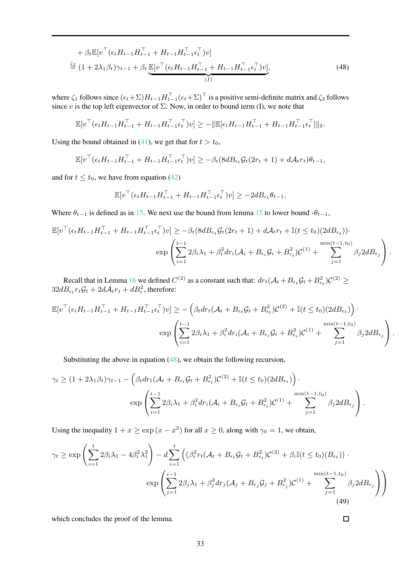$$
+ \beta_t \mathbb{E}[v^\top (\epsilon_t H_{t-1} H_{t-1}^\top + H_{t-1} H_{t-1}^\top \epsilon_t^\top) v] \n\stackrel{\zeta_2}{=} (1 + 2\lambda_1 \beta_t) \gamma_{t-1} + \beta_t \underbrace{\mathbb{E}[v^\top (\epsilon_t H_{t-1} H_{t-1}^\top + H_{t-1} H_{t-1}^\top \epsilon_t^\top) v]}_{(I)},
$$
\n(48)

where  $\zeta_1$  follows since  $(\epsilon_t + \Sigma)H_{t-1}H_{t-1}(\epsilon_t + \Sigma)$  is a positive semi-definite matrix and  $\zeta_2$  follows since v is the top left eigenvector of  $\Sigma$ . Now, in order to bound term (I), we note that

$$
\mathbb{E}[v^{\top}(\epsilon_t H_{t-1} H_{t-1}^{\top} + H_{t-1} H_{t-1}^{\top} \epsilon_t^{\top}) v] \geq -\|\mathbb{E}[\epsilon_t H_{t-1} H_{t-1}^{\top} + H_{t-1} H_{t-1}^{\top} \epsilon_t^{\top}]\|_2.
$$

Using the bound obtained in [\(41\)](#page-27-0), we get that for  $t > t_0$ ,

$$
\mathbb{E}[v^\top(\epsilon_t H_{t-1} H_{t-1}^\top + H_{t-1} H_{t-1}^\top \epsilon_t^\top)v] \geq -\beta_t (8 dB_{\epsilon_t} \mathcal{G}_t (2r_t + 1) + d\mathcal{A}_t r_t) \theta_{t-1},
$$

and for  $t \le t_0$ , we have from equation [\(42\)](#page-27-1)

<span id="page-32-0"></span>
$$
\mathbb{E}[v^\top(\epsilon_t H_{t-1} H_{t-1}^\top + H_{t-1} H_{t-1}^\top \epsilon_t^\top)v] \ge -2d B_{\epsilon_t} \theta_{t-1},
$$

Where  $\theta_{t-1}$  is defined as in [15.](#page-25-3) We next use the bound from lemma [15](#page-25-3) to lower bound - $\theta_{t-1}$ ,

$$
\mathbb{E}[v^{\top}(\epsilon_{t}H_{t-1}H_{t-1}^{\top} + H_{t-1}H_{t-1}^{\top}\epsilon_{t}^{\top})v] \geq -\beta_{t}(8dB_{\epsilon_{t}}\mathcal{G}_{t}(2r_{t}+1) + d\mathcal{A}_{t}r_{t} + \mathbb{I}(t \leq t_{0})(2dB_{\epsilon_{t}}))\cdot \exp\left(\sum_{i=1}^{t-1} 2\beta_{i}\lambda_{1} + \beta_{i}^{2}dr_{i}(\mathcal{A}_{i} + B_{\epsilon_{i}}\mathcal{G}_{i} + B_{\epsilon_{i}}^{2})\mathcal{C}^{(1)} + \sum_{j=1}^{\min(t-1,t_{0})} \beta_{j}2dB_{\epsilon_{j}}\right).
$$

Recall that in Lemma [16](#page-28-0) we defined  $C^{(2)}$  as a constant such that:  $dr_t(\mathcal{A}_t + B_{\epsilon_t} \mathcal{G}_t + B_{\epsilon_t}^2) \mathcal{C}^{(2)} \ge$  $32dB_{\epsilon_t}r_t\mathcal{G}_t + 2d\mathcal{A}_t r_t + dB_\epsilon^2$ , therefore:

$$
\mathbb{E}[v^{\top}(\epsilon_{t}H_{t-1}H_{t-1}^{\top} + H_{t-1}H_{t-1}^{\top}\epsilon_{t}^{\top})v] \geq -\left(\beta_{t}dr_{t}(\mathcal{A}_{t} + B_{\epsilon_{t}}\mathcal{G}_{t} + B_{\epsilon_{t}}^{2})\mathcal{C}^{(2)} + \mathbb{I}(t \leq t_{0})(2dB_{\epsilon_{t}})\right) \cdot \exp\left(\sum_{i=1}^{t-1} 2\beta_{i}\lambda_{1} + \beta_{i}^{2}dr_{i}(\mathcal{A}_{i} + B_{\epsilon_{i}}\mathcal{G}_{i} + B_{\epsilon_{i}}^{2})\mathcal{C}^{(1)} + \sum_{j=1}^{\min(t-1, t_{0})} \beta_{j}2dB_{\epsilon_{j}}\right).
$$

Substituting the above in equation [\(48\)](#page-32-0), we obtain the following recursion,

$$
\gamma_t \ge (1 + 2\lambda_1 \beta_t)\gamma_{t-1} - \left(\beta_t dr_t (\mathcal{A}_t + B_{\epsilon_t} \mathcal{G}_t + B_{\epsilon_t}^2) \mathcal{C}^{(2)} + \mathbb{I}(t \le t_0) (2d B_{\epsilon_t})\right) \cdot \exp\left(\sum_{i=1}^{t-1} 2\beta_i \lambda_1 + \beta_i^2 dr_i (\mathcal{A}_i + B_{\epsilon_i} \mathcal{G}_i + B_{\epsilon_i}^2) \mathcal{C}^{(1)} + \sum_{j=1}^{\min(t-1, t_0)} \beta_j 2d B_{\epsilon_j}\right).
$$

Using the inequality  $1 + x \ge \exp(x - x^2)$  for all  $x \ge 0$ , along with  $\gamma_0 = 1$ , we obtain,

$$
\gamma_t \ge \exp\left(\sum_{i=1}^t 2\beta_i \lambda_1 - 4\beta_i^2 \lambda_1^2\right) - d \sum_{i=1}^t \left((\beta_i^2 r_t (\mathcal{A}_t + B_{\epsilon_t} \mathcal{G}_t + B_{\epsilon_t}^2) \mathcal{C}^{(2)} + \beta_i \mathbb{I}(t \le t_0) (B_{\epsilon_t})) \cdot \exp\left(\sum_{j=1}^{i-1} 2\beta_j \lambda_1 + \beta_j^2 dr_j (\mathcal{A}_j + B_{\epsilon_j} \mathcal{G}_j + B_{\epsilon_j}^2) \mathcal{C}^{(1)} + \sum_{j=1}^{\min(t-1, t_0)} \beta_j 2d B_{\epsilon_j}\right)\right)
$$
\n(49)

which concludes the proof of the lemma.

 $\Box$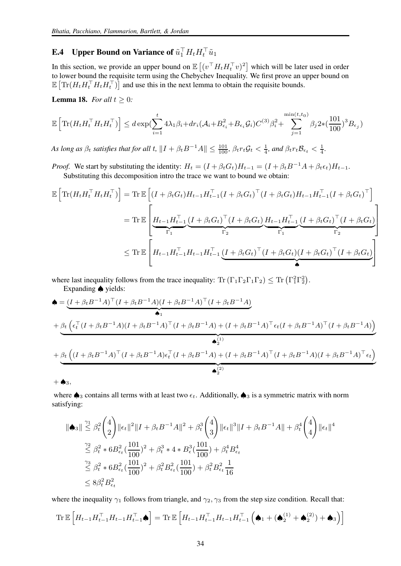# <span id="page-33-0"></span>**E.4** Upper Bound on Variance of  $\tilde{u}_1^\top H_t H_t^\top \tilde{u}_1$

In this section, we provide an upper bound on  $\mathbb{E}[(v^\top H_t H_t^\top v)^2]$  which will be later used in order to lower bound the requisite term using the Chebychev Inequality. We first prove an upper bound on  $\mathbb{E}\left[\text{Tr}(H_t H_t^\top H_t H_t^\top)\right]$  and use this in the next lemma to obtain the requisite bounds.

<span id="page-33-1"></span>**Lemma 18.** *For all*  $t \geq 0$ *:* 

$$
\mathbb{E}\left[\text{Tr}(H_t H_t^\top H_t H_t^\top)\right] \leq d \exp\left(\sum_{i=1}^t 4\lambda_1 \beta_i + dr_i(\mathcal{A}_i + B_{\epsilon_i}^2 + B_{\epsilon_i} \mathcal{G}_i) C^{(3)} \beta_i^2 + \sum_{j=1}^{\min(t, t_0)} \beta_j 2 * (\frac{101}{100})^3 B_{\epsilon_j}\right)
$$

*As long as*  $\beta_t$  *satisfies that for all*  $t$ ,  $\|I + \beta_t B^{-1}A\| \le \frac{101}{100}$ ,  $\beta_t r_t \mathcal{G}_t < \frac{1}{4}$ , and  $\beta_t r_t \mathcal{B}_{\epsilon_t} < \frac{1}{4}$ .

*Proof.* We start by substituting the identity:  $H_t = (I + \beta_t G_t)H_{t-1} = (I + \beta_t B^{-1}A + \beta_t \epsilon_t)H_{t-1}$ . Substituting this decomposition intro the trace we want to bound we obtain:

$$
\mathbb{E}\left[\text{Tr}(H_t H_t^\top H_t H_t^\top)\right] = \text{Tr}\,\mathbb{E}\left[(I + \beta_t G_t) H_{t-1} H_{t-1}^\top (I + \beta_t G_t)^\top (I + \beta_t G_t) H_{t-1} H_{t-1}^\top (I + \beta_t G_t)^\top\right]
$$
\n
$$
= \text{Tr}\,\mathbb{E}\left[\underbrace{H_{t-1} H_{t-1}^\top (I + \beta_t G_t)^\top (I + \beta_t G_t)}_{\Gamma_1} \underbrace{H_{t-1} H_{t-1}^\top (I + \beta_t G_t)^\top (I + \beta_t G_t)^\top (I + \beta_t G_t)}_{\Gamma_2}\right]
$$
\n
$$
\leq \text{Tr}\,\mathbb{E}\left[H_{t-1} H_{t-1}^\top H_{t-1} H_{t-1}^\top (I + \beta_t G_t)^\top (I + \beta_t G_t) (I + \beta_t G_t)^\top (I + \beta_t G_t)\right]
$$

where last inequality follows from the trace inequality:  $\text{Tr}\left(\Gamma_1\Gamma_2\Gamma_1\Gamma_2\right) \leq \text{Tr}\left(\Gamma_1^2\Gamma_2^2\right)$ .

Expanding ♠ yields:

$$
\begin{split}\n\spadesuit &= \underbrace{(I + \beta_t B^{-1}A)^{\top}(I + \beta_t B^{-1}A)(I + \beta_t B^{-1}A)^{\top}(I + \beta_t B^{-1}A)}_{\spadesuit_1} \\
&+ \underbrace{\beta_t \left(\epsilon_t^{\top} (I + \beta_t B^{-1}A)(I + \beta_t B^{-1}A)^{\top} (I + \beta_t B^{-1}A) + (I + \beta_t B^{-1}A)^{\top} \epsilon_t (I + \beta_t B^{-1}A)^{\top} (I + \beta_t B^{-1}A)\right)}_{\spadesuit_2^{(1)}} \\
&+ \underbrace{\beta_t \left((I + \beta_t B^{-1}A)^{\top} (I + \beta_t B^{-1}A) \epsilon_t^{\top} (I + \beta_t B^{-1}A) + (I + \beta_t B^{-1}A)^{\top} (I + \beta_t B^{-1}A)(I + \beta_t B^{-1}A)^{\top} \epsilon_t\right)}_{\spadesuit_2^{(2)}}\n\end{split}
$$

 $+ \spadesuit_3,$ 

where  $\clubsuit_3$  contains all terms with at least two  $\epsilon_t$ . Additionally,  $\spadesuit_3$  is a symmetric matrix with norm satisfying:

$$
\|\spadesuit_3\| \leq \beta_t^2 \binom{4}{2} \|\epsilon_t\|^2 \|I + \beta_t B^{-1} A\|^2 + \beta_t^3 \binom{4}{3} \|\epsilon_t\|^3 \|I + \beta_t B^{-1} A\| + \beta_t^4 \binom{4}{4} \|\epsilon_t\|^4
$$
  

$$
\leq \beta_t^2 * 6B_{\epsilon_t}^2 \left(\frac{101}{100}\right)^2 + \beta_t^3 * 4 * B_{\epsilon_t}^3 \left(\frac{101}{100}\right) + \beta_t^4 B_{\epsilon_t}^4
$$
  

$$
\leq \beta_t^2 * 6B_{\epsilon_t}^2 \left(\frac{101}{100}\right)^2 + \beta_t^2 B_{\epsilon_t}^2 \left(\frac{101}{100}\right) + \beta_t^2 B_{\epsilon_t}^2 \frac{1}{16}
$$
  

$$
\leq 8\beta_t^2 B_{\epsilon_t}^2
$$

where the inequality  $\gamma_1$  follows from triangle, and  $\gamma_2$ ,  $\gamma_3$  from the step size condition. Recall that:

$$
\mathrm{Tr}\,\mathbb{E}\left[H_{t-1}H_{t-1}^\top H_{t-1}H_{t-1}^\top\spadesuit\right]=\mathrm{Tr}\,\mathbb{E}\left[H_{t-1}H_{t-1}^\top H_{t-1}H_{t-1}^\top\left(\spadesuit_1+(\spadesuit_2^{(1)}+\spadesuit_2^{(2)})+\spadesuit_3\right)\right]
$$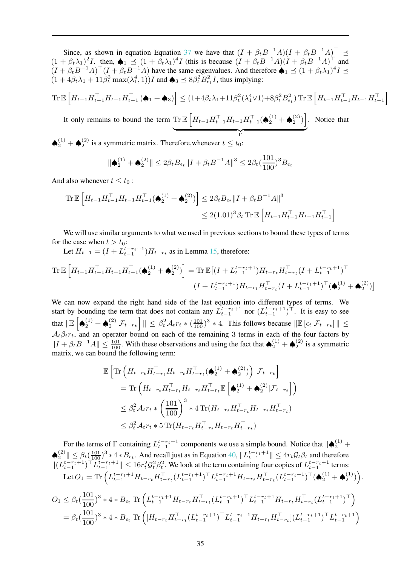Since, as shown in equation Equation [37](#page-25-4) we have that  $(I + \beta_t B^{-1}A)(I + \beta_t B^{-1}A)^{\top} \preceq$  $(1 + \beta_t \lambda_1)^2 I$ . then,  $\spadesuit_1 \preceq (1 + \beta_t \lambda_1)^4 I$  (this is because  $(I + \beta_t B^{-1} A)(I + \beta_t B^{-1} A)^{\top}$  and  $(I + \beta_t B^{-1}A)^{\dagger} (I + \beta_t B^{-1}A)$  have the same eigenvalues. And therefore  $\bigoplus_{i=1}^{\infty} \leq (1 + \beta_t \lambda_1)^4 I \leq$  $(1 + 4\beta_t \lambda_1 + 11\beta_t^2 \max(\lambda_1^4, 1))I$  and  $\spadesuit_3 \preceq 8\beta_t^2 B_{\epsilon_t}^2 I$ , thus implying:

$$
\text{Tr}\,\mathbb{E}\left[H_{t-1}H_{t-1}^{\top}H_{t-1}H_{t-1}^{\top}\left(\spadesuit_{1}+\spadesuit_{3}\right)\right]\leq(1+4\beta_{t}\lambda_{1}+11\beta_{t}^{2}(\lambda_{1}^{4}\vee1)+8\beta_{t}^{2}B_{\epsilon_{t}}^{2})\,\text{Tr}\,\mathbb{E}\left[H_{t-1}H_{t-1}^{\top}H_{t-1}H_{t-1}^{\top}\right]
$$

It only remains to bound the term  $\text{Tr}\,\mathbb{E}\left[H_{t-1}H_{t-1}^{\top}H_{t-1}H_{t-1}^{\top}(\spadesuit_2^{(1)}+\spadesuit_2^{(2)})\right]$  ${\rm T}$ . Notice that

 $\blacklozenge_2^{(1)}$  +  $\blacklozenge_2^{(2)}$  is a symmetric matrix. Therefore, whenever  $t \leq t_0$ :

$$
\|\spadesuit_2^{(1)} + \spadesuit_2^{(2)} \| \leq 2\beta_t B_{\epsilon_t} \|I + \beta_t B^{-1} A\|^3 \leq 2\beta_t (\frac{101}{100})^3 B_{\epsilon_t}
$$

And also whenever  $t \leq t_0$ :

$$
\begin{aligned} \text{Tr}\,\mathbb{E}\left[H_{t-1}H_{t-1}^\top H_{t-1}H_{t-1}^\top(\spadesuit_2^{(1)}+\spadesuit_2^{(2)})\right] &\leq 2\beta_t B_{\epsilon_t} \|I+\beta_t B^{-1}A\|^3\\ &\leq 2(1.01)^3 \beta_t \,\text{Tr}\,\mathbb{E}\left[H_{t-1}H_{t-1}^\top H_{t-1}H_{t-1}^\top\right] \end{aligned}
$$

We will use similar arguments to what we used in previous sections to bound these types of terms for the case when  $t > t_0$ :

Let  $H_{t-1} = (I + L_{t-1}^{t-r_t+1})H_{t-r_t}$  as in Lemma [15,](#page-25-3) therefore:

$$
\operatorname{Tr}\mathbb{E}\left[H_{t-1}H_{t-1}^{\top}H_{t-1}H_{t-1}^{\top}(\spadesuit_{2}^{(1)}+\spadesuit_{2}^{(2)})\right] = \operatorname{Tr}\mathbb{E}\left[(I+L_{t-1}^{t-r_{t}+1})H_{t-r_{t}}H_{t-r_{t}}^{\top}(I+L_{t-1}^{t-r_{t}+1})^{\top}\right]
$$
\n
$$
(I+L_{t-1}^{t-r_{t}+1})H_{t-r_{t}}H_{t-r_{t}}^{\top}(I+L_{t-1}^{t-r_{t}+1})^{\top}(\spadesuit_{2}^{(1)}+\spadesuit_{2}^{(2)})\right]
$$

We can now expand the right hand side of the last equation into different types of terms. We start by bounding the term that does not contain any  $L_{t-1}^{t-r_t+1}$  nor  $(L_{t-1}^{t-r_t+1})^{\top}$ . It is easy to see that  $\|\mathbb{E} \left[ \bigoplus_{2}^{(1)} + \bigoplus_{2}^{(2)} |\mathcal{F}_{t-r_t} \right] \| \leq \beta_t^2 \mathcal{A}_{t} r_t \ast \left( \frac{101}{100} \right)^3 \ast 4$ . This follows because  $\|\mathbb{E} \left[ \epsilon_t |\mathcal{F}_{t-r_t} \right] \| \leq$  $\mathcal{A}_t \beta_t r_t$ , and an operator bound on each of the remaining 3 terms in each of the four factors by  $||I + \beta_t B^{-1}A|| \le \frac{101}{100}$ . With these observations and using the fact that  $\bigotimes_2^{(1)} + \bigotimes_2^{(2)}$  is a symmetric matrix, we can bound the following term:

$$
\mathbb{E}\left[\text{Tr}\left(H_{t-r_t}H_{t-r_t}^{\top}H_{t-r_t}H_{t-r_t}^{\top}(\spadesuit_2^{(1)}+\spadesuit_2^{(2)})\right)|\mathcal{F}_{t-r_t}\right]
$$
\n
$$
= \text{Tr}\left(H_{t-r_t}H_{t-r_t}^{\top}H_{t-r_t}H_{t-r_t}^{\top}\mathbb{E}\left[\spadesuit_2^{(1)}+\spadesuit_2^{(2)}|\mathcal{F}_{t-r_t}\right]\right)
$$
\n
$$
\leq \beta_t^2 \mathcal{A}_t r_t * \left(\frac{101}{100}\right)^3 * 4 \text{ Tr}(H_{t-r_t}H_{t-r_t}^{\top}H_{t-r_t}H_{t-r_t}^{\top})
$$
\n
$$
\leq \beta_t^2 \mathcal{A}_t r_t * 5 \text{ Tr}(H_{t-r_t}H_{t-r_t}^{\top}H_{t-r_t}H_{t-r_t})
$$

For the terms of  $\Gamma$  containing  $L_{t-1}^{t-r_t+1}$  components we use a simple bound. Notice that  $\|\spadesuit_2^{(1)}$  +  $t-1$  $\left|\sum_{t=1}^{(2)}\right| \leq \beta_t \left(\frac{101}{100}\right)^3 * 4 * B_{\epsilon_t}$ . And recall just as in Equation [40,](#page-26-1)  $\left\|L_{t-1}^{t-r_t+1}\right\| \leq 4r_t \mathcal{G}_t \beta_t$  and therefore  $||(L_{t-1}^{t-r_t+1})^{\top} L_{t-1}^{t-r_t+1}|| \leq 16r_t^2 \mathcal{G}_t^2 \beta_t^2$ . We look at the term containing four copies of  $L_{t-1}^{t-r_t+1}$  terms: Let  $O_1 = \text{Tr}\left( L_{t-1}^{t-r_t+1} H_{t-r_t} H_{t-r_t}^\top (L_{t-1}^{t-r_t+1})^\top L_{t-1}^{t-r_t+1} H_{t-r_t} H_{t-r_t}^\top (L_{t-1}^{t-r_t+1})^\top (\spadesuit_2^{(1)} + \spadesuit_2^{(1)}) \right)$ 

$$
O_1 \leq \beta_t \left(\frac{101}{100}\right)^3 * 4 * B_{\epsilon_t} \operatorname{Tr} \left( L_{t-1}^{t-r_t+1} H_{t-r_t} H_{t-r_t}^\top (L_{t-1}^{t-r_t+1})^\top L_{t-1}^{t-r_t+1} H_{t-r_t} H_{t-r_t}^\top (L_{t-1}^{t-r_t+1})^\top \right)
$$
  
= 
$$
\beta_t \left(\frac{101}{100}\right)^3 * 4 * B_{\epsilon_t} \operatorname{Tr} \left( \left[ H_{t-r_t} H_{t-r_t}^\top (L_{t-1}^{t-r_t+1})^\top L_{t-1}^{t-r_t+1} H_{t-r_t} H_{t-r_t}^\top \right] (L_{t-1}^{t-r_t+1})^\top L_{t-1}^{t-r_t+1} \right)
$$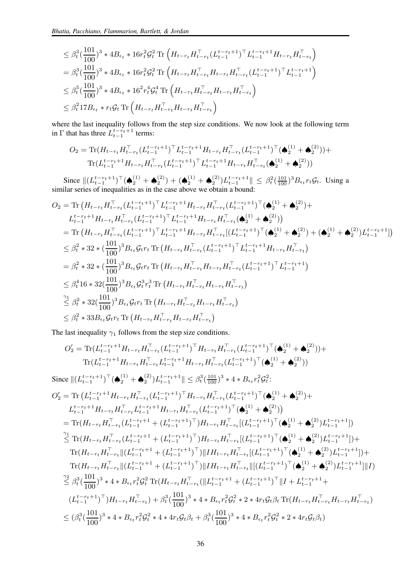$$
\leq \beta_t^3 \left(\frac{101}{100}\right)^3 * 4B_{\epsilon_t} * 16r_t^2 \mathcal{G}_t^2 \operatorname{Tr}\left(H_{t-r_t} H_{t-r_t}^\top (L_{t-1}^{t-r_t+1})^\top L_{t-1}^{t-r_t+1} H_{t-r_t} H_{t-r_t}^\top\right)
$$
\n
$$
= \beta_t^3 \left(\frac{101}{100}\right)^3 * 4B_{\epsilon_t} * 16r_t^2 \mathcal{G}_t^2 \operatorname{Tr}\left(H_{t-r_t} H_{t-r_t}^\top H_{t-r_t} H_{t-r_t}^\top (L_{t-1}^{t-r_t+1})^\top L_{t-1}^{t-r_t+1}\right)
$$
\n
$$
\leq \beta_t^5 \left(\frac{101}{100}\right)^3 * 4B_{\epsilon_t} * 16^2 r_t^4 \mathcal{G}_t^4 \operatorname{Tr}\left(H_{t-r_t} H_{t-r_t}^\top H_{t-r_t} H_{t-r_t}^\top\right)
$$
\n
$$
\leq \beta_t^2 17B_{\epsilon_t} * r_t \mathcal{G}_t \operatorname{Tr}\left(H_{t-r_t} H_{t-r_t}^\top H_{t-r_t} H_{t-r_t}^\top\right)
$$

where the last inequality follows from the step size conditions. We now look at the following term in  $\Gamma$  that has three  $L_{t-1}^{t-r_t+1}$  terms:

$$
O_2 = \text{Tr}(H_{t-r_t} H_{t-r_t}^\top (L_{t-1}^{t-r_t+1})^\top L_{t-1}^{t-r_t+1} H_{t-r_t} H_{t-r_t}^\top (L_{t-1}^{t-r_t+1})^\top (\spadesuit_2^{(1)} + \spadesuit_2^{(2)})) + \text{Tr}(L_{t-1}^{t-r_t+1} H_{t-r_t} H_{t-r_t}^\top (L_{t-1}^{t-r_t+1})^\top L_{t-1}^{t-r_t+1} H_{t-r_t} H_{t-r_t}^\top (\spadesuit_2^{(1)} + \spadesuit_2^{(2)}))
$$

Since  $||(L_{t-1}^{t-r_t+1})^\top (\spadesuit_2^{(1)} + \spadesuit_2^{(2)}) + (\spadesuit_2^{(1)} + \spadesuit_2^{(2)})L_{t-1}^{t-r_t+1}|| \leq \beta_t^2 (\frac{101}{100})^3 B_{\epsilon_t} r_t \mathcal{G}_t$ . Using a similar series of inequalities as in the case above we obtain a bound:

$$
O_{2} = \text{Tr} \left( H_{t-r_{t}} H_{t-r_{t}}^{\top} (L_{t-1}^{t-r_{t}+1})^{\top} L_{t-1}^{t-r_{t}+1} H_{t-r_{t}} H_{t-r_{t}}^{\top} (L_{t-1}^{t-r_{t}+1})^{\top} (\bigotimes_{2}^{(1)} + \bigotimes_{2}^{(2)}) +
$$
\n
$$
L_{t-1}^{t-r_{t}+1} H_{t-r_{t}} H_{t-r_{t}}^{\top} (L_{t-1}^{t-r_{t}+1})^{\top} L_{t-1}^{t-r_{t}+1} H_{t-r_{t}} H_{t-r_{t}}^{\top} (\bigotimes_{2}^{(1)} + \bigotimes_{2}^{(2)}) \right)
$$
\n
$$
= \text{Tr} \left( H_{t-r_{t}} H_{t-r_{t}}^{\top} (L_{t-1}^{t-r_{t}+1})^{\top} L_{t-1}^{t-r_{t}+1} H_{t-r_{t}} H_{t-r_{t}}^{\top} [(L_{t-1}^{t-r_{t}+1})^{\top} (\bigotimes_{2}^{(1)} + \bigotimes_{2}^{(2)}) + (\bigotimes_{2}^{(1)} + \bigotimes_{2}^{(2)}) L_{t-1}^{t-r_{t}+1}] \right)
$$
\n
$$
\leq \beta_{t}^{2} * 32 * (\frac{101}{100})^{3} B_{\epsilon_{t}} G_{t} r_{t} \text{ Tr} \left( H_{t-r_{t}} H_{t-r_{t}}^{\top} (L_{t-1}^{t-r_{t}+1})^{\top} L_{t-1}^{t-r_{t}+1} H_{t-r_{t}} H_{t-r_{t}}^{\top} \right)
$$
\n
$$
= \beta_{t}^{2} * 32 * (\frac{101}{100})^{3} B_{\epsilon_{t}} G_{t} r_{t} \text{ Tr} \left( H_{t-r_{t}} H_{t-r_{t}}^{\top} H_{t-r_{t}} H_{t-r_{t}}^{\top} (L_{t-1}^{t-r_{t}+1})^{\top} L_{t-1}^{t-r_{t}+1} \right)
$$
\n
$$
\leq \beta_{t}^{2} * 32 (\frac{101}{100})^{3} B_{\epsilon_{t}} G_{t} r_{t} \text{ Tr} \left( H_{t-r_{t
$$

The last inequality  $\gamma_1$  follows from the step size conditions.

$$
O'_{2} = \text{Tr}(L_{t-1}^{t-r_{t}+1}H_{t-r_{t}}H_{t-r_{t}}^{T}(L_{t-1}^{t-r_{t}+1})^{\top}H_{t-r_{t}}H_{t-r_{t}}^{T}(L_{t-1}^{t-r_{t}+1})^{\top}(\spadesuit_{2}^{(1)} + \spadesuit_{2}^{(2)})) +
$$
\n
$$
\text{Tr}(L_{t-1}^{t-r_{t}+1}H_{t-r_{t}}H_{t-r_{t}}^{T}(L_{t-1}^{t-r_{t}+1}H_{t-r_{t}}H_{t-r_{t}}^{T}(L_{t-1}^{t-r_{t}+1})^{\top}(\spadesuit_{2}^{(1)} + \spadesuit_{2}^{(2)}))
$$
\n
$$
\text{Since } \|(L_{t-1}^{t-r_{t}+1})^{\top}(\spadesuit_{2}^{(1)} + \spadesuit_{2}^{(2)})L_{t-1}^{t-r_{t}+1}\| \leq \beta_{t}^{3}(\frac{101}{100})^{3} * 4 * B_{\epsilon_{t}}r_{t}^{2}G_{t}^{2}.
$$
\n
$$
O'_{2} = \text{Tr}(L_{t-1}^{t-r_{t}+1}H_{t-r_{t}}H_{t-r_{t}}^{T}(L_{t-1}^{t-r_{t}+1})^{\top}H_{t-r_{t}}H_{t-r_{t}}^{T}(L_{t-1}^{t-r_{t}+1})^{\top}(\spadesuit_{2}^{(1)} + \spadesuit_{2}^{(2)}) +
$$
\n
$$
L_{t-1}^{t-r_{t}+1}H_{t-r_{t}}H_{t-r_{t}}^{T}(L_{t-1}^{t-r_{t}+1}H_{t-r_{t}}(L_{t-1}^{t-r_{t}+1})^{\top}(\spadesuit_{2}^{(1)} + \spadesuit_{2}^{(2)})L_{t-1}^{t-r_{t}+1})
$$
\n
$$
\leq \text{Tr}(H_{t-r_{t}}H_{t-r_{t}}^{T}(L_{t-1}^{t-r_{t}+1} + (L_{t-1}^{t-r_{t}+1})^{\top})H_{t-r_{t}}H_{t-r_{t}}^{T}[(L_{t-1}^{t-r_{t}+1})^{\top}(\spadesuit_{2}^{(1)} + \spadesuit_{2}^{(2)})L_{t-1}^{
$$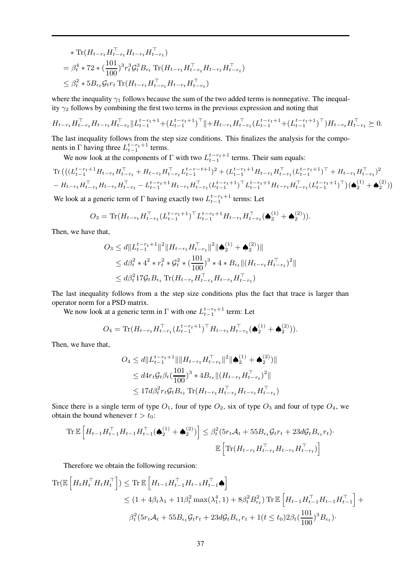$$
\begin{aligned}\n& \quad \text{Tr}(H_{t-r_t} H_{t-r_t}^\top H_{t-r_t} H_{t-r_t}^\top) \\
&= \beta_t^4 \cdot 72 \cdot \left(\frac{101}{100}\right)^3 r_t^3 \mathcal{G}_t^3 B_{\epsilon_t} \text{Tr}(H_{t-r_t} H_{t-r_t}^\top H_{t-r_t} H_{t-r_t}^\top) \\
&\le \beta_t^2 \cdot 5 B_{\epsilon_t} \mathcal{G}_t r_t \text{Tr}(H_{t-r_t} H_{t-r_t}^\top H_{t-r_t} H_{t-r_t}^\top)\n\end{aligned}
$$

where the inequality  $\gamma_1$  follows because the sum of the two added terms is nonnegative. The inequality  $\gamma_2$  follows by combining the first two terms in the previous expression and noting that

$$
H_{t-r_t} H_{t-r_t}^\top H_{t-r_t} H_{t-r_t}^\top \| L_{t-1}^{t-r_t+1} + (L_{t-1}^{t-r_t+1})^\top \| + H_{t-r_t} H_{t-r_t}^\top (L_{t-1}^{t-r_t+1} + (L_{t-1}^{t-r_t+1})^\top) H_{t-r_t} H_{t-r_t}^\top \succeq 0.
$$

The last inequality follows from the step size conditions. This finalizes the analysis for the components in  $\Gamma$  having three  $L_{t-1}^{t-r_t+1}$  terms.

We now look at the components of  $\Gamma$  with two  $L_{t-1}^{t-r_t+1}$  terms. Their sum equals:

$$
\begin{split} & \text{Tr}\left( \left( (L_{t-1}^{t-r_t+1} H_{t-r_t} H_{t-r_t}^\top + H_{t-r_t} H_{t-r_t}^\top L_{t-1}^{t-r-t+1})^2 + (L_{t-1}^{t-r_t+1} H_{t-r_t} H_{t-r_t}^\top (L_{t-1}^{t-r_t+1})^\top + H_{t-r_t} H_{t-r_t}^\top )^2 \right. \\ & \left. - H_{t-r_t} H_{t-r_t}^\top H_{t-r_t} H_{t-r_t}^\top - L_{t-1}^{t-r_t+1} H_{t-r_t} H_{t-r_t}^\top (L_{t-1}^{t-r_t+1} H_{t-r_t} H_{t-r_t}^\top (L_{t-1}^{t-r_t+1})^\top ) (\bigotimes^{(1)}_2 + \bigotimes^{(2)}_2) \right) \right) \end{split}
$$

We look at a generic term of  $\Gamma$  having exactly two  $L_{t-1}^{t-r_t+1}$  terms: Let

$$
O_3 = \text{Tr}(H_{t-r_t} H_{t-r_t}^\top (L_{t-1}^{t-r_t+1})^\top L_{t-1}^{t-r_t+1} H_{t-r_t} H_{t-r_t}^\top (\spadesuit_2^{(1)} + \spadesuit_2^{(2)})).
$$

Then, we have that,

$$
O_3 \le d \| L_{t-1}^{t-r_t+1} \|^2 \| H_{t-r_t} H_{t-r_t}^\top \|^2 \| \spadesuit_2^{(1)} + \spadesuit_2^{(2)} \|
$$
  
\n
$$
\le d\beta_t^2 * 4^2 * r_t^2 * \mathcal{G}_t^2 * (\frac{101}{100})^3 * 4 * B_{\epsilon_t} \| (H_{t-r_t} H_{t-r_t}^\top)^2 \|
$$
  
\n
$$
\le d\beta_t^2 17 \mathcal{G}_t B_{\epsilon_t} \text{Tr}(H_{t-r_t} H_{t-r_t}^\top H_{t-r_t} H_{t-r_t})
$$

The last inequality follows from a the step size conditions plus the fact that trace is larger than operator norm for a PSD matrix.

We now look at a generic term in  $\Gamma$  with one  $L_{t-1}^{t-r_t+1}$  term: Let

$$
O_4 = \text{Tr}(H_{t-r_t} H_{t-r_t}^\top (L_{t-1}^{t-r_t+1})^\top H_{t-r_t} H_{t-r_t}^\top (\spadesuit_2^{(1)} + \spadesuit_2^{(2)})).
$$

Then, we have that,

$$
O_4 \le d \| L_{t-1}^{t-r_t+1} \| \| H_{t-r_t} H_{t-r_t}^{\top} \|^{2} \| \spadesuit_2^{(1)} + \spadesuit_2^{(2)} \|
$$
  

$$
\le d^2 r_t \mathcal{G}_t \beta_t \left( \frac{101}{100} \right)^3 * 4B_{\epsilon_t} \| (H_{t-r_t} H_{t-r_t}^{\top})^2 \|
$$
  

$$
\le 17 d \beta_t^2 r_t \mathcal{G}_t B_{\epsilon_t} \text{Tr} (H_{t-r_t} H_{t-r_t}^{\top} H_{t-r_t} H_{t-r_t}^{\top})
$$

Since there is a single term of type  $O_1$ , four of type  $O_2$ , six of type  $O_3$  and four of type  $O_4$ , we obtain the bound whenever  $t > t_0$ :

$$
\operatorname{Tr}\mathbb{E}\left[H_{t-1}H_{t-1}^{\top}H_{t-1}H_{t-1}^{\top}(\spadesuit_2^{(1)}+\spadesuit_2^{(2)})\right] \leq \beta_t^2(5r_t\mathcal{A}_t+55B_{\epsilon_t}\mathcal{G}_t r_t+23d\mathcal{G}_tB_{\epsilon_t}r_t)\cdot \mathbb{E}\left[\operatorname{Tr}(H_{t-r_t}H_{t-r_t}^{\top}H_{t-r_t}H_{t-r_t}^{\top})\right]
$$

Therefore we obtain the following recursion:

$$
\begin{split} \text{Tr}(\mathbb{E}\left[H_{t}H_{t}^{\top}H_{t}H_{t}^{\top}\right]) &\leq \text{Tr}\,\mathbb{E}\left[H_{t-1}H_{t-1}^{\top}H_{t-1}H_{t-1}^{\top}\spadesuit\right] \\ &\leq (1+4\beta_{t}\lambda_{1}+11\beta_{t}^{2}\max(\lambda_{1}^{4},1)+8\beta_{t}^{2}B_{\epsilon_{t}}^{2})\,\text{Tr}\,\mathbb{E}\left[H_{t-1}H_{t-1}^{\top}H_{t-1}H_{t-1}^{\top}\right] + \\ &\beta_{t}^{2}(5r_{t}\mathcal{A}_{t}+55B_{\epsilon_{t}}\mathcal{G}_{t}r_{t}+23d\mathcal{G}_{t}B_{\epsilon_{t}}r_{t}+1(t\leq t_{0})2\beta_{t}(\frac{101}{100})^{3}B_{\epsilon_{t}}). \end{split}
$$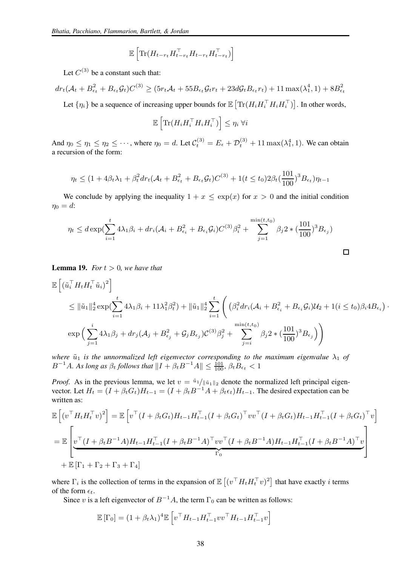$$
\mathbb{E}\left[\text{Tr}(\boldsymbol{H}_{t-r_t}\boldsymbol{H}_{t-r_t}^\top\boldsymbol{H}_{t-r_t}\boldsymbol{H}_{t-r_t}^\top)\right]
$$

Let  $C^{(3)}$  be a constant such that:

 $dr_t(\mathcal{A}_t + B_{\epsilon_t}^2 + B_{\epsilon_t}\mathcal{G}_t)C^{(3)} \ge (5r_t\mathcal{A}_t + 55B_{\epsilon_t}\mathcal{G}_t r_t + 23d\mathcal{G}_tB_{\epsilon_t}r_t) + 11\max(\lambda_1^4, 1) + 8B_{\epsilon_t}^2$ Let  $\{\eta_i\}$  be a sequence of increasing upper bounds for  $\mathbb{E} \left[ \text{Tr} (H_i H_i^\top H_i H_i^\top) \right]$ . In other words,

$$
\mathbb{E}\left[\text{Tr}(H_i H_i^\top H_i H_i^\top)\right] \leq \eta_i \; \forall i
$$

And  $\eta_0 \leq \eta_1 \leq \eta_2 \leq \cdots$ , where  $\eta_0 = d$ . Let  $\mathcal{C}_t^{(3)} = E_\epsilon + \mathcal{D}_t^{(3)} + 11 \max(\lambda_1^4, 1)$ . We can obtain a recursion of the form:

$$
\eta_t \le (1 + 4\beta_t \lambda_1 + \beta_t^2 dr_t (\mathcal{A}_t + B_{\epsilon_t}^2 + B_{\epsilon_t} \mathcal{G}_t) C^{(3)} + 1(t \le t_0) 2\beta_t (\frac{101}{100})^3 B_{\epsilon_t}) \eta_{t-1}
$$

We conclude by applying the inequality  $1 + x \leq \exp(x)$  for  $x > 0$  and the initial condition  $\eta_0 = d$ :

$$
\eta_t \leq d \exp\left(\sum_{i=1}^t 4\lambda_1 \beta_i + dr_i (\mathcal{A}_i + B_{\epsilon_i}^2 + B_{\epsilon_i} \mathcal{G}_i) C^{(3)} \beta_i^2 + \sum_{j=1}^{\min(t, t_0)} \beta_j 2 * (\frac{101}{100})^3 B_{\epsilon_j}\right)
$$

<span id="page-37-0"></span>**Lemma 19.** *For*  $t > 0$ *, we have that* 

$$
\mathbb{E}\left[ (\tilde{u}_{i}^{\top} H_{t} H_{t}^{\top} \tilde{u}_{i})^{2} \right] \n\leq \|\tilde{u}_{1}\|_{2}^{4} \exp\left( \sum_{i=1}^{t} 4\lambda_{1} \beta_{i} + 11\lambda_{1}^{2} \beta_{t}^{2} \right) + \|\tilde{u}_{1}\|_{2}^{4} \sum_{i=1}^{t} \left( \beta_{i}^{2} dr_{i} (\mathcal{A}_{i} + B_{\epsilon_{i}}^{2} + B_{\epsilon_{i}} \mathcal{G}_{i}) \mathcal{U}_{2} + 1(i \leq t_{0})\beta_{i} 4B_{\epsilon_{i}} \right) \cdot \exp\left( \sum_{j=1}^{i} 4\lambda_{1} \beta_{j} + dr_{j} (\mathcal{A}_{j} + B_{\epsilon_{j}}^{2} + \mathcal{G}_{j} B_{\epsilon_{j}}) \mathcal{C}^{(3)} \beta_{j}^{2} + \sum_{j=i}^{\min(t, t_{0})} \beta_{j} 2 * (\frac{101}{100})^{3} B_{\epsilon_{j}} \right) \right)
$$

 $\Box$ 

*where*  $\tilde{u}_1$  *is the unnormalized left eigenvector corresponding to the maximum eigenvalue*  $\lambda_1$  *of*  $B^{-1}A$ *. As long as*  $\beta_t$  *follows that*  $\|I + \beta_t B^{-1}A\| \leq \frac{101}{100}$ *,*  $\beta_t B_{\epsilon_t} < 1$ 

*Proof.* As in the previous lemma, we let  $v = \frac{\tilde{u}_1}{\|\tilde{u}_1\|_2}$  denote the normalized left principal eigenvector. Let  $H_t = (I + \beta_t G_t)H_{t-1} = (I + \beta_t B^{-1}A + \beta_t \epsilon_t)H_{t-1}$ . The desired expectation can be written as:

$$
\mathbb{E}\left[\left(v^{\top}H_tH_t^{\top}v\right)^2\right] = \mathbb{E}\left[v^{\top}(I+\beta_tG_t)H_{t-1}H_{t-1}^{\top}(I+\beta_tG_t)^{\top}vv^{\top}(I+\beta_tG_t)H_{t-1}H_{t-1}^{\top}(I+\beta_tG_t)^{\top}v\right]
$$
\n
$$
= \mathbb{E}\left[\underbrace{v^{\top}(I+\beta_tB^{-1}A)H_{t-1}H_{t-1}^{\top}(I+\beta_tB^{-1}A)^{\top}vv^{\top}(I+\beta_tB^{-1}A)H_{t-1}H_{t-1}^{\top}(I+\beta_tB^{-1}A)^{\top}v}_{\Gamma_0}\right]
$$
\n
$$
+ \mathbb{E}\left[\Gamma_1+\Gamma_2+\Gamma_3+\Gamma_4\right]
$$

where  $\Gamma_i$  is the collection of terms in the expansion of  $\mathbb{E}[(v^\top H_t H_t^\top v)^2]$  that have exactly i terms of the form  $\epsilon_t$ .

Since v is a left eigenvector of  $B^{-1}A$ , the term  $\Gamma_0$  can be written as follows:

$$
\mathbb{E}[\Gamma_0] = (1 + \beta_t \lambda_1)^4 \mathbb{E}\left[v^\top H_{t-1} H_{t-1}^\top vv^\top H_{t-1} H_{t-1}^\top v\right]
$$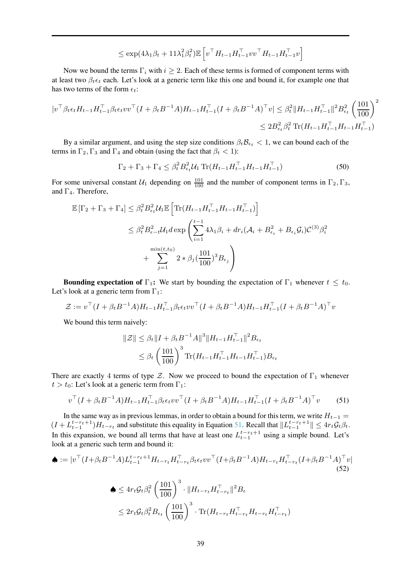$$
\leq \exp(4\lambda_1\beta_t + 11\lambda_1^2\beta_t^2)\mathbb{E}\left[v^{\top}H_{t-1}H_{t-1}^{\top}vv^{\top}H_{t-1}H_{t-1}^{\top}v\right]
$$

Now we bound the terms  $\Gamma_i$  with  $i > 2$ . Each of these terms is formed of component terms with at least two  $\beta_t \epsilon_t$  each. Let's look at a generic term like this one and bound it, for example one that has two terms of the form  $\epsilon_t$ :

$$
|v^\top \beta_t \epsilon_t H_{t-1} H_{t-1}^\top \beta_t \epsilon_t v v^\top (I + \beta_t B^{-1} A) H_{t-1} H_{t-1}^\top (I + \beta_t B^{-1} A)^\top v| \leq \beta_t^2 \|H_{t-1} H_{t-1}^\top\|^2 B_{\epsilon_t}^2 \left(\frac{101}{100}\right)^2
$$
  

$$
\leq 2B_{\epsilon_t}^2 \beta_t^2 \operatorname{Tr}(H_{t-1} H_{t-1}^\top H_{t-1} H_{t-1}^\top)
$$

By a similar argument, and using the step size conditions  $\beta_t \mathcal{B}_{\epsilon_t} < 1$ , we can bound each of the terms in  $\Gamma_2, \Gamma_3$  and  $\Gamma_4$  and obtain (using the fact that  $\beta_t < 1$ ):

$$
\Gamma_2 + \Gamma_3 + \Gamma_4 \leq \beta_t^2 B_{\epsilon_t}^2 \mathcal{U}_1 \operatorname{Tr} (H_{t-1} H_{t-1}^\top H_{t-1} H_{t-1}^\top)
$$
\n(50)

For some universal constant  $U_1$  depending on  $\frac{101}{100}$  and the number of component terms in  $\Gamma_2, \Gamma_3$ , and  $\Gamma_4$ . Therefore,

$$
\mathbb{E} [\Gamma_2 + \Gamma_3 + \Gamma_4] \leq \beta_t^2 B_{\epsilon_t}^2 \mathcal{U}_1 \mathbb{E} \left[ \text{Tr} (H_{t-1} H_{t-1}^\top H_{t-1} H_{t-1}^\top) \right] \n\leq \beta_t^2 B_{\epsilon-t}^2 \mathcal{U}_1 d \exp \left( \sum_{i=1}^{t-1} 4\lambda_1 \beta_i + dr_i (\mathcal{A}_i + B_{\epsilon_i}^2 + B_{\epsilon_i} \mathcal{G}_i)^{C^{(3)}} \beta_i^2 + \sum_{j=1}^{\min(t, t_0)} 2 * \beta_j (\frac{101}{100})^3 B_{\epsilon_j} \right)
$$

**Bounding expectation of Γ<sub>1</sub>:** We start by bounding the expectation of  $\Gamma_1$  whenever  $t \leq t_0$ . Let's look at a generic term from  $\Gamma_1$ :

$$
\mathcal{Z} := v^\top (I + \beta_t B^{-1} A) H_{t-1} H_{t-1}^\top \beta_t \epsilon_t v v^\top (I + \beta_t B^{-1} A) H_{t-1} H_{t-1}^\top (I + \beta_t B^{-1} A)^\top v
$$

We bound this term naively:

$$
\begin{aligned} \|\mathcal{Z}\| &\leq \beta_t \|I + \beta_t B^{-1} A\|^3 \|H_{t-1} H_{t-1}^\top\|^2 B_{\epsilon_t} \\ &\leq \beta_t \left(\frac{101}{100}\right)^3 \text{Tr}(H_{t-1} H_{t-1}^\top H_{t-1} H_{t-1}^\top) B_{\epsilon_t} \end{aligned}
$$

There are exactly 4 terms of type  $\mathcal{Z}$ . Now we proceed to bound the expectation of  $\Gamma_1$  whenever  $t > t_0$ : Let's look at a generic term from Γ<sub>1</sub>:

<span id="page-38-0"></span>
$$
v^{\top} (I + \beta_t B^{-1} A) H_{t-1} H_{t-1}^{\top} \beta_t \epsilon_t v v^{\top} (I + \beta_t B^{-1} A) H_{t-1} H_{t-1}^{\top} (I + \beta_t B^{-1} A)^{\top} v \tag{51}
$$

In the same way as in previous lemmas, in order to obtain a bound for this term, we write  $H_{t-1}$  =  $(I + L_{t-1}^{t-r_t+1})H_{t-r_t}$  and substitute this equality in Equation [51.](#page-38-0) Recall that  $||L_{t-1}^{t-r_t+1}|| \leq 4r_t \mathcal{G}_t \beta_t$ . In this expansion, we bound all terms that have at least one  $L_{t-1}^{t-r_t+1}$  using a simple bound. Let's look at a generic such term and bound it:

$$
\begin{split} \spadesuit &:= |v^\top (I + \beta_t B^{-1} A) L_{t-1}^{t-r_t+1} H_{t-r_t} H_{t-r_t}^\top \beta_t \epsilon_t v v^\top (I + \beta_t B^{-1} A) H_{t-r_t} H_{t-r_t}^\top (I + \beta_t B^{-1} A)^\top v | \\ & \text{(52)} \\ \spadesuit &\leq 4r_t \mathcal{G}_t \beta_t^2 \left(\frac{101}{100}\right)^3 \cdot \|H_{t-r_t} H_{t-r_t}^\top\|^2 B_\epsilon \\ &\leq 2r_t \mathcal{G}_t \beta_t^2 B_{\epsilon_t} \left(\frac{101}{100}\right)^3 \cdot \text{Tr}(H_{t-r_t} H_{t-r_t}^\top H_{t-r_t} H_{t-r_t}^\top) \end{split}
$$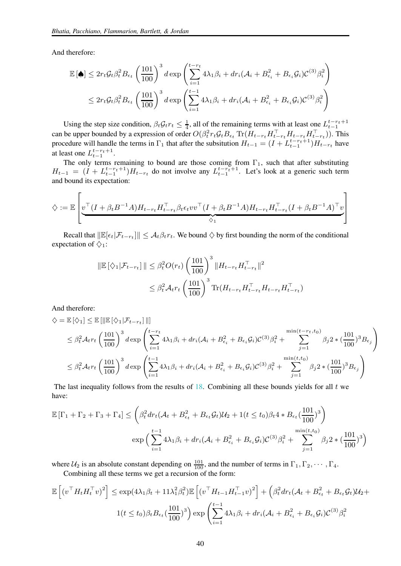And therefore:

$$
\mathbb{E}[\spadesuit] \leq 2r_t \mathcal{G}_t \beta_t^2 B_{\epsilon_t} \left(\frac{101}{100}\right)^3 d \exp\left(\sum_{i=1}^{t-r_t} 4\lambda_1 \beta_i + dr_i (\mathcal{A}_i + B_{\epsilon_i}^2 + B_{\epsilon_i} \mathcal{G}_i)^{C^{(3)}} \beta_i^2\right)
$$
  

$$
\leq 2r_t \mathcal{G}_t \beta_t^2 B_{\epsilon_t} \left(\frac{101}{100}\right)^3 d \exp\left(\sum_{i=1}^{t-1} 4\lambda_1 \beta_i + dr_i (\mathcal{A}_i + B_{\epsilon_i}^2 + B_{\epsilon_i} \mathcal{G}_i)^{C^{(3)}} \beta_i^2\right)
$$

Using the step size condition,  $\beta_t G_t r_t \leq \frac{1}{4}$ , all of the remaining terms with at least one  $L_{t-1}^{t-r_t+1}$ can be upper bounded by a expression of order  $O(\beta_t^2 r_t G_t B_{\epsilon_t} \text{Tr}(H_{t-r_t} H_{t-r_t}^T H_{t-r_t}^T H_{t-r_t}^T))$ . This procedure will handle the terms in  $\Gamma_1$  that after the subsitution  $H_{t-1} = (I + L_{t-1}^{t-r_t+1})H_{t-r_t}$  have at least one  $L_{t-1}^{t-r_t+1}$ .

The only terms remaining to bound are those coming from  $\Gamma_1$ , such that after substituting  $H_{t-1} = (I + L_{t-1}^{t-r_t+1})H_{t-r_t}$  do not involve any  $L_{t-1}^{t-r_t+1}$ . Let's look at a generic such term and bound its expectation:

$$
\diamondsuit := \mathbb{E}\left[\underbrace{v^\top (I+\beta_t B^{-1}A)H_{t-r_t}H_{t-r_t}^\top \beta_t \epsilon_t vv^\top (I+\beta_t B^{-1}A)H_{t-r_t}H_{t-r_t}^\top (I+\beta_t B^{-1}A)^\top v}_{\diamondsuit_1}\right]
$$

Recall that  $\|\mathbb{E}[\epsilon_t|\mathcal{F}_{t-r_t}]\| \leq \mathcal{A}_t\beta_t r_t$ . We bound  $\diamondsuit$  by first bounding the norm of the conditional expectation of  $\diamondsuit_1$ :

$$
\|\mathbb{E}[\langle \chi_1 | \mathcal{F}_{t-r_t}] \| \leq \beta_t^2 O(r_t) \left(\frac{101}{100}\right)^3 \| H_{t-r_t} H_{t-r_t}^\top \|^2
$$
  

$$
\leq \beta_t^2 \mathcal{A}_{t} r_t \left(\frac{101}{100}\right)^3 \text{Tr}(H_{t-r_t} H_{t-r_t}^\top H_{t-r_t} H_{t-r_t}^\top)
$$

And therefore:

$$
\diamondsuit = \mathbb{E}[\diamondsuit_1] \leq \mathbb{E}[\|\mathbb{E}[\diamondsuit_1|\mathcal{F}_{t-r_t}]\|]
$$
\n
$$
\leq \beta_t^2 \mathcal{A}_t r_t \left(\frac{101}{100}\right)^3 d \exp\left(\sum_{i=1}^{t-r_t} 4\lambda_1 \beta_i + dr_i(\mathcal{A}_i + B_{\epsilon_i}^2 + B_{\epsilon_i} \mathcal{G}_i) \mathcal{C}^{(3)} \beta_i^2 + \sum_{j=1}^{\min(t-r_t, t_0)} \beta_j 2 * (\frac{101}{100})^3 B_{\epsilon_j}\right)
$$
\n
$$
\leq \beta_t^2 \mathcal{A}_t r_t \left(\frac{101}{100}\right)^3 d \exp\left(\sum_{i=1}^{t-1} 4\lambda_1 \beta_i + dr_i(\mathcal{A}_i + B_{\epsilon_i}^2 + B_{\epsilon_i} \mathcal{G}_i) \mathcal{C}^{(3)} \beta_i^2 + \sum_{j=1}^{\min(t, t_0)} \beta_j 2 * (\frac{101}{100})^3 B_{\epsilon_j}\right)
$$

The last inequality follows from the results of  $18$ . Combining all these bounds yields for all t we have:

$$
\mathbb{E}[\Gamma_1 + \Gamma_2 + \Gamma_3 + \Gamma_4] \leq \left(\beta_t^2 dr_t (\mathcal{A}_t + B_{\epsilon_t}^2 + B_{\epsilon_t} \mathcal{G}_t) \mathcal{U}_2 + 1(t \leq t_0) \beta_t 4 * B_{\epsilon_t} (\frac{101}{100})^3\right)
$$

$$
\exp\Big(\sum_{i=1}^{t-1} 4\lambda_1 \beta_i + dr_i (\mathcal{A}_i + B_{\epsilon_i}^2 + B_{\epsilon_i} \mathcal{G}_i)^{C^{(3)}} \beta_i^2 + \sum_{j=1}^{\min(t, t_0)} \beta_j 2 * (\frac{101}{100})^3\Big)
$$

where  $\mathcal{U}_2$  is an absolute constant depending on  $\frac{101}{100}$ , and the number of terms in  $\Gamma_1, \Gamma_2, \cdots, \Gamma_4$ .

Combining all these terms we get a recursion of the form:

$$
\mathbb{E}\left[\left(v^{\top}H_tH_t^{\top}v\right)^2\right] \leq \exp(4\lambda_1\beta_t + 11\lambda_1^2\beta_t^2)\mathbb{E}\left[\left(v^{\top}H_{t-1}H_{t-1}^{\top}v\right)^2\right] + \left(\beta_t^2dr_t(\mathcal{A}_t + B_{\epsilon_t}^2 + B_{\epsilon_t}\mathcal{G}_t)\mathcal{U}_2 + 1\left(t \leq t_0\right)\beta_tB_{\epsilon_t}\left(\frac{101}{100}\right)^3\right)\exp\left(\sum_{i=1}^{t-1}4\lambda_1\beta_i + dr_i(\mathcal{A}_i + B_{\epsilon_i}^2 + B_{\epsilon_i}\mathcal{G}_i)\mathcal{C}^{(3)}\beta_i^2\right)
$$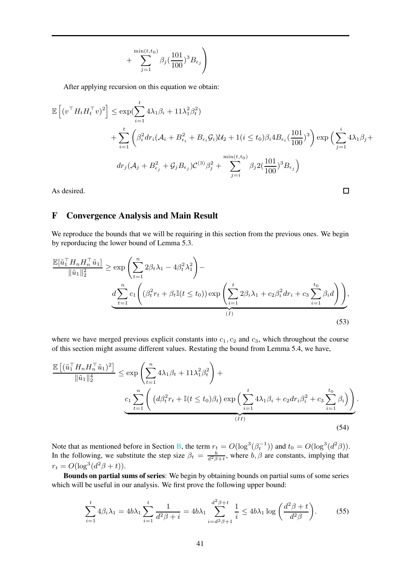$$
+\sum_{j=1}^{\min(t,t_0)}\beta_j(\frac{101}{100})^3B_{\epsilon_j}\Bigg)
$$

After applying recursion on this equation we obtain:

$$
\mathbb{E}\left[(v^{\top}H_tH_t^{\top}v)^2\right] \leq \exp(\sum_{i=1}^t 4\lambda_1\beta_i + 11\lambda_1^2\beta_t^2) \n+ \sum_{i=1}^t \left(\beta_i^2 dr_i(\mathcal{A}_i + B_{\epsilon_i}^2 + B_{\epsilon_i}\mathcal{G}_i)\mathcal{U}_2 + 1(i \leq t_0)\beta_i 4B_{\epsilon_i}(\frac{101}{100})^3\right) \exp\left(\sum_{j=1}^t 4\lambda_1\beta_j + d_{\epsilon_j}(\mathcal{A}_j + B_{\epsilon_j}^2 + \mathcal{G}_jB_{\epsilon_j})C^{(3)}\beta_j^2 + \sum_{j=i}^{\min(t,t_0)} \beta_j 2(\frac{101}{100})^3 B_{\epsilon_j}\right)
$$

<span id="page-40-2"></span><span id="page-40-1"></span> $\Box$ 

As desired.

## <span id="page-40-0"></span>F Convergence Analysis and Main Result

We reproduce the bounds that we will be requiring in this section from the previous ones. We begin by reporducing the lower bound of Lemma 5.3.

$$
\frac{\mathbb{E}[\tilde{u}_1^\top H_n H_n^\top \tilde{u}_1]}{\|\tilde{u}_1\|_2^2} \ge \exp\left(\sum_{t=1}^n 2\beta_t \lambda_1 - 4\beta_t^2 \lambda_1^2\right) - \frac{d \sum_{t=1}^n c_1 \left( (\beta_t^2 r_t + \beta_t \mathbb{I}(t \le t_0)) \exp\left(\sum_{i=1}^t 2\beta_i \lambda_1 + c_2 \beta_i^2 dr_i + c_3 \sum_{i=1}^{t_0} \beta_i d\right)\right)}{(I)},
$$
\n(53)

where we have merged previous explicit constants into  $c_1, c_2$  and  $c_3$ , which throughout the course of this section might assume different values. Restating the bound from Lemma 5.4, we have,

$$
\frac{\mathbb{E}\left[ (\tilde{u}_{1}^{\top} H_{n} H_{n}^{\top} \tilde{u}_{1})^{2} \right]}{\|\tilde{u}_{1}\|_{2}^{4}} \leq \exp\left( \sum_{t=1}^{n} 4\lambda_{1} \beta_{t} + 11\lambda_{1}^{2} \beta_{t}^{2} \right) + \frac{c_{1} \sum_{t=1}^{n} \left( (d\beta_{t}^{2} r_{t} + \mathbb{I}(t \leq t_{0})\beta_{t}) \exp\left( \sum_{i=1}^{t} 4\lambda_{1} \beta_{i} + c_{2} dr_{i} \beta_{i}^{2} + c_{3} \sum_{i=1}^{t_{0}} \beta_{i} \right) \right)}{(H)}
$$
\n
$$
(54)
$$

Note that as mentioned before in Section [B,](#page-13-0) the term  $r_t = O(\log^3(\beta_t^{-1}))$  and  $t_0 = O(\log^3(d^2\beta))$ . In the following, we substitute the step size  $\beta_t = \frac{b}{d^2\beta + t}$ , where  $b, \beta$  are constants, implying that  $r_t = O(\log^3(d^2\beta + t)).$ 

Bounds on partial sums of series: We begin by obtaining bounds on partial sums of some series which will be useful in our analysis. We first prove the following upper bound:

$$
\sum_{i=1}^{t} 4\beta_i \lambda_1 = 4b\lambda_1 \sum_{i=1}^{t} \frac{1}{d^2 \beta + i} = 4b\lambda_1 \sum_{i=d^2\beta + 1}^{d^2 \beta + t} \frac{1}{i} \le 4b\lambda_1 \log\left(\frac{d^2 \beta + t}{d^2 \beta}\right).
$$
 (55)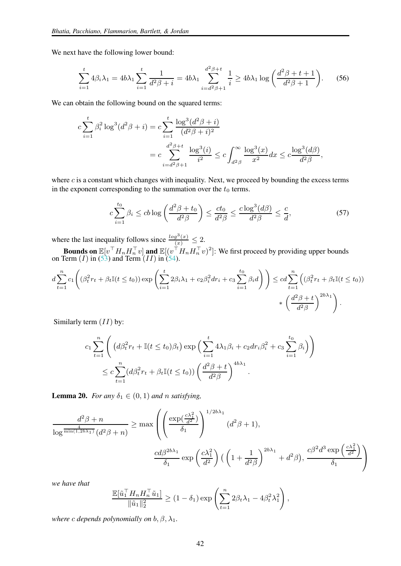We next have the following lower bound:

$$
\sum_{i=1}^{t} 4\beta_i \lambda_1 = 4b\lambda_1 \sum_{i=1}^{t} \frac{1}{d^2 \beta + i} = 4b\lambda_1 \sum_{i=d^2\beta + 1}^{d^2 \beta + t} \frac{1}{i} \ge 4b\lambda_1 \log\left(\frac{d^2 \beta + t + 1}{d^2 \beta + 1}\right).
$$
 (56)

We can obtain the following bound on the squared terms:

$$
c \sum_{i=1}^{t} \beta_i^2 \log^3(d^2 \beta + i) = c \sum_{i=1}^{t} \frac{\log^3(d^2 \beta + i)}{(d^2 \beta + i)^2}
$$
  
= 
$$
c \sum_{i=d^2 \beta + 1}^{d^2 \beta + t} \frac{\log^3(i)}{i^2} \le c \int_{d^2 \beta}^{\infty} \frac{\log^3(x)}{x^2} dx \le c \frac{\log^3(d\beta)}{d^2 \beta},
$$

where c is a constant which changes with inequality. Next, we proceed by bounding the excess terms in the exponent corresponding to the summation over the  $t_0$  terms.

<span id="page-41-0"></span>
$$
c\sum_{i=1}^{t_0} \beta_i \le cb \log\left(\frac{d^2\beta + t_0}{d^2\beta}\right) \le \frac{ct_0}{d^2\beta} \le \frac{c\log^3(d\beta)}{d^2\beta} \le \frac{c}{d},\tag{57}
$$

where the last inequality follows since  $\frac{\log^3(x)}{(x)} \leq 2$ .

**Bounds on**  $\mathbb{E}[v^\top H_n H_n^\top v]$  and  $\mathbb{E}[(v^\top H_n H_n^\top v)^2]$ : We first proceed by providing upper bounds on Term  $(I)$  in  $(53)$  and Term  $(II)$  in  $(54)$ .

$$
d\sum_{t=1}^{n} c_1 \left( (\beta_t^2 r_t + \beta_t \mathbb{I}(t \le t_0)) \exp \left( \sum_{i=1}^t 2\beta_i \lambda_1 + c_2 \beta_i^2 dr_i + c_3 \sum_{i=1}^{t_0} \beta_i d \right) \right) \le c d \sum_{t=1}^{n} \left( (\beta_t^2 r_t + \beta_t \mathbb{I}(t \le t_0)) \times \left( \frac{d^2 \beta + t}{d^2 \beta} \right)^{2b} \right).
$$

Similarly term  $(II)$  by:

$$
c_1 \sum_{t=1}^n \left( \left( d\beta_t^2 r_t + \mathbb{I}(t \le t_0) \beta_t \right) \exp \left( \sum_{i=1}^t 4\lambda_1 \beta_i + c_2 dr_i \beta_i^2 + c_3 \sum_{i=1}^{t_0} \beta_i \right) \right)
$$
  

$$
\le c \sum_{t=1}^n (d\beta_t^2 r_t + \beta_t \mathbb{I}(t \le t_0)) \left( \frac{d^2 \beta + t}{d^2 \beta} \right)^{4b\lambda_1}.
$$

<span id="page-41-1"></span>**Lemma 20.** *For any*  $\delta_1 \in (0,1)$  *and n satisfying*,

$$
\frac{d^2\beta + n}{\log^{\frac{4}{\min(1, 2b\lambda_1)}}(d^2\beta + n)} \ge \max\left(\left(\frac{\exp(\frac{c\lambda_1^2}{d^2})}{\delta_1}\right)^{1/2b\lambda_1} (d^2\beta + 1), \frac{c d\beta^{2b\lambda_1}}{\delta_1} \exp\left(\frac{c\lambda_1^2}{d^2}\right) \left(\left(1 + \frac{1}{d^2\beta}\right)^{2b\lambda_1} + d^2\beta\right), \frac{c\beta^2 d^3 \exp\left(\frac{c\lambda_1^2}{d^2}\right)}{\delta_1}\right)
$$

*we have that*

$$
\frac{\mathbb{E}[\tilde{u}_1^\top H_n H_n^\top \tilde{u}_1]}{\|\tilde{u}_1\|_2^2} \ge (1 - \delta_1) \exp\left(\sum_{t=1}^n 2\beta_t \lambda_1 - 4\beta_t^2 \lambda_1^2\right),
$$

*where c depends polynomially on*  $b, \beta, \lambda_1$ *.*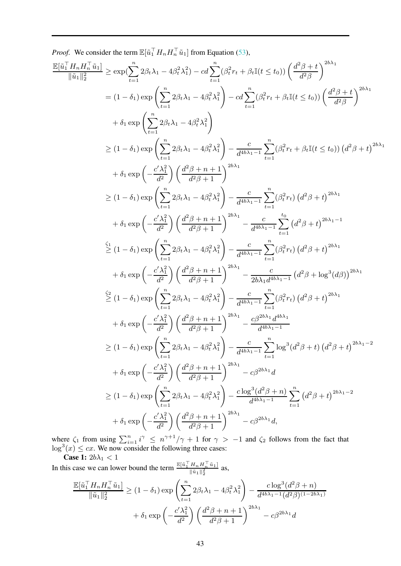*Proof.* We consider the term  $\mathbb{E}[\tilde{u}_1^\top H_n H_n^\top \tilde{u}_1]$  from Equation [\(53\)](#page-40-1),

$$
\frac{\mathbb{E}[ \tilde{u}_{1}^{T}H_{n}H_{n}^{T}\tilde{u}_{1}]}{\|\tilde{u}_{1}\|_{2}^{2}} \geq \exp(\sum_{t=1}^{n}2\beta_{t}\lambda_{1}-4\beta_{t}^{2}\lambda_{1}^{2})-cd\sum_{t=1}^{n}(\beta_{t}^{2}r_{t}+\beta_{t}\mathbb{I}(t\leq t_{0}))\left(\frac{d^{2}\beta+t}{d^{2}\beta}\right)^{2b\lambda_{1}}
$$
\n
$$
= (1-\delta_{1})\exp\left(\sum_{t=1}^{n}2\beta_{t}\lambda_{1}-4\beta_{t}^{2}\lambda_{1}^{2}\right)-cd\sum_{t=1}^{n}(\beta_{t}^{2}r_{t}+\beta_{t}\mathbb{I}(t\leq t_{0}))\left(\frac{d^{2}\beta+t}{d^{2}\beta}\right)^{2b\lambda_{1}}
$$
\n
$$
+ \delta_{1}\exp\left(\sum_{t=1}^{n}2\beta_{t}\lambda_{1}-4\beta_{t}^{2}\lambda_{1}^{2}\right)
$$
\n
$$
\geq (1-\delta_{1})\exp\left(\sum_{t=1}^{n}2\beta_{t}\lambda_{1}-4\beta_{t}^{2}\lambda_{1}^{2}\right)-\frac{c}{d^{4b\lambda_{1}-1}}\sum_{t=1}^{n}(\beta_{t}^{2}r_{t}+\beta_{t}\mathbb{I}(t\leq t_{0}))\left(d^{2}\beta+t\right)^{2b\lambda_{1}}
$$
\n
$$
+ \delta_{1}\exp\left(-\frac{c'\lambda_{1}^{2}}{d^{2}}\right)\left(\frac{d^{2}\beta+n+1}{d^{2}\beta+1}\right)^{2b\lambda_{1}}
$$
\n
$$
\geq (1-\delta_{1})\exp\left(\sum_{t=1}^{n}2\beta_{t}\lambda_{1}-4\beta_{t}^{2}\lambda_{1}^{2}\right)-\frac{c}{d^{4b\lambda_{1}-1}}\sum_{t=1}^{n}(\beta_{t}^{2}r_{t})\left(d^{2}\beta+t\right)^{2b\lambda_{1}}
$$
\n
$$
+ \delta_{1}\exp\left(-\frac{c'\lambda_{1}^{2}}{d^{2}}\right)\left(\frac{d^{2}\beta+n+1}{d^{2}\beta+1}\right)^{2b\lambda_{1}}-\frac{c}{d^{4b\lambda_{1}-1}}\sum_{
$$

where  $\zeta_1$  from using  $\sum_{i=1}^n i^{\gamma} \leq n^{\gamma+1}/\gamma + 1$  for  $\gamma > -1$  and  $\zeta_2$  follows from the fact that  $\log^3(x) \leq cx$ . We now consider the following three cases:

**Case 1:**  $2b\lambda_1 < 1$ 

In this case we can lower bound the term  $\frac{\mathbb{E}[\tilde{u}_1^\top H_n H_n^\top \tilde{u}_1]}{\mathbb{E}[\tilde{u}_1]^\top}$  $\frac{\prod_{n} \prod_{n} u_{1}}{\|\tilde{u}_{1}\|_{2}^{2}}$  as,

$$
\frac{\mathbb{E}[\tilde{u}_1^\top H_n H_n^\top \tilde{u}_1]}{\|\tilde{u}_1\|_2^2} \ge (1 - \delta_1) \exp\left(\sum_{t=1}^n 2\beta_t \lambda_1 - 4\beta_t^2 \lambda_1^2\right) - \frac{c \log^3(d^2\beta + n)}{d^{4b\lambda_1 - 1}(d^2\beta)^{(1 - 2b\lambda_1)}} + \delta_1 \exp\left(-\frac{c'\lambda_1^2}{d^2}\right) \left(\frac{d^2\beta + n + 1}{d^2\beta + 1}\right)^{2b\lambda_1} - c\beta^{2b\lambda_1} d
$$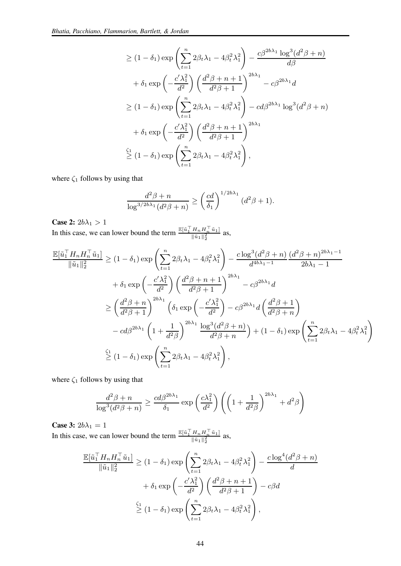$$
\geq (1 - \delta_1) \exp\left(\sum_{t=1}^n 2\beta_t \lambda_1 - 4\beta_t^2 \lambda_1^2\right) - \frac{c\beta^{2b\lambda_1} \log^3(d^2\beta + n)}{d\beta}
$$
  
+  $\delta_1 \exp\left(-\frac{c'\lambda_1^2}{d^2}\right) \left(\frac{d^2\beta + n + 1}{d^2\beta + 1}\right)^{2b\lambda_1} - c\beta^{2b\lambda_1}d$   

$$
\geq (1 - \delta_1) \exp\left(\sum_{t=1}^n 2\beta_t \lambda_1 - 4\beta_t^2 \lambda_1^2\right) - cd\beta^{2b\lambda_1} \log^3(d^2\beta + n)
$$
  
+  $\delta_1 \exp\left(-\frac{c'\lambda_1^2}{d^2}\right) \left(\frac{d^2\beta + n + 1}{d^2\beta + 1}\right)^{2b\lambda_1}$   

$$
\geq (1 - \delta_1) \exp\left(\sum_{t=1}^n 2\beta_t \lambda_1 - 4\beta_t^2 \lambda_1^2\right),
$$

where  $\zeta_1$  follows by using that

$$
\frac{d^2\beta + n}{\log^{3/2b\lambda_1}(d^2\beta + n)} \ge \left(\frac{cd}{\delta_1}\right)^{1/2b\lambda_1}(d^2\beta + 1).
$$

**Case 2:**  $2b\lambda_1 > 1$ <br>In this case, we can lower bound the term  $\frac{\mathbb{E}[\tilde{u}_1^\top H_n H_n^\top \tilde{u}_1]}{\|\tilde{u}_1\|^2}$  $\frac{\ln n \ln n}{\|\tilde{u}_1\|_2^2}$  as,

$$
\frac{\mathbb{E}[\tilde{u}_1^\top H_n H_n^\top \tilde{u}_1]}{\|\tilde{u}_1\|_2^2} \ge (1 - \delta_1) \exp\left(\sum_{t=1}^n 2\beta_t \lambda_1 - 4\beta_t^2 \lambda_1^2\right) - \frac{c \log^3(d^2 \beta + n)}{d^{4b\lambda_1 - 1}} \frac{(d^2 \beta + n)^{2b\lambda_1 - 1}}{2b\lambda_1 - 1}
$$
  
+  $\delta_1 \exp\left(-\frac{c'\lambda_1^2}{d^2}\right) \left(\frac{d^2 \beta + n + 1}{d^2 \beta + 1}\right)^{2b\lambda_1} - c\beta^{2b\lambda_1} d$   

$$
\ge \left(\frac{d^2 \beta + n}{d^2 \beta + 1}\right)^{2b\lambda_1} \left(\delta_1 \exp\left(-\frac{c'\lambda_1^2}{d^2}\right) - c\beta^{2b\lambda_1} d\left(\frac{d^2 \beta + 1}{d^2 \beta + n}\right)
$$
  
-  $cd\beta^{2b\lambda_1} \left(1 + \frac{1}{d^2 \beta}\right)^{2b\lambda_1} \frac{\log^3(d^2 \beta + n)}{d^2 \beta + n} + (1 - \delta_1) \exp\left(\sum_{t=1}^n 2\beta_t \lambda_1 - 4\beta_t^2 \lambda_1^2\right)$   

$$
\stackrel{\zeta_1}{\ge} (1 - \delta_1) \exp\left(\sum_{t=1}^n 2\beta_t \lambda_1 - 4\beta_t^2 \lambda_1^2\right),
$$

where  $\zeta_1$  follows by using that

$$
\frac{d^2\beta + n}{\log^3(d^2\beta + n)} \ge \frac{cd\beta^{2b\lambda_1}}{\delta_1} \exp\left(\frac{c\lambda_1^2}{d^2}\right) \left( \left(1 + \frac{1}{d^2\beta}\right)^{2b\lambda_1} + d^2\beta \right)
$$

Case 3:  $2b\lambda_1 = 1$ 

In this case, we can lower bound the term  $\frac{\mathbb{E}[\tilde{u}_1^\top H_n H_n^\top \tilde{u}_1]}{\mathbb{E}[\tilde{u}_1^\top H_n^\top]^{2}}$  $\frac{\prod_{n} H_n u_{11}}{\|\tilde{u}_1\|_2^2}$  as,

$$
\frac{\mathbb{E}[\tilde{u}_1^\top H_n H_n^\top \tilde{u}_1]}{\|\tilde{u}_1\|_2^2} \ge (1 - \delta_1) \exp\left(\sum_{t=1}^n 2\beta_t \lambda_1 - 4\beta_t^2 \lambda_1^2\right) - \frac{c \log^4(d^2 \beta + n)}{d}
$$

$$
+ \delta_1 \exp\left(-\frac{c'\lambda_1^2}{d^2}\right) \left(\frac{d^2 \beta + n + 1}{d^2 \beta + 1}\right) - c\beta d
$$

$$
\stackrel{\zeta_1}{\ge} (1 - \delta_1) \exp\left(\sum_{t=1}^n 2\beta_t \lambda_1 - 4\beta_t^2 \lambda_1^2\right),
$$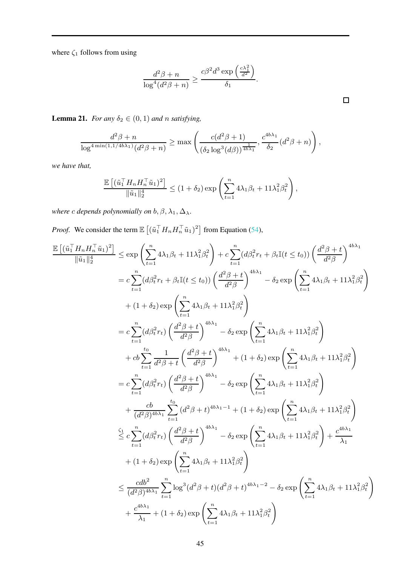where  $\zeta_1$  follows from using

$$
\frac{d^2\beta + n}{\log^4(d^2\beta + n)} \ge \frac{c\beta^2 d^3 \exp\left(\frac{c\lambda_1^2}{d^2}\right)}{\delta_1}.
$$

<span id="page-44-0"></span>**Lemma 21.** *For any*  $\delta_2 \in (0, 1)$  *and n satisfying*,

$$
\frac{d^2\beta + n}{\log^{4\min(1,1/4b\lambda_1)}(d^2\beta + n)} \ge \max\left(\frac{c(d^2\beta + 1)}{(\delta_2\log^3(d\beta))^{\frac{1}{4b\lambda_1}}}, \frac{c^{4b\lambda_1}}{\delta_2}(d^2\beta + n)\right),
$$

*we have that,*

$$
\frac{\mathbb{E}\left[ (\tilde{u}_1^\top H_n H_n^\top \tilde{u}_1)^2 \right]}{\|\tilde{u}_1\|_2^4} \le (1+\delta_2) \exp\left( \sum_{t=1}^n 4\lambda_1 \beta_t + 11\lambda_1^2 \beta_t^2 \right),
$$

*where c depends polynomially on*  $b, \beta, \lambda_1, \Delta_\lambda$ .

*Proof.* We consider the term  $\mathbb{E} \left[ \left( \tilde{u}_1^\top H_n H_n^\top \tilde{u}_1 \right)^2 \right]$  from Equation [\(54\)](#page-40-2),

$$
\frac{\mathbb{E}\left[(\tilde{u}_{1}^{\top}H_{n}H_{n}^{\top}\tilde{u}_{1})^{2}\right]}{\|\tilde{u}_{1}\|_{2}^{4}} \leq \exp\left(\sum_{t=1}^{n}4\lambda_{1}\beta_{t}+11\lambda_{1}^{2}\beta_{t}^{2}\right)+c\sum_{t=1}^{n}(d\beta_{t}^{2}r_{t}+\beta_{t}\mathbb{I}(t\leq t_{0}))\left(\frac{d^{2}\beta+t}{d^{2}\beta}\right)^{4b\lambda_{1}} \\ =c\sum_{t=1}^{n}(d\beta_{t}^{2}r_{t}+\beta_{t}\mathbb{I}(t\leq t_{0}))\left(\frac{d^{2}\beta+t}{d^{2}\beta}\right)^{4b\lambda_{1}}-\delta_{2}\exp\left(\sum_{t=1}^{n}4\lambda_{1}\beta_{t}+11\lambda_{1}^{2}\beta_{t}^{2}\right) \\ +\left(1+\delta_{2}\right)\exp\left(\sum_{t=1}^{n}4\lambda_{1}\beta_{t}+11\lambda_{1}^{2}\beta_{t}^{2}\right) \\ =c\sum_{t=1}^{n}(d\beta_{t}^{2}r_{t})\left(\frac{d^{2}\beta+t}{d^{2}\beta}\right)^{4b\lambda_{1}}-\delta_{2}\exp\left(\sum_{t=1}^{n}4\lambda_{1}\beta_{t}+11\lambda_{1}^{2}\beta_{t}^{2}\right) \\ +c b\sum_{t=1}^{t_{0}}\frac{1}{d^{2}\beta+t}\left(\frac{d^{2}\beta+t}{d^{2}\beta}\right)^{4b\lambda_{1}}+(1+\delta_{2})\exp\left(\sum_{t=1}^{n}4\lambda_{1}\beta_{t}+11\lambda_{1}^{2}\beta_{t}^{2}\right) \\ =c\sum_{t=1}^{n}(d\beta_{t}^{2}r_{t})\left(\frac{d^{2}\beta+t}{d^{2}\beta}\right)^{4b\lambda_{1}-1}+(1+\delta_{2})\exp\left(\sum_{t=1}^{n}4\lambda_{1}\beta_{t}+11\lambda_{1}^{2}\beta_{t}^{2}\right) \\ +\frac{cb}{(d^{2}\beta)^{4b\lambda_{1}}}\sum_{t=1}^{t_{0}}(d^{2}\beta+t)^{4b\lambda_{1}-1}+(1+\delta_{2})\exp\left(\sum_{t=1}^{n}4\lambda_{1}\beta_{t}+11\lambda_{1
$$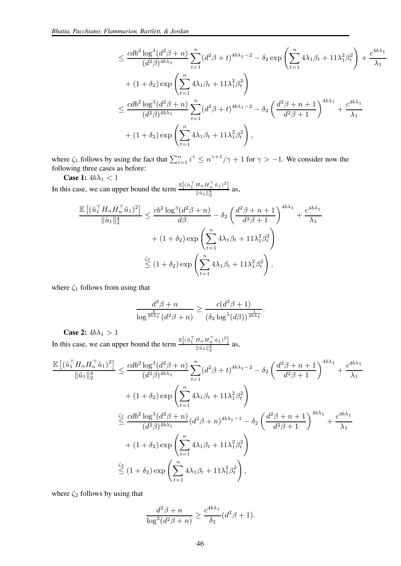$$
\leq \frac{cdb^2 \log^3(d^2 \beta + n)}{(d^2 \beta)^{4b\lambda_1}} \sum_{t=1}^n (d^2 \beta + t)^{4b\lambda_1 - 2} - \delta_2 \exp\left(\sum_{t=1}^n 4\lambda_1 \beta_t + 11\lambda_1^2 \beta_t^2\right) + \frac{c^{4b\lambda_1}}{\lambda_1} + (1 + \delta_2) \exp\left(\sum_{t=1}^n 4\lambda_1 \beta_t + 11\lambda_1^2 \beta_t^2\right)
$$
  

$$
\leq \frac{cdb^2 \log^3(d^2 \beta + n)}{(d^2 \beta)^{4b\lambda_1}} \sum_{t=1}^n (d^2 \beta + t)^{4b\lambda_1 - 2} - \delta_2 \left(\frac{d^2 \beta + n + 1}{d^2 \beta + 1}\right)^{4b\lambda_1} + \frac{c^{4b\lambda_1}}{\lambda_1}
$$
  

$$
+ (1 + \delta_2) \exp\left(\sum_{t=1}^n 4\lambda_1 \beta_t + 11\lambda_1^2 \beta_t^2\right),
$$

where  $\zeta_1$  follows by using the fact that  $\sum_{i=1}^n i^{\gamma} \leq n^{\gamma+1}/\gamma + 1$  for  $\gamma > -1$ . We consider now the following three cases as before:

Case 1:  $4b\lambda_1<1$ In this case, we can upper bound the term  $\frac{\mathbb{E}[(\tilde{u}_1^\top H_n H_n^\top \tilde{u}_1)^2]}{\|\tilde{u}_1\|^4}$  $\frac{\ln n \ln n}{\|\tilde{u}_1\|_2^4}$  as,

$$
\frac{\mathbb{E}\left[(\tilde{u}_1^\top H_n H_n^\top \tilde{u}_1)^2\right]}{\|\tilde{u}_1\|_2^4} \le \frac{cb^2 \log^3(d^2\beta + n)}{d\beta} - \delta_2 \left(\frac{d^2\beta + n + 1}{d^2\beta + 1}\right)^{4b\lambda_1} + \frac{c^{4b\lambda_1}}{\lambda_1} + (1 + \delta_2) \exp\left(\sum_{t=1}^n 4\lambda_1 \beta_t + 11\lambda_1^2 \beta_t^2\right)
$$

$$
\stackrel{\zeta_1}{\le} (1 + \delta_2) \exp\left(\sum_{t=1}^n 4\lambda_1 \beta_t + 11\lambda_1^2 \beta_t^2\right),
$$

where  $\zeta_1$  follows from using that

$$
\frac{d^2\beta + n}{\log^{\frac{3}{4b\lambda_1}}(d^2\beta + n)} \ge \frac{c(d^2\beta + 1)}{(\delta_2\log^3(d\beta))^{\frac{1}{4b\lambda_1}}}.
$$

Case 2:  $4b\lambda_1 > 1$ 

In this case, we can upper bound the term  $\frac{\mathbb{E}[(\tilde{u}_1^\top H_n H_n^\top \tilde{u}_1)^2]}{\|\tilde{u}_1\|^4}$  $\frac{\ln n \ln n}{\|\tilde{u}_1\|_2^4}$  as,

$$
\frac{\mathbb{E}\left[(\tilde{u}_{1}^{T}H_{n}H_{n}^{T}\tilde{u}_{1})^{2}\right]}{\|\tilde{u}_{1}\|_{2}^{4}} \leq \frac{cdb^{2}\log^{3}(d^{2}\beta+n)}{(d^{2}\beta)^{4b\lambda_{1}}}\sum_{t=1}^{n}(d^{2}\beta+t)^{4b\lambda_{1}-2} - \delta_{2}\left(\frac{d^{2}\beta+n+1}{d^{2}\beta+1}\right)^{4b\lambda_{1}} + \frac{c^{4b\lambda_{1}}}{\lambda_{1}} + (1+\delta_{2})\exp\left(\sum_{t=1}^{n}4\lambda_{1}\beta_{t}+11\lambda_{1}^{2}\beta_{t}^{2}\right)
$$
  

$$
\leq \frac{cdb^{2}\log^{3}(d^{2}\beta+n)}{(d^{2}\beta)^{4b\lambda_{1}}}(d^{2}\beta+n)^{4b\lambda_{1}-1} - \delta_{2}\left(\frac{d^{2}\beta+n+1}{d^{2}\beta+1}\right)^{4b\lambda_{1}} + \frac{c^{4b\lambda_{1}}}{\lambda_{1}} + (1+\delta_{2})\exp\left(\sum_{t=1}^{n}4\lambda_{1}\beta_{t}+11\lambda_{1}^{2}\beta_{t}^{2}\right)
$$
  

$$
\leq (1+\delta_{2})\exp\left(\sum_{t=1}^{n}4\lambda_{1}\beta_{t}+11\lambda_{1}^{2}\beta_{t}^{2}\right),
$$

where  $\zeta_2$  follows by using that

$$
\frac{d^2\beta + n}{\log^3(d^2\beta + n)} \ge \frac{c^{4b\lambda_1}}{\delta_2}(d^2\beta + 1).
$$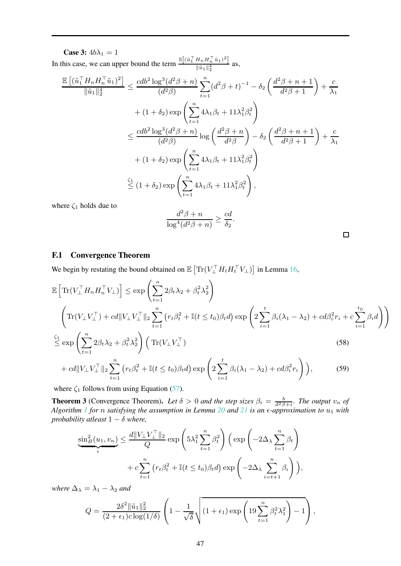Case 3:  $4b\lambda_1 = 1$ In this case, we can upper bound the term  $\frac{\mathbb{E}[(\tilde{u}_1^\top H_n H_n^\top \tilde{u}_1)^2]}{\|\tilde{u}_1\|^4}$  $\frac{\ln n \ln n}{\|\tilde{u}_1\|_2^4}$  as,

$$
\frac{\mathbb{E}\left[(\tilde{u}_1^\top H_n H_n^\top \tilde{u}_1)^2\right]}{\|\tilde{u}_1\|_2^4} \le \frac{cdb^2\log^3(d^2\beta+n)}{(d^2\beta)} \sum_{t=1}^n (d^2\beta+t)^{-1} - \delta_2\left(\frac{d^2\beta+n+1}{d^2\beta+1}\right) + \frac{c}{\lambda_1}
$$

$$
+ (1+\delta_2)\exp\left(\sum_{t=1}^n 4\lambda_1\beta_t + 11\lambda_1^2\beta_t^2\right)
$$

$$
\le \frac{cdb^2\log^3(d^2\beta+n)}{(d^2\beta)}\log\left(\frac{d^2\beta+n}{d^2\beta}\right) - \delta_2\left(\frac{d^2\beta+n+1}{d^2\beta+1}\right) + \frac{c}{\lambda_1}
$$

$$
+ (1+\delta_2)\exp\left(\sum_{t=1}^n 4\lambda_1\beta_t + 11\lambda_1^2\beta_t^2\right)
$$

$$
\stackrel{\zeta_1}{\le}(1+\delta_2)\exp\left(\sum_{t=1}^n 4\lambda_1\beta_t + 11\lambda_1^2\beta_t^2\right),
$$

where  $\zeta_1$  holds due to

$$
\frac{d^2\beta + n}{\log^4(d^2\beta + n)} \ge \frac{cd}{\delta_2}.
$$

<span id="page-46-1"></span>

#### <span id="page-46-0"></span>F.1 Convergence Theorem

We begin by restating the bound obtained on  $\mathbb{E}\left[\text{Tr}(V_{\perp}^{\top} H_t H_t^{\top} V_{\perp})\right]$  in Lemma [16,](#page-28-0)

$$
\mathbb{E}\left[\text{Tr}(V_{\perp}^{\top}H_nH_n^{\top}V_{\perp})\right] \leq \exp\left(\sum_{t=1}^n 2\beta_t\lambda_2 + \beta_t^2\lambda_2^2\right)
$$
\n
$$
\left(\text{Tr}(V_{\perp}V_{\perp}^{\top}) + cd\|V_{\perp}V_{\perp}^{\top}\|_2\sum_{t=1}^n \left(r_t\beta_t^2 + \mathbb{I}(t \leq t_0)\beta_t d\right) \exp\left(2\sum_{i=1}^t \beta_i(\lambda_1 - \lambda_2) + cd\beta_i^2 r_i + c\sum_{i=1}^{t_0} \beta_i d\right)\right)
$$
\n
$$
\overset{\zeta_1}{\leq} \exp\left(\sum_{i=1}^n 2\beta_t\lambda_2 + \beta_t^2\lambda_2^2\right) \left(\text{Tr}(V_{\perp}V_{\perp}^{\top})\right) \tag{58}
$$

$$
\begin{aligned}\n\mathbf{t} &= 1 \\
+ c d \| V_{\perp} V_{\perp}^{\top} \|_2 \sum_{t=1}^n \left( r_t \beta_t^2 + \mathbb{I}(t \le t_0) \beta_t d \right) \exp \left( 2 \sum_{i=1}^t \beta_i (\lambda_1 - \lambda_2) + c d \beta_i^2 r_i \right) \big),\n\end{aligned} \tag{59}
$$

where  $\zeta_1$  follows from using Equation [\(57\)](#page-41-0).

<span id="page-46-2"></span>**Theorem 3** (Convergence Theorem). Let  $\delta > 0$  and the step sizes  $\beta_i = \frac{b}{d^2 \beta + i}$ . The output  $v_n$  of *Algorithm [1](#page-3-0) for* n *satisfying the assumption in Lemma [20](#page-41-1) and [21](#page-44-0) is an* ǫ*-approximation to* u<sup>1</sup> *with probability atleast*  $1 - \delta$  *where,* 

$$
\underbrace{\sin^2_B(u_1, v_n)}_{\epsilon} \leq \frac{d\|V_{\perp}V_{\perp}^{\top}\|_2}{Q} \exp\left(5\lambda_1^2 \sum_{t=1}^n \beta_t^2\right) \left(\exp\left(-2\Delta_{\lambda} \sum_{t=1}^n \beta_t\right) + c \sum_{t=1}^n \left(r_t \beta_t^2 + \mathbb{I}(t \leq t_0)\beta_t d\right) \exp\left(-2\Delta_{\lambda} \sum_{i=t+1}^n \beta_i\right)\right),
$$

*where*  $\Delta_{\lambda} = \lambda_1 - \lambda_2$  *and* 

$$
Q = \frac{2\delta^2 \|\tilde{u}_1\|_2^2}{(2+\epsilon_1)c\log(1/\delta)} \left(1 - \frac{1}{\sqrt{\delta}}\sqrt{(1+\epsilon_1)\exp\left(19\sum_{t=1}^n \beta_t^2 \lambda_1^2\right) - 1}\right),
$$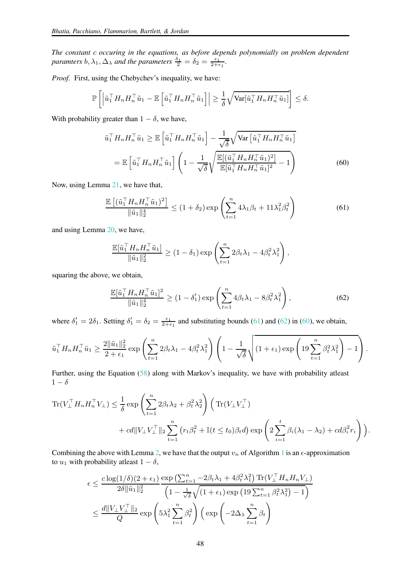*The constant* c *occuring in the equations, as before depends polynomially on problem dependent paramters*  $b, \lambda_1, \Delta_\lambda$  *and the parameters*  $\frac{\delta_1}{2} = \delta_2 = \frac{\epsilon_1}{2 + \epsilon_1}$ .

*Proof.* First, using the Chebychev's inequality, we have:

$$
\mathbb{P}\left[\left|\tilde{u}_1^\top H_n H_n^\top \tilde{u}_1 - \mathbb{E}\left[\tilde{u}_1^\top H_n H_n^\top \tilde{u}_1\right]\right| \geq \frac{1}{\delta} \sqrt{\text{Var}[\tilde{u}_1^\top H_n H_n^\top \tilde{u}_1]}\right] \leq \delta.
$$

With probability greater than  $1 - \delta$ , we have,

<span id="page-47-2"></span>
$$
\tilde{u}_1^\top H_n H_n^\top \tilde{u}_1 \ge \mathbb{E} \left[ \tilde{u}_1^\top H_n H_n^\top \tilde{u}_1 \right] - \frac{1}{\sqrt{\delta}} \sqrt{\text{Var} \left[ \tilde{u}_1^\top H_n H_n^\top \tilde{u}_1 \right]}
$$
\n
$$
= \mathbb{E} \left[ \tilde{u}_1^\top H_n H_n^\top \tilde{u}_1 \right] \left( 1 - \frac{1}{\sqrt{\delta}} \sqrt{\frac{\mathbb{E} [ (\tilde{u}_1^\top H_n H_n^\top \tilde{u}_1)^2 ]}{\mathbb{E} [\tilde{u}_1^\top H_n H_n^\top \tilde{u}_1]^2 } - 1} \right) \tag{60}
$$

Now, using Lemma [21,](#page-44-0) we have that,

<span id="page-47-0"></span>
$$
\frac{\mathbb{E}\left[\left(\tilde{u}_1^\top H_n H_n^\top \tilde{u}_1\right)^2\right]}{\|\tilde{u}_1\|_2^4} \le (1+\delta_2) \exp\left(\sum_{t=1}^n 4\lambda_1 \beta_t + 11\lambda_1^2 \beta_t^2\right) \tag{61}
$$

and using Lemma [20,](#page-41-1) we have,

$$
\frac{\mathbb{E}[\tilde{u}_1^\top H_n H_n^\top \tilde{u}_1]}{\|\tilde{u}_1\|_2^2} \ge (1 - \delta_1) \exp\left(\sum_{t=1}^n 2\beta_t \lambda_1 - 4\beta_t^2 \lambda_1^2\right),
$$

squaring the above, we obtain,

<span id="page-47-1"></span>
$$
\frac{\mathbb{E}[\tilde{u}_1^\top H_n H_n^\top \tilde{u}_1]^2}{\|\tilde{u}_1\|_2^4} \ge (1 - \delta_1') \exp\left(\sum_{t=1}^n 4\beta_t \lambda_1 - 8\beta_t^2 \lambda_1^2\right),\tag{62}
$$

where  $\delta'_1 = 2\delta_1$ . Setting  $\delta'_1 = \delta_2 = \frac{\epsilon_1}{2+\epsilon_1}$  and substituting bounds [\(61\)](#page-47-0) and [\(62\)](#page-47-1) in [\(60\)](#page-47-2), we obtain,

$$
\tilde{u}_1^\top H_n H_n^\top \tilde{u}_1 \ge \frac{2\|\tilde{u}_1\|_2^2}{2+\epsilon_1} \exp\left(\sum_{t=1}^n 2\beta_t \lambda_1 - 4\beta_t^2 \lambda_1^2\right) \left(1 - \frac{1}{\sqrt{\delta}} \sqrt{(1+\epsilon_1) \exp\left(19\sum_{t=1}^n \beta_t^2 \lambda_1^2\right) - 1}\right).
$$

Further, using the Equation [\(58\)](#page-46-1) along with Markov's inequality, we have with probability atleast  $1-\delta$ 

$$
\mathrm{Tr}(V_{\perp}^{\top} H_n H_n^{\top} V_{\perp}) \leq \frac{1}{\delta} \exp\left(\sum_{t=1}^n 2\beta_t \lambda_2 + \beta_t^2 \lambda_2^2\right) \left(\mathrm{Tr}(V_{\perp} V_{\perp}^{\top}) + cd \|V_{\perp} V_{\perp}^{\top}\|_2 \sum_{t=1}^n \left(r_t \beta_t^2 + \mathbb{I}(t \leq t_0)\beta_t d\right) \exp\left(2 \sum_{i=1}^t \beta_i (\lambda_1 - \lambda_2) + cd \beta_i^2 r_i\right)\right).
$$

Combining the above with Lemma [2,](#page-6-2) we have that the output  $v_n$  of Algorithm [1](#page-3-0) is an  $\epsilon$ -approximation to  $u_1$  with probability atleast  $1 - \delta$ ,

$$
\epsilon \leq \frac{c \log(1/\delta)(2 + \epsilon_1)}{2\delta \|\tilde{u}_1\|_2^2} \frac{\exp\left(\sum_{t=1}^n -2\beta_t \lambda_1 + 4\beta_t^2 \lambda_1^2\right) \text{Tr}(V_{\perp}^\top H_n H_n V_{\perp})}{\left(1 - \frac{1}{\sqrt{\delta}} \sqrt{(1 + \epsilon_1) \exp\left(19 \sum_{t=1}^n \beta_t^2 \lambda_1^2\right) - 1}\right)}
$$
  

$$
\leq \frac{d \|V_{\perp} V_{\perp}^\top \|_2}{Q} \exp\left(5\lambda_1^2 \sum_{t=1}^n \beta_t^2\right) \left(\exp\left(-2\Delta_\lambda \sum_{t=1}^n \beta_t\right)\right)
$$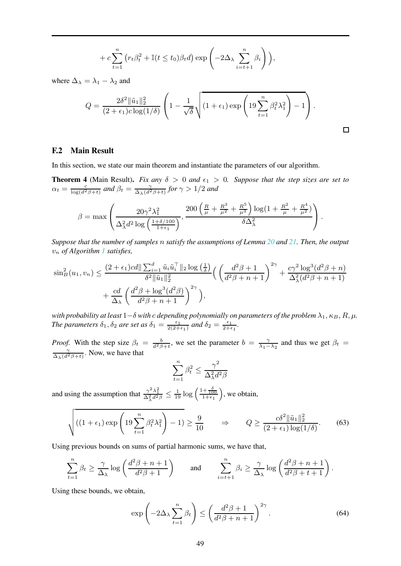$$
+ c \sum_{t=1}^{n} \left( r_t \beta_t^2 + \mathbb{I}(t \le t_0) \beta_t d \right) \exp\left( -2\Delta_{\lambda} \sum_{i=t+1}^{n} \beta_i \right) \Big),
$$

where  $\Delta_{\lambda} = \lambda_1 - \lambda_2$  and

$$
Q = \frac{2\delta^2 \|\tilde{u}_1\|_2^2}{(2+\epsilon_1)c \log(1/\delta)} \left(1 - \frac{1}{\sqrt{\delta}} \sqrt{(1+\epsilon_1) \exp\left(19 \sum_{t=1}^n \beta_t^2 \lambda_1^2\right) - 1}\right).
$$

 $\Box$ 

#### <span id="page-48-0"></span>F.2 Main Result

In this section, we state our main theorem and instantiate the parameters of our algorithm.

**Theorem 4** (Main Result). *Fix any*  $\delta > 0$  *and*  $\epsilon_1 > 0$ . *Suppose that the step sizes are set to*  $\alpha_t = \frac{c}{\log(d^2\beta + t)}$  *and*  $\beta_t = \frac{\gamma}{\Delta_{\lambda}(d^2\beta + t)}$  *for*  $\gamma > 1/2$  *and* 

$$
\beta = \max \left( \frac{20 \gamma^2 \lambda_1^2}{\Delta_\lambda^2 d^2 \log \left( \frac{1+\delta/100}{1+\epsilon_1} \right)}, \frac{200 \left( \frac{R}{\mu} + \frac{R^3}{\mu^2} + \frac{R^5}{\mu^3} \right) \log \left( 1 + \frac{R^2}{\mu} + \frac{R^4}{\mu^2} \right)}{\delta \Delta_\lambda^2} \right).
$$

*Suppose that the number of samples* n *satisfy the assumptions of Lemma [20](#page-41-1) and [21.](#page-44-0) Then, the output* v<sup>n</sup> *of Algorithm [1](#page-3-0) satisfies,*

$$
\sin_B^2(u_1, v_n) \le \frac{(2+\epsilon_1)cd \|\sum_{i=1}^d \tilde{u}_i \tilde{u}_i^{\top}\|_2 \log\left(\frac{1}{\delta}\right)}{\delta^2 \|\tilde{u}_1\|_2^2} \Big(\left(\frac{d^2\beta+1}{d^2\beta+n+1}\right)^{2\gamma} + \frac{c\gamma^2 \log^3(d^2\beta+n)}{\Delta_{\lambda}^2(d^2\beta+n+1)} + \frac{cd}{\Delta_{\lambda}} \left(\frac{d^2\beta+\log^3(d^2\beta)}{d^2\beta+n+1}\right)^{2\gamma}\Big),
$$

*with probability at least*  $1-\delta$  *with*  $c$  *depending polynomially on parameters of the problem*  $\lambda_1, \kappa_B, R, \mu$ *. The parameters*  $\delta_1$ ,  $\delta_2$  *are set as*  $\delta_1 = \frac{\epsilon_1}{2(2+\epsilon_1)}$  *and*  $\delta_2 = \frac{\epsilon_1}{2+\epsilon_1}$ *.* 

*Proof.* With the step size  $\beta_t = \frac{b}{d^2\beta + t}$ , we set the parameter  $b = \frac{\gamma}{\lambda_1 - \lambda_2}$  and thus we get  $\beta_t =$  $\frac{\gamma}{\Delta_{\lambda}(d^2\beta+t)}$ . Now, we have that

$$
\sum_{t=1}^{n} \beta_t^2 \le \frac{\gamma^2}{\Delta_{\lambda}^2 d^2 \beta}
$$

and using the assumption that  $\frac{\gamma^2 \lambda_1^2}{\Delta_\lambda^2 d^2 \beta} \leq \frac{1}{19} \log \left( \frac{1 + \frac{\delta}{100}}{1 + \epsilon_1} \right)$ , we obtain,

<span id="page-48-1"></span>
$$
\sqrt{\left((1+\epsilon_1)\exp\left(19\sum_{t=1}^n\beta_t^2\lambda_1^2\right)-1\right)} \ge \frac{9}{10} \qquad \Rightarrow \qquad Q \ge \frac{c\delta^2\|\tilde{u}_1\|_2^2}{(2+\epsilon_1)\log(1/\delta)}.\tag{63}
$$

Using previous bounds on sums of partial harmonic sums, we have that,

$$
\sum_{t=1}^{n} \beta_t \ge \frac{\gamma}{\Delta_{\lambda}} \log \left( \frac{d^2 \beta + n + 1}{d^2 \beta + 1} \right) \quad \text{and} \quad \sum_{i=t+1}^{n} \beta_i \ge \frac{\gamma}{\Delta_{\lambda}} \log \left( \frac{d^2 \beta + n + 1}{d^2 \beta + t + 1} \right).
$$

Using these bounds, we obtain,

<span id="page-48-2"></span>
$$
\exp\left(-2\Delta_{\lambda}\sum_{t=1}^{n}\beta_{t}\right) \leq \left(\frac{d^{2}\beta+1}{d^{2}\beta+n+1}\right)^{2\gamma}.
$$
\n(64)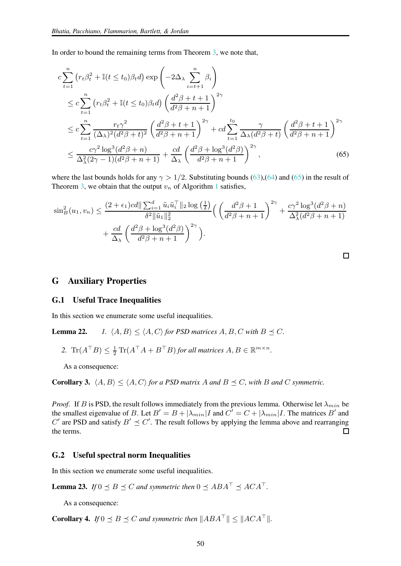In order to bound the remaining terms from Theorem [3,](#page-46-2) we note that,

$$
c \sum_{t=1}^{n} \left( r_t \beta_t^2 + \mathbb{I}(t \le t_0) \beta_t d \right) \exp\left( -2\Delta_\lambda \sum_{i=t+1}^{n} \beta_i \right)
$$
  
\n
$$
\le c \sum_{t=1}^{n} \left( r_t \beta_t^2 + \mathbb{I}(t \le t_0) \beta_t d \right) \left( \frac{d^2 \beta + t + 1}{d^2 \beta + n + 1} \right)^{2\gamma}
$$
  
\n
$$
\le c \sum_{t=1}^{n} \frac{r_t \gamma^2}{(\Delta_\lambda)^2 (d^2 \beta + t)^2} \left( \frac{d^2 \beta + t + 1}{d^2 \beta + n + 1} \right)^{2\gamma} + c d \sum_{t=1}^{t_0} \frac{\gamma}{\Delta_\lambda (d^2 \beta + t)} \left( \frac{d^2 \beta + t + 1}{d^2 \beta + n + 1} \right)^{2\gamma}
$$
  
\n
$$
\le \frac{c \gamma^2 \log^3(d^2 \beta + n)}{\Delta_\lambda^2(2\gamma - 1)(d^2 \beta + n + 1)} + \frac{cd}{\Delta_\lambda} \left( \frac{d^2 \beta + \log^3(d^2 \beta)}{d^2 \beta + n + 1} \right)^{2\gamma}, \tag{65}
$$

where the last bounds holds for any  $\gamma > 1/2$ . Substituting bounds [\(63\)](#page-48-1),[\(64\)](#page-48-2) and [\(65\)](#page-49-3) in the result of Theorem [3,](#page-46-2) we obtain that the output  $v_n$  of Algorithm [1](#page-3-0) satisfies,

$$
\sin^2(B(u_1, v_n) \leq \frac{(2+\epsilon_1)cd \|\sum_{i=1}^d \tilde{u}_i \tilde{u}_i^{\top}\|_2 \log\left(\frac{1}{\delta}\right)}{\delta^2 \|\tilde{u}_1\|_2^2} \Big(\left(\frac{d^2 \beta + 1}{d^2 \beta + n + 1}\right)^{2\gamma} + \frac{c\gamma^2 \log^3(d^2 \beta + n)}{\Delta^2_{\lambda}(d^2 \beta + n + 1)} + \frac{cd}{\Delta_{\lambda}} \left(\frac{d^2 \beta + \log^3(d^2 \beta)}{d^2 \beta + n + 1}\right)^{2\gamma}\Big).
$$

<span id="page-49-3"></span> $\Box$ 

#### <span id="page-49-1"></span><span id="page-49-0"></span>G Auxiliary Properties

#### G.1 Useful Trace Inequalities

In this section we enumerate some useful inequalities.

**Lemma 22.** *1.*  $\langle A, B \rangle \le \langle A, C \rangle$  for PSD matrices A, B, C with  $B \preceq C$ *.* 

2. 
$$
\text{Tr}(A^\top B) \leq \frac{1}{2} \text{Tr}(A^\top A + B^\top B)
$$
 for all matrices  $A, B \in \mathbb{R}^{m \times n}$ 

As a consequence:

**Corollary 3.**  $\langle A, B \rangle \leq \langle A, C \rangle$  *for a PSD matrix* A *and*  $B \preceq C$ *, with* B *and* C *symmetric.* 

*Proof.* If B is PSD, the result follows immediately from the previous lemma. Otherwise let  $\lambda_{min}$  be the smallest eigenvalue of B. Let  $B' = B + |\lambda_{min}|I$  and  $C' = C + |\lambda_{min}|I$ . The matrices B' and  $C'$  are PSD and satisfy  $B' \preceq C'$ . The result follows by applying the lemma above and rearranging the terms.  $\Box$ 

*.*

#### <span id="page-49-2"></span>G.2 Useful spectral norm Inequalities

In this section we enumerate some useful inequalities.

**Lemma 23.** *If*  $0 \leq B \leq C$  *and symmetric then*  $0 \leq ABA^{\top} \leq ACA^{\top}$ .

As a consequence:

**Corollary 4.** *If*  $0 \leq B \leq C$  *and symmetric then*  $||ABA^\top|| \leq ||ACA^\top||$ *.*